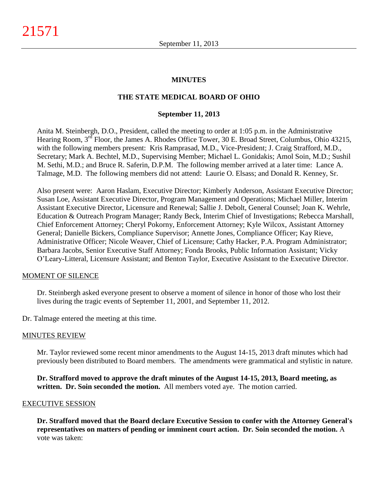### **MINUTES**

### **THE STATE MEDICAL BOARD OF OHIO**

#### **September 11, 2013**

Anita M. Steinbergh, D.O., President, called the meeting to order at 1:05 p.m. in the Administrative Hearing Room, 3<sup>rd</sup> Floor, the James A. Rhodes Office Tower, 30 E. Broad Street, Columbus, Ohio 43215, with the following members present: Kris Ramprasad, M.D., Vice-President; J. Craig Strafford, M.D., Secretary; Mark A. Bechtel, M.D., Supervising Member; Michael L. Gonidakis; Amol Soin, M.D.; Sushil M. Sethi, M.D.; and Bruce R. Saferin, D.P.M. The following member arrived at a later time: Lance A. Talmage, M.D. The following members did not attend: Laurie O. Elsass; and Donald R. Kenney, Sr.

Also present were: Aaron Haslam, Executive Director; Kimberly Anderson, Assistant Executive Director; Susan Loe, Assistant Executive Director, Program Management and Operations; Michael Miller, Interim Assistant Executive Director, Licensure and Renewal; Sallie J. Debolt, General Counsel; Joan K. Wehrle, Education & Outreach Program Manager; Randy Beck, Interim Chief of Investigations; Rebecca Marshall, Chief Enforcement Attorney; Cheryl Pokorny, Enforcement Attorney; Kyle Wilcox, Assistant Attorney General; Danielle Bickers, Compliance Supervisor; Annette Jones, Compliance Officer; Kay Rieve, Administrative Officer; Nicole Weaver, Chief of Licensure; Cathy Hacker, P.A. Program Administrator; Barbara Jacobs, Senior Executive Staff Attorney; Fonda Brooks, Public Information Assistant; Vicky O'Leary-Litteral, Licensure Assistant; and Benton Taylor, Executive Assistant to the Executive Director.

#### MOMENT OF SILENCE

Dr. Steinbergh asked everyone present to observe a moment of silence in honor of those who lost their lives during the tragic events of September 11, 2001, and September 11, 2012.

Dr. Talmage entered the meeting at this time.

#### MINUTES REVIEW

Mr. Taylor reviewed some recent minor amendments to the August 14-15, 2013 draft minutes which had previously been distributed to Board members. The amendments were grammatical and stylistic in nature.

**Dr. Strafford moved to approve the draft minutes of the August 14-15, 2013, Board meeting, as written. Dr. Soin seconded the motion.** All members voted aye. The motion carried.

#### EXECUTIVE SESSION

**Dr. Strafford moved that the Board declare Executive Session to confer with the Attorney General's representatives on matters of pending or imminent court action. Dr. Soin seconded the motion.** A vote was taken: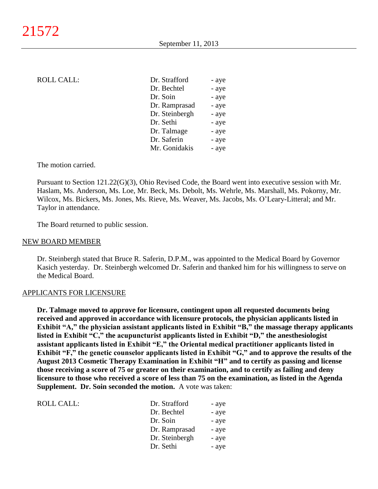### ROLL CALL:

| Dr. Strafford  | - aye |
|----------------|-------|
| Dr. Bechtel    | - aye |
| Dr. Soin       | - aye |
| Dr. Ramprasad  | - aye |
| Dr. Steinbergh | - aye |
| Dr. Sethi      | - aye |
| Dr. Talmage    | - aye |
| Dr. Saferin    | - aye |
| Mr. Gonidakis  | - aye |

The motion carried.

Pursuant to Section 121.22(G)(3), Ohio Revised Code, the Board went into executive session with Mr. Haslam, Ms. Anderson, Ms. Loe, Mr. Beck, Ms. Debolt, Ms. Wehrle, Ms. Marshall, Ms. Pokorny, Mr. Wilcox, Ms. Bickers, Ms. Jones, Ms. Rieve, Ms. Weaver, Ms. Jacobs, Ms. O'Leary-Litteral; and Mr. Taylor in attendance.

The Board returned to public session.

#### NEW BOARD MEMBER

Dr. Steinbergh stated that Bruce R. Saferin, D.P.M., was appointed to the Medical Board by Governor Kasich yesterday. Dr. Steinbergh welcomed Dr. Saferin and thanked him for his willingness to serve on the Medical Board.

#### APPLICANTS FOR LICENSURE

**Dr. Talmage moved to approve for licensure, contingent upon all requested documents being received and approved in accordance with licensure protocols, the physician applicants listed in Exhibit "A," the physician assistant applicants listed in Exhibit "B," the massage therapy applicants listed in Exhibit "C," the acupuncturist applicants listed in Exhibit "D," the anesthesiologist assistant applicants listed in Exhibit "E," the Oriental medical practitioner applicants listed in Exhibit "F," the genetic counselor applicants listed in Exhibit "G," and to approve the results of the August 2013 Cosmetic Therapy Examination in Exhibit "H" and to certify as passing and license those receiving a score of 75 or greater on their examination, and to certify as failing and deny licensure to those who received a score of less than 75 on the examination, as listed in the Agenda Supplement. Dr. Soin seconded the motion.** A vote was taken:

| ROLL CALL: | Dr. Strafford  | - aye |
|------------|----------------|-------|
|            | Dr. Bechtel    | - aye |
|            | Dr. Soin       | - aye |
|            | Dr. Ramprasad  | - aye |
|            | Dr. Steinbergh | - aye |
|            | Dr. Sethi      | - aye |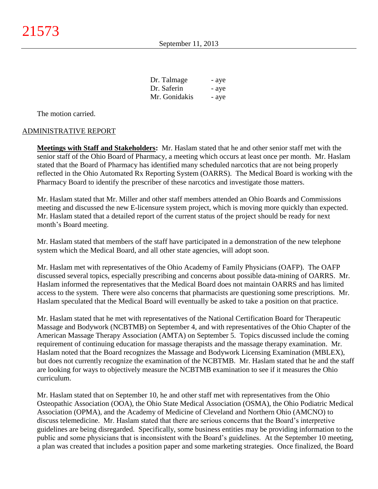| Dr. Talmage   | - aye |
|---------------|-------|
| Dr. Saferin   | - aye |
| Mr. Gonidakis | - aye |

The motion carried.

#### ADMINISTRATIVE REPORT

**Meetings with Staff and Stakeholders:** Mr. Haslam stated that he and other senior staff met with the senior staff of the Ohio Board of Pharmacy, a meeting which occurs at least once per month. Mr. Haslam stated that the Board of Pharmacy has identified many scheduled narcotics that are not being properly reflected in the Ohio Automated Rx Reporting System (OARRS). The Medical Board is working with the Pharmacy Board to identify the prescriber of these narcotics and investigate those matters.

Mr. Haslam stated that Mr. Miller and other staff members attended an Ohio Boards and Commissions meeting and discussed the new E-licensure system project, which is moving more quickly than expected. Mr. Haslam stated that a detailed report of the current status of the project should be ready for next month's Board meeting.

Mr. Haslam stated that members of the staff have participated in a demonstration of the new telephone system which the Medical Board, and all other state agencies, will adopt soon.

Mr. Haslam met with representatives of the Ohio Academy of Family Physicians (OAFP). The OAFP discussed several topics, especially prescribing and concerns about possible data-mining of OARRS. Mr. Haslam informed the representatives that the Medical Board does not maintain OARRS and has limited access to the system. There were also concerns that pharmacists are questioning some prescriptions. Mr. Haslam speculated that the Medical Board will eventually be asked to take a position on that practice.

Mr. Haslam stated that he met with representatives of the National Certification Board for Therapeutic Massage and Bodywork (NCBTMB) on September 4, and with representatives of the Ohio Chapter of the American Massage Therapy Association (AMTA) on September 5. Topics discussed include the coming requirement of continuing education for massage therapists and the massage therapy examination. Mr. Haslam noted that the Board recognizes the Massage and Bodywork Licensing Examination (MBLEX), but does not currently recognize the examination of the NCBTMB. Mr. Haslam stated that he and the staff are looking for ways to objectively measure the NCBTMB examination to see if it measures the Ohio curriculum.

Mr. Haslam stated that on September 10, he and other staff met with representatives from the Ohio Osteopathic Association (OOA), the Ohio State Medical Association (OSMA), the Ohio Podiatric Medical Association (OPMA), and the Academy of Medicine of Cleveland and Northern Ohio (AMCNO) to discuss telemedicine. Mr. Haslam stated that there are serious concerns that the Board's interpretive guidelines are being disregarded. Specifically, some business entities may be providing information to the public and some physicians that is inconsistent with the Board's guidelines. At the September 10 meeting, a plan was created that includes a position paper and some marketing strategies. Once finalized, the Board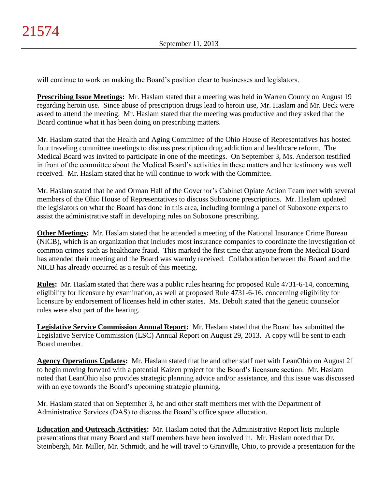will continue to work on making the Board's position clear to businesses and legislators.

**Prescribing Issue Meetings:** Mr. Haslam stated that a meeting was held in Warren County on August 19 regarding heroin use. Since abuse of prescription drugs lead to heroin use, Mr. Haslam and Mr. Beck were asked to attend the meeting. Mr. Haslam stated that the meeting was productive and they asked that the Board continue what it has been doing on prescribing matters.

Mr. Haslam stated that the Health and Aging Committee of the Ohio House of Representatives has hosted four traveling committee meetings to discuss prescription drug addiction and healthcare reform. The Medical Board was invited to participate in one of the meetings. On September 3, Ms. Anderson testified in front of the committee about the Medical Board's activities in these matters and her testimony was well received. Mr. Haslam stated that he will continue to work with the Committee.

Mr. Haslam stated that he and Orman Hall of the Governor's Cabinet Opiate Action Team met with several members of the Ohio House of Representatives to discuss Suboxone prescriptions. Mr. Haslam updated the legislators on what the Board has done in this area, including forming a panel of Suboxone experts to assist the administrative staff in developing rules on Suboxone prescribing.

**Other Meetings:** Mr. Haslam stated that he attended a meeting of the National Insurance Crime Bureau (NICB), which is an organization that includes most insurance companies to coordinate the investigation of common crimes such as healthcare fraud. This marked the first time that anyone from the Medical Board has attended their meeting and the Board was warmly received. Collaboration between the Board and the NICB has already occurred as a result of this meeting.

**Rules:** Mr. Haslam stated that there was a public rules hearing for proposed Rule 4731-6-14, concerning eligibility for licensure by examination, as well at proposed Rule 4731-6-16, concerning eligibility for licensure by endorsement of licenses held in other states. Ms. Debolt stated that the genetic counselor rules were also part of the hearing.

**Legislative Service Commission Annual Report:** Mr. Haslam stated that the Board has submitted the Legislative Service Commission (LSC) Annual Report on August 29, 2013. A copy will be sent to each Board member.

**Agency Operations Updates:** Mr. Haslam stated that he and other staff met with LeanOhio on August 21 to begin moving forward with a potential Kaizen project for the Board's licensure section. Mr. Haslam noted that LeanOhio also provides strategic planning advice and/or assistance, and this issue was discussed with an eye towards the Board's upcoming strategic planning.

Mr. Haslam stated that on September 3, he and other staff members met with the Department of Administrative Services (DAS) to discuss the Board's office space allocation.

**Education and Outreach Activities:** Mr. Haslam noted that the Administrative Report lists multiple presentations that many Board and staff members have been involved in. Mr. Haslam noted that Dr. Steinbergh, Mr. Miller, Mr. Schmidt, and he will travel to Granville, Ohio, to provide a presentation for the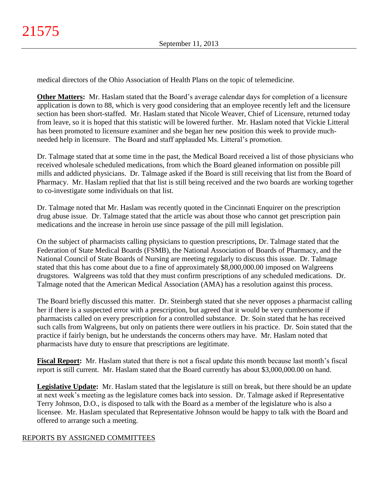medical directors of the Ohio Association of Health Plans on the topic of telemedicine.

**Other Matters:** Mr. Haslam stated that the Board's average calendar days for completion of a licensure application is down to 88, which is very good considering that an employee recently left and the licensure section has been short-staffed. Mr. Haslam stated that Nicole Weaver, Chief of Licensure, returned today from leave, so it is hoped that this statistic will be lowered further. Mr. Haslam noted that Vickie Litteral has been promoted to licensure examiner and she began her new position this week to provide muchneeded help in licensure. The Board and staff applauded Ms. Litteral's promotion.

Dr. Talmage stated that at some time in the past, the Medical Board received a list of those physicians who received wholesale scheduled medications, from which the Board gleaned information on possible pill mills and addicted physicians. Dr. Talmage asked if the Board is still receiving that list from the Board of Pharmacy. Mr. Haslam replied that that list is still being received and the two boards are working together to co-investigate some individuals on that list.

Dr. Talmage noted that Mr. Haslam was recently quoted in the Cincinnati Enquirer on the prescription drug abuse issue. Dr. Talmage stated that the article was about those who cannot get prescription pain medications and the increase in heroin use since passage of the pill mill legislation.

On the subject of pharmacists calling physicians to question prescriptions, Dr. Talmage stated that the Federation of State Medical Boards (FSMB), the National Association of Boards of Pharmacy, and the National Council of State Boards of Nursing are meeting regularly to discuss this issue. Dr. Talmage stated that this has come about due to a fine of approximately \$8,000,000.00 imposed on Walgreens drugstores. Walgreens was told that they must confirm prescriptions of any scheduled medications. Dr. Talmage noted that the American Medical Association (AMA) has a resolution against this process.

The Board briefly discussed this matter. Dr. Steinbergh stated that she never opposes a pharmacist calling her if there is a suspected error with a prescription, but agreed that it would be very cumbersome if pharmacists called on every prescription for a controlled substance. Dr. Soin stated that he has received such calls from Walgreens, but only on patients there were outliers in his practice. Dr. Soin stated that the practice if fairly benign, but he understands the concerns others may have. Mr. Haslam noted that pharmacists have duty to ensure that prescriptions are legitimate.

**Fiscal Report:** Mr. Haslam stated that there is not a fiscal update this month because last month's fiscal report is still current. Mr. Haslam stated that the Board currently has about \$3,000,000.00 on hand.

**Legislative Update:** Mr. Haslam stated that the legislature is still on break, but there should be an update at next week's meeting as the legislature comes back into session. Dr. Talmage asked if Representative Terry Johnson, D.O., is disposed to talk with the Board as a member of the legislature who is also a licensee. Mr. Haslam speculated that Representative Johnson would be happy to talk with the Board and offered to arrange such a meeting.

## REPORTS BY ASSIGNED COMMITTEES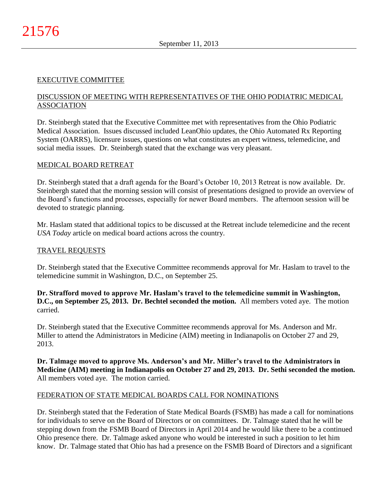## EXECUTIVE COMMITTEE

## DISCUSSION OF MEETING WITH REPRESENTATIVES OF THE OHIO PODIATRIC MEDICAL ASSOCIATION

Dr. Steinbergh stated that the Executive Committee met with representatives from the Ohio Podiatric Medical Association. Issues discussed included LeanOhio updates, the Ohio Automated Rx Reporting System (OARRS), licensure issues, questions on what constitutes an expert witness, telemedicine, and social media issues. Dr. Steinbergh stated that the exchange was very pleasant.

### MEDICAL BOARD RETREAT

Dr. Steinbergh stated that a draft agenda for the Board's October 10, 2013 Retreat is now available. Dr. Steinbergh stated that the morning session will consist of presentations designed to provide an overview of the Board's functions and processes, especially for newer Board members. The afternoon session will be devoted to strategic planning.

Mr. Haslam stated that additional topics to be discussed at the Retreat include telemedicine and the recent *USA Today* article on medical board actions across the country.

### TRAVEL REQUESTS

Dr. Steinbergh stated that the Executive Committee recommends approval for Mr. Haslam to travel to the telemedicine summit in Washington, D.C., on September 25.

**Dr. Strafford moved to approve Mr. Haslam's travel to the telemedicine summit in Washington, D.C., on September 25, 2013. Dr. Bechtel seconded the motion.** All members voted aye. The motion carried.

Dr. Steinbergh stated that the Executive Committee recommends approval for Ms. Anderson and Mr. Miller to attend the Administrators in Medicine (AIM) meeting in Indianapolis on October 27 and 29, 2013.

**Dr. Talmage moved to approve Ms. Anderson's and Mr. Miller's travel to the Administrators in Medicine (AIM) meeting in Indianapolis on October 27 and 29, 2013. Dr. Sethi seconded the motion.** All members voted aye. The motion carried.

### FEDERATION OF STATE MEDICAL BOARDS CALL FOR NOMINATIONS

Dr. Steinbergh stated that the Federation of State Medical Boards (FSMB) has made a call for nominations for individuals to serve on the Board of Directors or on committees. Dr. Talmage stated that he will be stepping down from the FSMB Board of Directors in April 2014 and he would like there to be a continued Ohio presence there. Dr. Talmage asked anyone who would be interested in such a position to let him know. Dr. Talmage stated that Ohio has had a presence on the FSMB Board of Directors and a significant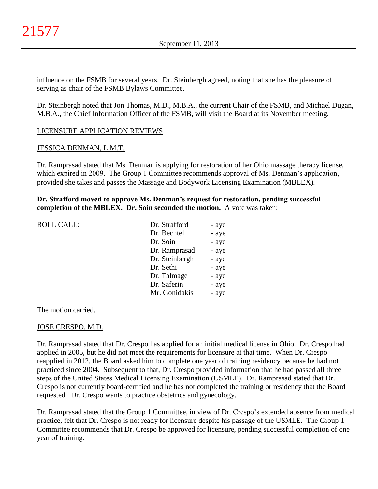influence on the FSMB for several years. Dr. Steinbergh agreed, noting that she has the pleasure of serving as chair of the FSMB Bylaws Committee.

Dr. Steinbergh noted that Jon Thomas, M.D., M.B.A., the current Chair of the FSMB, and Michael Dugan, M.B.A., the Chief Information Officer of the FSMB, will visit the Board at its November meeting.

## LICENSURE APPLICATION REVIEWS

### JESSICA DENMAN, L.M.T.

Dr. Ramprasad stated that Ms. Denman is applying for restoration of her Ohio massage therapy license, which expired in 2009. The Group 1 Committee recommends approval of Ms. Denman's application, provided she takes and passes the Massage and Bodywork Licensing Examination (MBLEX).

### **Dr. Strafford moved to approve Ms. Denman's request for restoration, pending successful completion of the MBLEX. Dr. Soin seconded the motion.** A vote was taken:

| <b>ROLL CALL:</b> | Dr. Strafford  | - aye |
|-------------------|----------------|-------|
|                   | Dr. Bechtel    | - aye |
|                   | Dr. Soin       | - aye |
|                   | Dr. Ramprasad  | - aye |
|                   | Dr. Steinbergh | - aye |
|                   | Dr. Sethi      | - aye |
|                   | Dr. Talmage    | - aye |
|                   | Dr. Saferin    | - aye |
|                   | Mr. Gonidakis  | - aye |
|                   |                |       |

The motion carried.

### JOSE CRESPO, M.D.

Dr. Ramprasad stated that Dr. Crespo has applied for an initial medical license in Ohio. Dr. Crespo had applied in 2005, but he did not meet the requirements for licensure at that time. When Dr. Crespo reapplied in 2012, the Board asked him to complete one year of training residency because he had not practiced since 2004. Subsequent to that, Dr. Crespo provided information that he had passed all three steps of the United States Medical Licensing Examination (USMLE). Dr. Ramprasad stated that Dr. Crespo is not currently board-certified and he has not completed the training or residency that the Board requested. Dr. Crespo wants to practice obstetrics and gynecology.

Dr. Ramprasad stated that the Group 1 Committee, in view of Dr. Crespo's extended absence from medical practice, felt that Dr. Crespo is not ready for licensure despite his passage of the USMLE. The Group 1 Committee recommends that Dr. Crespo be approved for licensure, pending successful completion of one year of training.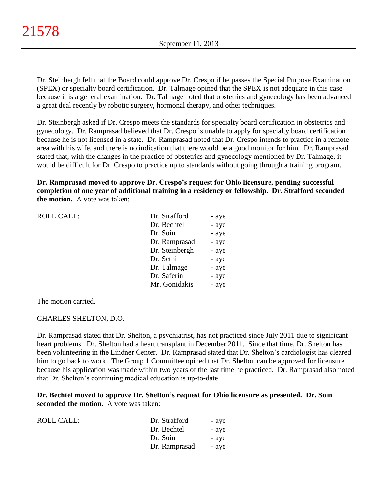Dr. Steinbergh felt that the Board could approve Dr. Crespo if he passes the Special Purpose Examination (SPEX) or specialty board certification. Dr. Talmage opined that the SPEX is not adequate in this case because it is a general examination. Dr. Talmage noted that obstetrics and gynecology has been advanced a great deal recently by robotic surgery, hormonal therapy, and other techniques.

Dr. Steinbergh asked if Dr. Crespo meets the standards for specialty board certification in obstetrics and gynecology. Dr. Ramprasad believed that Dr. Crespo is unable to apply for specialty board certification because he is not licensed in a state. Dr. Ramprasad noted that Dr. Crespo intends to practice in a remote area with his wife, and there is no indication that there would be a good monitor for him. Dr. Ramprasad stated that, with the changes in the practice of obstetrics and gynecology mentioned by Dr. Talmage, it would be difficult for Dr. Crespo to practice up to standards without going through a training program.

**Dr. Ramprasad moved to approve Dr. Crespo's request for Ohio licensure, pending successful completion of one year of additional training in a residency or fellowship. Dr. Strafford seconded the motion.** A vote was taken:

| <b>ROLL CALL:</b> | Dr. Strafford  | - aye |
|-------------------|----------------|-------|
|                   | Dr. Bechtel    | - aye |
|                   | Dr. Soin       | - aye |
|                   | Dr. Ramprasad  | - aye |
|                   | Dr. Steinbergh | - aye |
|                   | Dr. Sethi      | - aye |
|                   | Dr. Talmage    | - aye |
|                   | Dr. Saferin    | - aye |
|                   | Mr. Gonidakis  | - aye |
|                   |                |       |

The motion carried.

### CHARLES SHELTON, D.O.

Dr. Ramprasad stated that Dr. Shelton, a psychiatrist, has not practiced since July 2011 due to significant heart problems. Dr. Shelton had a heart transplant in December 2011. Since that time, Dr. Shelton has been volunteering in the Lindner Center. Dr. Ramprasad stated that Dr. Shelton's cardiologist has cleared him to go back to work. The Group 1 Committee opined that Dr. Shelton can be approved for licensure because his application was made within two years of the last time he practiced. Dr. Ramprasad also noted that Dr. Shelton's continuing medical education is up-to-date.

**Dr. Bechtel moved to approve Dr. Shelton's request for Ohio licensure as presented. Dr. Soin seconded the motion.** A vote was taken:

| <b>ROLL CALL:</b> | Dr. Strafford | - aye |
|-------------------|---------------|-------|
|                   | Dr. Bechtel   | - aye |
|                   | Dr. Soin      | - aye |
|                   | Dr. Ramprasad | - aye |
|                   |               |       |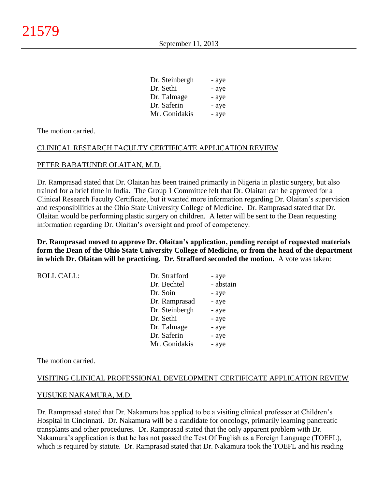| - aye |
|-------|
| - aye |
| - aye |
| - aye |
| - aye |
|       |

The motion carried.

### CLINICAL RESEARCH FACULTY CERTIFICATE APPLICATION REVIEW

### PETER BABATUNDE OLAITAN, M.D.

Dr. Ramprasad stated that Dr. Olaitan has been trained primarily in Nigeria in plastic surgery, but also trained for a brief time in India. The Group 1 Committee felt that Dr. Olaitan can be approved for a Clinical Research Faculty Certificate, but it wanted more information regarding Dr. Olaitan's supervision and responsibilities at the Ohio State University College of Medicine. Dr. Ramprasad stated that Dr. Olaitan would be performing plastic surgery on children. A letter will be sent to the Dean requesting information regarding Dr. Olaitan's oversight and proof of competency.

**Dr. Ramprasad moved to approve Dr. Olaitan's application, pending receipt of requested materials form the Dean of the Ohio State University College of Medicine, or from the head of the department in which Dr. Olaitan will be practicing. Dr. Strafford seconded the motion.** A vote was taken:

| Dr. Strafford  | - aye     |
|----------------|-----------|
| Dr. Bechtel    | - abstain |
| Dr. Soin       | - aye     |
| Dr. Ramprasad  | - aye     |
| Dr. Steinbergh | - aye     |
| Dr. Sethi      | - aye     |
| Dr. Talmage    | - aye     |
| Dr. Saferin    | - aye     |
| Mr. Gonidakis  | - aye     |
|                |           |

The motion carried.

### VISITING CLINICAL PROFESSIONAL DEVELOPMENT CERTIFICATE APPLICATION REVIEW

#### YUSUKE NAKAMURA, M.D.

Dr. Ramprasad stated that Dr. Nakamura has applied to be a visiting clinical professor at Children's Hospital in Cincinnati. Dr. Nakamura will be a candidate for oncology, primarily learning pancreatic transplants and other procedures. Dr. Ramprasad stated that the only apparent problem with Dr. Nakamura's application is that he has not passed the Test Of English as a Foreign Language (TOEFL), which is required by statute. Dr. Ramprasad stated that Dr. Nakamura took the TOEFL and his reading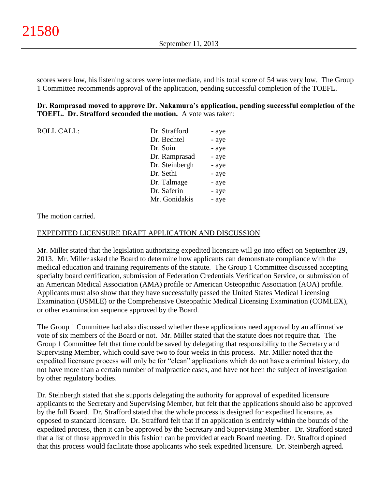scores were low, his listening scores were intermediate, and his total score of 54 was very low. The Group 1 Committee recommends approval of the application, pending successful completion of the TOEFL.

## **Dr. Ramprasad moved to approve Dr. Nakamura's application, pending successful completion of the TOEFL. Dr. Strafford seconded the motion.** A vote was taken:

| <b>ROLL CALL:</b> | Dr. Strafford  | - aye |
|-------------------|----------------|-------|
|                   | Dr. Bechtel    | - aye |
|                   | Dr. Soin       | - aye |
|                   | Dr. Ramprasad  | - aye |
|                   | Dr. Steinbergh | - aye |
|                   | Dr. Sethi      | - aye |
|                   | Dr. Talmage    | - aye |
|                   | Dr. Saferin    | - aye |
|                   | Mr. Gonidakis  | - aye |

### The motion carried.

### EXPEDITED LICENSURE DRAFT APPLICATION AND DISCUSSION

Mr. Miller stated that the legislation authorizing expedited licensure will go into effect on September 29, 2013. Mr. Miller asked the Board to determine how applicants can demonstrate compliance with the medical education and training requirements of the statute. The Group 1 Committee discussed accepting specialty board certification, submission of Federation Credentials Verification Service, or submission of an American Medical Association (AMA) profile or American Osteopathic Association (AOA) profile. Applicants must also show that they have successfully passed the United States Medical Licensing Examination (USMLE) or the Comprehensive Osteopathic Medical Licensing Examination (COMLEX), or other examination sequence approved by the Board.

The Group 1 Committee had also discussed whether these applications need approval by an affirmative vote of six members of the Board or not. Mr. Miller stated that the statute does not require that. The Group 1 Committee felt that time could be saved by delegating that responsibility to the Secretary and Supervising Member, which could save two to four weeks in this process. Mr. Miller noted that the expedited licensure process will only be for "clean" applications which do not have a criminal history, do not have more than a certain number of malpractice cases, and have not been the subject of investigation by other regulatory bodies.

Dr. Steinbergh stated that she supports delegating the authority for approval of expedited licensure applicants to the Secretary and Supervising Member, but felt that the applications should also be approved by the full Board. Dr. Strafford stated that the whole process is designed for expedited licensure, as opposed to standard licensure. Dr. Strafford felt that if an application is entirely within the bounds of the expedited process, then it can be approved by the Secretary and Supervising Member. Dr. Strafford stated that a list of those approved in this fashion can be provided at each Board meeting. Dr. Strafford opined that this process would facilitate those applicants who seek expedited licensure. Dr. Steinbergh agreed.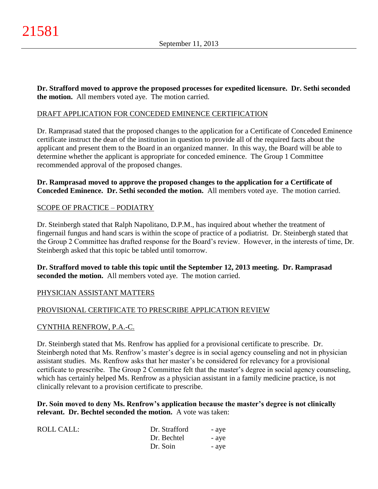**Dr. Strafford moved to approve the proposed processes for expedited licensure. Dr. Sethi seconded the motion.** All members voted aye. The motion carried.

# DRAFT APPLICATION FOR CONCEDED EMINENCE CERTIFICATION

Dr. Ramprasad stated that the proposed changes to the application for a Certificate of Conceded Eminence certificate instruct the dean of the institution in question to provide all of the required facts about the applicant and present them to the Board in an organized manner. In this way, the Board will be able to determine whether the applicant is appropriate for conceded eminence. The Group 1 Committee recommended approval of the proposed changes.

### **Dr. Ramprasad moved to approve the proposed changes to the application for a Certificate of Conceded Eminence. Dr. Sethi seconded the motion.** All members voted aye. The motion carried.

# SCOPE OF PRACTICE – PODIATRY

Dr. Steinbergh stated that Ralph Napolitano, D.P.M., has inquired about whether the treatment of fingernail fungus and hand scars is within the scope of practice of a podiatrist. Dr. Steinbergh stated that the Group 2 Committee has drafted response for the Board's review. However, in the interests of time, Dr. Steinbergh asked that this topic be tabled until tomorrow.

**Dr. Strafford moved to table this topic until the September 12, 2013 meeting. Dr. Ramprasad seconded the motion.** All members voted aye. The motion carried.

# PHYSICIAN ASSISTANT MATTERS

# PROVISIONAL CERTIFICATE TO PRESCRIBE APPLICATION REVIEW

### CYNTHIA RENFROW, P.A.-C.

Dr. Steinbergh stated that Ms. Renfrow has applied for a provisional certificate to prescribe. Dr. Steinbergh noted that Ms. Renfrow's master's degree is in social agency counseling and not in physician assistant studies. Ms. Renfrow asks that her master's be considered for relevancy for a provisional certificate to prescribe. The Group 2 Committee felt that the master's degree in social agency counseling, which has certainly helped Ms. Renfrow as a physician assistant in a family medicine practice, is not clinically relevant to a provision certificate to prescribe.

**Dr. Soin moved to deny Ms. Renfrow's application because the master's degree is not clinically relevant. Dr. Bechtel seconded the motion.** A vote was taken:

| ROLL CALL: | Dr. Strafford | - aye |
|------------|---------------|-------|
|            | Dr. Bechtel   | - aye |
|            | Dr. Soin      | - aye |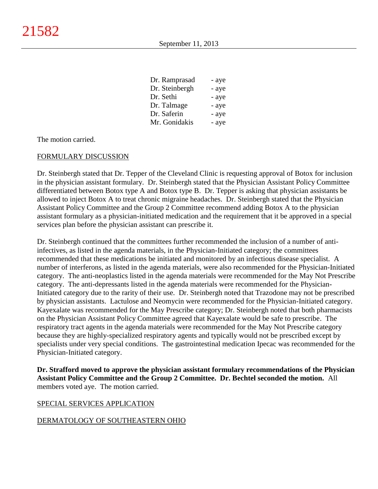| Dr. Ramprasad  | - aye |
|----------------|-------|
| Dr. Steinbergh | - aye |
| Dr. Sethi      | - aye |
| Dr. Talmage    | - aye |
| Dr. Saferin    | - aye |
| Mr. Gonidakis  | - aye |

The motion carried.

## FORMULARY DISCUSSION

Dr. Steinbergh stated that Dr. Tepper of the Cleveland Clinic is requesting approval of Botox for inclusion in the physician assistant formulary. Dr. Steinbergh stated that the Physician Assistant Policy Committee differentiated between Botox type A and Botox type B. Dr. Tepper is asking that physician assistants be allowed to inject Botox A to treat chronic migraine headaches. Dr. Steinbergh stated that the Physician Assistant Policy Committee and the Group 2 Committee recommend adding Botox A to the physician assistant formulary as a physician-initiated medication and the requirement that it be approved in a special services plan before the physician assistant can prescribe it.

Dr. Steinbergh continued that the committees further recommended the inclusion of a number of antiinfectives, as listed in the agenda materials, in the Physician-Initiated category; the committees recommended that these medications be initiated and monitored by an infectious disease specialist. A number of interferons, as listed in the agenda materials, were also recommended for the Physician-Initiated category. The anti-neoplastics listed in the agenda materials were recommended for the May Not Prescribe category. The anti-depressants listed in the agenda materials were recommended for the Physician-Initiated category due to the rarity of their use. Dr. Steinbergh noted that Trazodone may not be prescribed by physician assistants. Lactulose and Neomycin were recommended for the Physician-Initiated category. Kayexalate was recommended for the May Prescribe category; Dr. Steinbergh noted that both pharmacists on the Physician Assistant Policy Committee agreed that Kayexalate would be safe to prescribe. The respiratory tract agents in the agenda materials were recommended for the May Not Prescribe category because they are highly-specialized respiratory agents and typically would not be prescribed except by specialists under very special conditions. The gastrointestinal medication Ipecac was recommended for the Physician-Initiated category.

**Dr. Strafford moved to approve the physician assistant formulary recommendations of the Physician Assistant Policy Committee and the Group 2 Committee. Dr. Bechtel seconded the motion.** All members voted aye. The motion carried.

### SPECIAL SERVICES APPLICATION

### DERMATOLOGY OF SOUTHEASTERN OHIO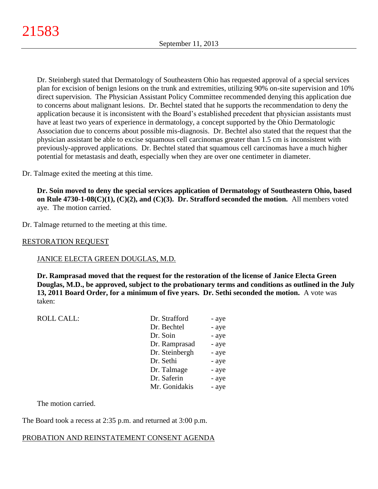Dr. Steinbergh stated that Dermatology of Southeastern Ohio has requested approval of a special services plan for excision of benign lesions on the trunk and extremities, utilizing 90% on-site supervision and 10% direct supervision. The Physician Assistant Policy Committee recommended denying this application due to concerns about malignant lesions. Dr. Bechtel stated that he supports the recommendation to deny the application because it is inconsistent with the Board's established precedent that physician assistants must have at least two years of experience in dermatology, a concept supported by the Ohio Dermatologic Association due to concerns about possible mis-diagnosis. Dr. Bechtel also stated that the request that the physician assistant be able to excise squamous cell carcinomas greater than 1.5 cm is inconsistent with previously-approved applications. Dr. Bechtel stated that squamous cell carcinomas have a much higher potential for metastasis and death, especially when they are over one centimeter in diameter.

Dr. Talmage exited the meeting at this time.

**Dr. Soin moved to deny the special services application of Dermatology of Southeastern Ohio, based on Rule 4730-1-08(C)(1), (C)(2), and (C)(3). Dr. Strafford seconded the motion.** All members voted aye. The motion carried.

Dr. Talmage returned to the meeting at this time.

## RESTORATION REQUEST

### JANICE ELECTA GREEN DOUGLAS, M.D.

**Dr. Ramprasad moved that the request for the restoration of the license of Janice Electa Green Douglas, M.D., be approved, subject to the probationary terms and conditions as outlined in the July 13, 2011 Board Order, for a minimum of five years. Dr. Sethi seconded the motion.** A vote was taken:

| <b>ROLL CALL:</b> | Dr. Strafford  | - aye |
|-------------------|----------------|-------|
|                   | Dr. Bechtel    | - aye |
|                   | Dr. Soin       | - aye |
|                   | Dr. Ramprasad  | - aye |
|                   | Dr. Steinbergh | - aye |
|                   | Dr. Sethi      | - aye |
|                   | Dr. Talmage    | - aye |
|                   | Dr. Saferin    | - aye |
|                   | Mr. Gonidakis  | - aye |
|                   |                |       |

The motion carried.

The Board took a recess at 2:35 p.m. and returned at 3:00 p.m.

# PROBATION AND REINSTATEMENT CONSENT AGENDA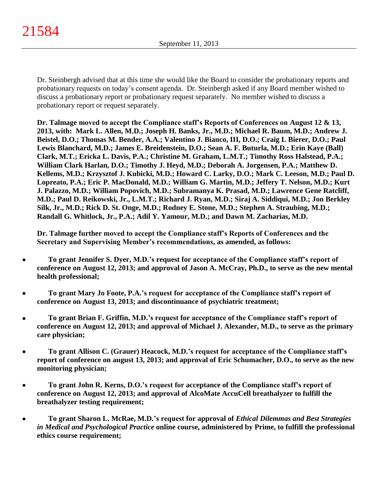Dr. Steinbergh advised that at this time she would like the Board to consider the probationary reports and probationary requests on today's consent agenda. Dr. Steinbergh asked if any Board member wished to discuss a probationary report or probationary request separately. No member wished to discuss a probationary report or request separately.

**Dr. Talmage moved to accept the Compliance staff's Reports of Conferences on August 12 & 13, 2013, with: Mark L. Allen, M.D.; Joseph H. Banks, Jr., M.D.; Michael R. Baum, M.D.; Andrew J. Beistel, D.O.; Thomas M. Bender, A.A.; Valentino J. Bianco, III, D.O.; Craig L Bierer, D.O.; Paul Lewis Blanchard, M.D.; James E. Breidenstein, D.O.; Sean A. F. Buturla, M.D.; Erin Kaye (Ball) Clark, M.T.; Ericka L. Davis, P.A.; Christine M. Graham, L.M.T.; Timothy Ross Halstead, P.A.; William Clark Harlan, D.O.; Timothy J. Heyd, M.D.; Deborah A. Jorgensen, P.A.; Matthew D. Kellems, M.D.; Krzysztof J. Kubicki, M.D.; Howard C. Larky, D.O.; Mark C. Leeson, M.D.; Paul D. Lopreato, P.A.; Eric P. MacDonald, M.D.; William G. Martin, M.D.; Jeffery T. Nelson, M.D.; Kurt J. Palazzo, M.D.; William Popovich, M.D.; Subramanya K. Prasad, M.D.; Lawrence Gene Ratcliff, M.D.; Paul D. Reikowski, Jr., L.M.T.; Richard J. Ryan, M.D.; Siraj A. Siddiqui, M.D.; Jon Berkley Silk, Jr., M.D.; Rick D. St. Onge, M.D.; Rodney E. Stone, M.D.; Stephen A. Straubing, M.D.; Randall G. Whitlock, Jr., P.A.; Adil Y. Yamour, M.D.; and Dawn M. Zacharias, M.D.**

**Dr. Talmage further moved to accept the Compliance staff's Reports of Conferences and the Secretary and Supervising Member's recommendations, as amended, as follows:**

- **To grant Jennifer S. Dyer, M.D.'s request for acceptance of the Compliance staff's report of**   $\bullet$ **conference on August 12, 2013; and approval of Jason A. McCray, Ph.D., to serve as the new mental health professional;**
- **To grant Mary Jo Foote, P.A.'s request for acceptance of the Compliance staff's report of**   $\bullet$ **conference on August 13, 2013; and discontinuance of psychiatric treatment;**
- **To grant Brian F. Griffin, M.D.'s request for acceptance of the Compliance staff's report of**   $\bullet$ **conference on August 12, 2013; and approval of Michael J. Alexander, M.D., to serve as the primary care physician;**
- **To grant Allison C. (Grauer) Heacock, M.D.'s request for acceptance of the Compliance staff's**   $\bullet$ **report of conference on august 13, 2013; and approval of Eric Schumacher, D.O., to serve as the new monitoring physician;**
- **To grant John R. Kerns, D.O.'s request for acceptance of the Compliance staff's report of**   $\bullet$ **conference on August 12, 2013; and approval of AlcoMate AccuCell breathalyzer to fulfill the breathalyzer testing requirement;**
- **To grant Sharon L. McRae, M.D.'s request for approval of** *Ethical Dilemmas and Best Strategies in Medical and Psychological Practice* **online course, administered by Prime, to fulfill the professional ethics course requirement;**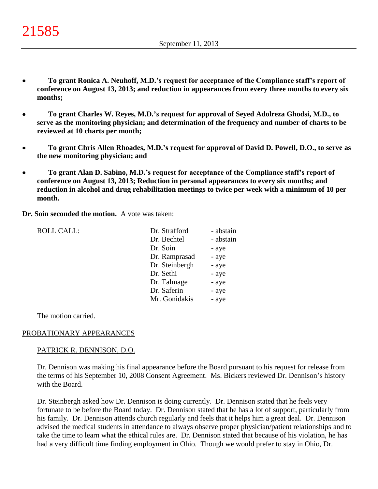- **To grant Ronica A. Neuhoff, M.D.'s request for acceptance of the Compliance staff's report of**   $\bullet$ **conference on August 13, 2013; and reduction in appearances from every three months to every six months;**
- **To grant Charles W. Reyes, M.D.'s request for approval of Seyed Adolreza Ghodsi, M.D., to**   $\bullet$ **serve as the monitoring physician; and determination of the frequency and number of charts to be reviewed at 10 charts per month;**
- **To grant Chris Allen Rhoades, M.D.'s request for approval of David D. Powell, D.O., to serve as**   $\bullet$ **the new monitoring physician; and**
- **To grant Alan D. Sabino, M.D.'s request for acceptance of the Compliance staff's report of**   $\bullet$ **conference on August 13, 2013; Reduction in personal appearances to every six months; and reduction in alcohol and drug rehabilitation meetings to twice per week with a minimum of 10 per month.**

**Dr. Soin seconded the motion.** A vote was taken:

| <b>ROLL CALL:</b> | Dr. Strafford  | - abstain |
|-------------------|----------------|-----------|
|                   | Dr. Bechtel    | - abstain |
|                   | Dr. Soin       | - aye     |
|                   | Dr. Ramprasad  | - aye     |
|                   | Dr. Steinbergh | - aye     |
|                   | Dr. Sethi      | - aye     |
|                   | Dr. Talmage    | - aye     |
|                   | Dr. Saferin    | - aye     |
|                   | Mr. Gonidakis  | - aye     |
|                   |                |           |

The motion carried.

### PROBATIONARY APPEARANCES

#### PATRICK R. DENNISON, D.O.

Dr. Dennison was making his final appearance before the Board pursuant to his request for release from the terms of his September 10, 2008 Consent Agreement. Ms. Bickers reviewed Dr. Dennison's history with the Board.

Dr. Steinbergh asked how Dr. Dennison is doing currently. Dr. Dennison stated that he feels very fortunate to be before the Board today. Dr. Dennison stated that he has a lot of support, particularly from his family. Dr. Dennison attends church regularly and feels that it helps him a great deal. Dr. Dennison advised the medical students in attendance to always observe proper physician/patient relationships and to take the time to learn what the ethical rules are. Dr. Dennison stated that because of his violation, he has had a very difficult time finding employment in Ohio. Though we would prefer to stay in Ohio, Dr.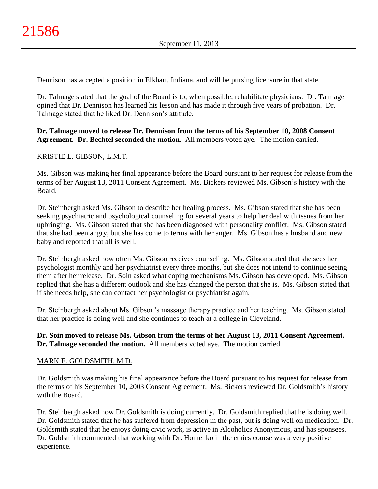Dennison has accepted a position in Elkhart, Indiana, and will be pursing licensure in that state.

Dr. Talmage stated that the goal of the Board is to, when possible, rehabilitate physicians. Dr. Talmage opined that Dr. Dennison has learned his lesson and has made it through five years of probation. Dr. Talmage stated that he liked Dr. Dennison's attitude.

## **Dr. Talmage moved to release Dr. Dennison from the terms of his September 10, 2008 Consent Agreement. Dr. Bechtel seconded the motion.** All members voted aye. The motion carried.

# KRISTIE L. GIBSON, L.M.T.

Ms. Gibson was making her final appearance before the Board pursuant to her request for release from the terms of her August 13, 2011 Consent Agreement. Ms. Bickers reviewed Ms. Gibson's history with the Board.

Dr. Steinbergh asked Ms. Gibson to describe her healing process. Ms. Gibson stated that she has been seeking psychiatric and psychological counseling for several years to help her deal with issues from her upbringing. Ms. Gibson stated that she has been diagnosed with personality conflict. Ms. Gibson stated that she had been angry, but she has come to terms with her anger. Ms. Gibson has a husband and new baby and reported that all is well.

Dr. Steinbergh asked how often Ms. Gibson receives counseling. Ms. Gibson stated that she sees her psychologist monthly and her psychiatrist every three months, but she does not intend to continue seeing them after her release. Dr. Soin asked what coping mechanisms Ms. Gibson has developed. Ms. Gibson replied that she has a different outlook and she has changed the person that she is. Ms. Gibson stated that if she needs help, she can contact her psychologist or psychiatrist again.

Dr. Steinbergh asked about Ms. Gibson's massage therapy practice and her teaching. Ms. Gibson stated that her practice is doing well and she continues to teach at a college in Cleveland.

## **Dr. Soin moved to release Ms. Gibson from the terms of her August 13, 2011 Consent Agreement. Dr. Talmage seconded the motion.** All members voted aye. The motion carried.

### MARK E. GOLDSMITH, M.D.

Dr. Goldsmith was making his final appearance before the Board pursuant to his request for release from the terms of his September 10, 2003 Consent Agreement. Ms. Bickers reviewed Dr. Goldsmith's history with the Board.

Dr. Steinbergh asked how Dr. Goldsmith is doing currently. Dr. Goldsmith replied that he is doing well. Dr. Goldsmith stated that he has suffered from depression in the past, but is doing well on medication. Dr. Goldsmith stated that he enjoys doing civic work, is active in Alcoholics Anonymous, and has sponsees. Dr. Goldsmith commented that working with Dr. Homenko in the ethics course was a very positive experience.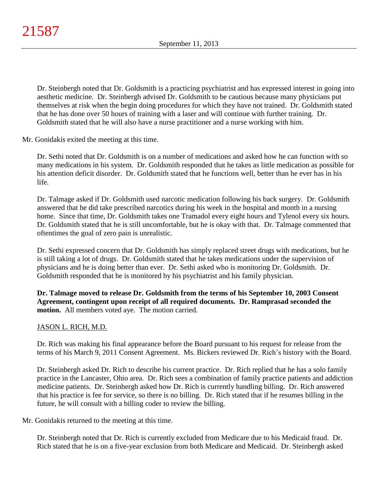Dr. Steinbergh noted that Dr. Goldsmith is a practicing psychiatrist and has expressed interest in going into aesthetic medicine. Dr. Steinbergh advised Dr. Goldsmith to be cautious because many physicians put themselves at risk when the begin doing procedures for which they have not trained. Dr. Goldsmith stated that he has done over 50 hours of training with a laser and will continue with further training. Dr. Goldsmith stated that he will also have a nurse practitioner and a nurse working with him.

Mr. Gonidakis exited the meeting at this time.

Dr. Sethi noted that Dr. Goldsmith is on a number of medications and asked how he can function with so many medications in his system. Dr. Goldsmith responded that he takes as little medication as possible for his attention deficit disorder. Dr. Goldsmith stated that he functions well, better than he ever has in his life.

Dr. Talmage asked if Dr. Goldsmith used narcotic medication following his back surgery. Dr. Goldsmith answered that he did take prescribed narcotics during his week in the hospital and month in a nursing home. Since that time, Dr. Goldsmith takes one Tramadol every eight hours and Tylenol every six hours. Dr. Goldsmith stated that he is still uncomfortable, but he is okay with that. Dr. Talmage commented that oftentimes the goal of zero pain is unrealistic.

Dr. Sethi expressed concern that Dr. Goldsmith has simply replaced street drugs with medications, but he is still taking a lot of drugs. Dr. Goldsmith stated that he takes medications under the supervision of physicians and he is doing better than ever. Dr. Sethi asked who is monitoring Dr. Goldsmith. Dr. Goldsmith responded that he is monitored by his psychiatrist and his family physician.

**Dr. Talmage moved to release Dr. Goldsmith from the terms of his September 10, 2003 Consent Agreement, contingent upon receipt of all required documents. Dr. Ramprasad seconded the motion.** All members voted aye. The motion carried.

# JASON L. RICH, M.D.

Dr. Rich was making his final appearance before the Board pursuant to his request for release from the terms of his March 9, 2011 Consent Agreement. Ms. Bickers reviewed Dr. Rich's history with the Board.

Dr. Steinbergh asked Dr. Rich to describe his current practice. Dr. Rich replied that he has a solo family practice in the Lancaster, Ohio area. Dr. Rich sees a combination of family practice patients and addiction medicine patients. Dr. Steinbergh asked how Dr. Rich is currently handling billing. Dr. Rich answered that his practice is fee for service, so there is no billing. Dr. Rich stated that if he resumes billing in the future, he will consult with a billing coder to review the billing.

Mr. Gonidakis returned to the meeting at this time.

Dr. Steinbergh noted that Dr. Rich is currently excluded from Medicare due to his Medicaid fraud. Dr. Rich stated that he is on a five-year exclusion from both Medicare and Medicaid. Dr. Steinbergh asked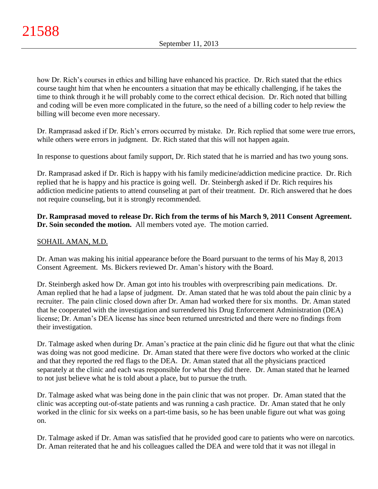how Dr. Rich's courses in ethics and billing have enhanced his practice. Dr. Rich stated that the ethics course taught him that when he encounters a situation that may be ethically challenging, if he takes the time to think through it he will probably come to the correct ethical decision. Dr. Rich noted that billing and coding will be even more complicated in the future, so the need of a billing coder to help review the billing will become even more necessary.

Dr. Ramprasad asked if Dr. Rich's errors occurred by mistake. Dr. Rich replied that some were true errors, while others were errors in judgment. Dr. Rich stated that this will not happen again.

In response to questions about family support, Dr. Rich stated that he is married and has two young sons.

Dr. Ramprasad asked if Dr. Rich is happy with his family medicine/addiction medicine practice. Dr. Rich replied that he is happy and his practice is going well. Dr. Steinbergh asked if Dr. Rich requires his addiction medicine patients to attend counseling at part of their treatment. Dr. Rich answered that he does not require counseling, but it is strongly recommended.

**Dr. Ramprasad moved to release Dr. Rich from the terms of his March 9, 2011 Consent Agreement. Dr. Soin seconded the motion.** All members voted aye. The motion carried.

# SOHAIL AMAN, M.D.

Dr. Aman was making his initial appearance before the Board pursuant to the terms of his May 8, 2013 Consent Agreement. Ms. Bickers reviewed Dr. Aman's history with the Board.

Dr. Steinbergh asked how Dr. Aman got into his troubles with overprescribing pain medications. Dr. Aman replied that he had a lapse of judgment. Dr. Aman stated that he was told about the pain clinic by a recruiter. The pain clinic closed down after Dr. Aman had worked there for six months. Dr. Aman stated that he cooperated with the investigation and surrendered his Drug Enforcement Administration (DEA) license; Dr. Aman's DEA license has since been returned unrestricted and there were no findings from their investigation.

Dr. Talmage asked when during Dr. Aman's practice at the pain clinic did he figure out that what the clinic was doing was not good medicine. Dr. Aman stated that there were five doctors who worked at the clinic and that they reported the red flags to the DEA. Dr. Aman stated that all the physicians practiced separately at the clinic and each was responsible for what they did there. Dr. Aman stated that he learned to not just believe what he is told about a place, but to pursue the truth.

Dr. Talmage asked what was being done in the pain clinic that was not proper. Dr. Aman stated that the clinic was accepting out-of-state patients and was running a cash practice. Dr. Aman stated that he only worked in the clinic for six weeks on a part-time basis, so he has been unable figure out what was going on.

Dr. Talmage asked if Dr. Aman was satisfied that he provided good care to patients who were on narcotics. Dr. Aman reiterated that he and his colleagues called the DEA and were told that it was not illegal in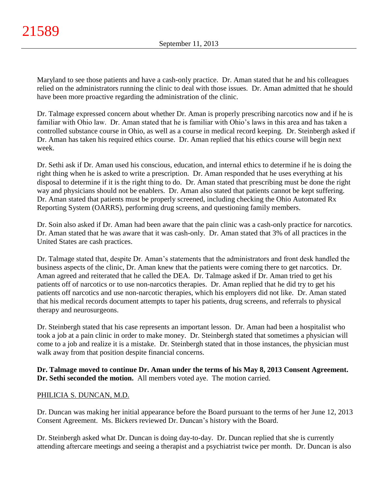Maryland to see those patients and have a cash-only practice. Dr. Aman stated that he and his colleagues relied on the administrators running the clinic to deal with those issues. Dr. Aman admitted that he should have been more proactive regarding the administration of the clinic.

Dr. Talmage expressed concern about whether Dr. Aman is properly prescribing narcotics now and if he is familiar with Ohio law. Dr. Aman stated that he is familiar with Ohio's laws in this area and has taken a controlled substance course in Ohio, as well as a course in medical record keeping. Dr. Steinbergh asked if Dr. Aman has taken his required ethics course. Dr. Aman replied that his ethics course will begin next week.

Dr. Sethi ask if Dr. Aman used his conscious, education, and internal ethics to determine if he is doing the right thing when he is asked to write a prescription. Dr. Aman responded that he uses everything at his disposal to determine if it is the right thing to do. Dr. Aman stated that prescribing must be done the right way and physicians should not be enablers. Dr. Aman also stated that patients cannot be kept suffering. Dr. Aman stated that patients must be properly screened, including checking the Ohio Automated Rx Reporting System (OARRS), performing drug screens, and questioning family members.

Dr. Soin also asked if Dr. Aman had been aware that the pain clinic was a cash-only practice for narcotics. Dr. Aman stated that he was aware that it was cash-only. Dr. Aman stated that 3% of all practices in the United States are cash practices.

Dr. Talmage stated that, despite Dr. Aman's statements that the administrators and front desk handled the business aspects of the clinic, Dr. Aman knew that the patients were coming there to get narcotics. Dr. Aman agreed and reiterated that he called the DEA. Dr. Talmage asked if Dr. Aman tried to get his patients off of narcotics or to use non-narcotics therapies. Dr. Aman replied that he did try to get his patients off narcotics and use non-narcotic therapies, which his employers did not like. Dr. Aman stated that his medical records document attempts to taper his patients, drug screens, and referrals to physical therapy and neurosurgeons.

Dr. Steinbergh stated that his case represents an important lesson. Dr. Aman had been a hospitalist who took a job at a pain clinic in order to make money. Dr. Steinbergh stated that sometimes a physician will come to a job and realize it is a mistake. Dr. Steinbergh stated that in those instances, the physician must walk away from that position despite financial concerns.

**Dr. Talmage moved to continue Dr. Aman under the terms of his May 8, 2013 Consent Agreement. Dr. Sethi seconded the motion.** All members voted aye. The motion carried.

# PHILICIA S. DUNCAN, M.D.

Dr. Duncan was making her initial appearance before the Board pursuant to the terms of her June 12, 2013 Consent Agreement. Ms. Bickers reviewed Dr. Duncan's history with the Board.

Dr. Steinbergh asked what Dr. Duncan is doing day-to-day. Dr. Duncan replied that she is currently attending aftercare meetings and seeing a therapist and a psychiatrist twice per month. Dr. Duncan is also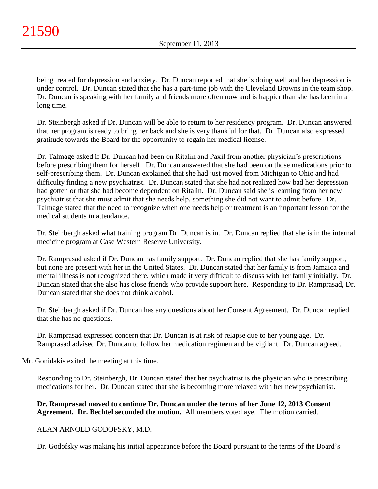being treated for depression and anxiety. Dr. Duncan reported that she is doing well and her depression is under control. Dr. Duncan stated that she has a part-time job with the Cleveland Browns in the team shop. Dr. Duncan is speaking with her family and friends more often now and is happier than she has been in a long time.

Dr. Steinbergh asked if Dr. Duncan will be able to return to her residency program. Dr. Duncan answered that her program is ready to bring her back and she is very thankful for that. Dr. Duncan also expressed gratitude towards the Board for the opportunity to regain her medical license.

Dr. Talmage asked if Dr. Duncan had been on Ritalin and Paxil from another physician's prescriptions before prescribing them for herself. Dr. Duncan answered that she had been on those medications prior to self-prescribing them. Dr. Duncan explained that she had just moved from Michigan to Ohio and had difficulty finding a new psychiatrist. Dr. Duncan stated that she had not realized how bad her depression had gotten or that she had become dependent on Ritalin. Dr. Duncan said she is learning from her new psychiatrist that she must admit that she needs help, something she did not want to admit before. Dr. Talmage stated that the need to recognize when one needs help or treatment is an important lesson for the medical students in attendance.

Dr. Steinbergh asked what training program Dr. Duncan is in. Dr. Duncan replied that she is in the internal medicine program at Case Western Reserve University.

Dr. Ramprasad asked if Dr. Duncan has family support. Dr. Duncan replied that she has family support, but none are present with her in the United States. Dr. Duncan stated that her family is from Jamaica and mental illness is not recognized there, which made it very difficult to discuss with her family initially. Dr. Duncan stated that she also has close friends who provide support here. Responding to Dr. Ramprasad, Dr. Duncan stated that she does not drink alcohol.

Dr. Steinbergh asked if Dr. Duncan has any questions about her Consent Agreement. Dr. Duncan replied that she has no questions.

Dr. Ramprasad expressed concern that Dr. Duncan is at risk of relapse due to her young age. Dr. Ramprasad advised Dr. Duncan to follow her medication regimen and be vigilant. Dr. Duncan agreed.

Mr. Gonidakis exited the meeting at this time.

Responding to Dr. Steinbergh, Dr. Duncan stated that her psychiatrist is the physician who is prescribing medications for her. Dr. Duncan stated that she is becoming more relaxed with her new psychiatrist.

**Dr. Ramprasad moved to continue Dr. Duncan under the terms of her June 12, 2013 Consent Agreement. Dr. Bechtel seconded the motion.** All members voted aye. The motion carried.

### ALAN ARNOLD GODOFSKY, M.D.

Dr. Godofsky was making his initial appearance before the Board pursuant to the terms of the Board's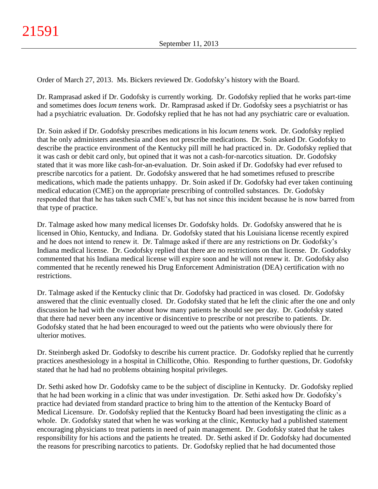Order of March 27, 2013. Ms. Bickers reviewed Dr. Godofsky's history with the Board.

Dr. Ramprasad asked if Dr. Godofsky is currently working. Dr. Godofsky replied that he works part-time and sometimes does *locum tenens* work. Dr. Ramprasad asked if Dr. Godofsky sees a psychiatrist or has had a psychiatric evaluation. Dr. Godofsky replied that he has not had any psychiatric care or evaluation.

Dr. Soin asked if Dr. Godofsky prescribes medications in his *locum tenens* work. Dr. Godofsky replied that he only administers anesthesia and does not prescribe medications. Dr. Soin asked Dr. Godofsky to describe the practice environment of the Kentucky pill mill he had practiced in. Dr. Godofsky replied that it was cash or debit card only, but opined that it was not a cash-for-narcotics situation. Dr. Godofsky stated that it was more like cash-for-an-evaluation. Dr. Soin asked if Dr. Godofsky had ever refused to prescribe narcotics for a patient. Dr. Godofsky answered that he had sometimes refused to prescribe medications, which made the patients unhappy. Dr. Soin asked if Dr. Godofsky had ever taken continuing medical education (CME) on the appropriate prescribing of controlled substances. Dr. Godofsky responded that that he has taken such CME's, but has not since this incident because he is now barred from that type of practice.

Dr. Talmage asked how many medical licenses Dr. Godofsky holds. Dr. Godofsky answered that he is licensed in Ohio, Kentucky, and Indiana. Dr. Godofsky stated that his Louisiana license recently expired and he does not intend to renew it. Dr. Talmage asked if there are any restrictions on Dr. Godofsky's Indiana medical license. Dr. Godofsky replied that there are no restrictions on that license. Dr. Godofsky commented that his Indiana medical license will expire soon and he will not renew it. Dr. Godofsky also commented that he recently renewed his Drug Enforcement Administration (DEA) certification with no restrictions.

Dr. Talmage asked if the Kentucky clinic that Dr. Godofsky had practiced in was closed. Dr. Godofsky answered that the clinic eventually closed. Dr. Godofsky stated that he left the clinic after the one and only discussion he had with the owner about how many patients he should see per day. Dr. Godofsky stated that there had never been any incentive or disincentive to prescribe or not prescribe to patients. Dr. Godofsky stated that he had been encouraged to weed out the patients who were obviously there for ulterior motives.

Dr. Steinbergh asked Dr. Godofsky to describe his current practice. Dr. Godofsky replied that he currently practices anesthesiology in a hospital in Chillicothe, Ohio. Responding to further questions, Dr. Godofsky stated that he had had no problems obtaining hospital privileges.

Dr. Sethi asked how Dr. Godofsky came to be the subject of discipline in Kentucky. Dr. Godofsky replied that he had been working in a clinic that was under investigation. Dr. Sethi asked how Dr. Godofsky's practice had deviated from standard practice to bring him to the attention of the Kentucky Board of Medical Licensure. Dr. Godofsky replied that the Kentucky Board had been investigating the clinic as a whole. Dr. Godofsky stated that when he was working at the clinic, Kentucky had a published statement encouraging physicians to treat patients in need of pain management. Dr. Godofsky stated that he takes responsibility for his actions and the patients he treated. Dr. Sethi asked if Dr. Godofsky had documented the reasons for prescribing narcotics to patients. Dr. Godofsky replied that he had documented those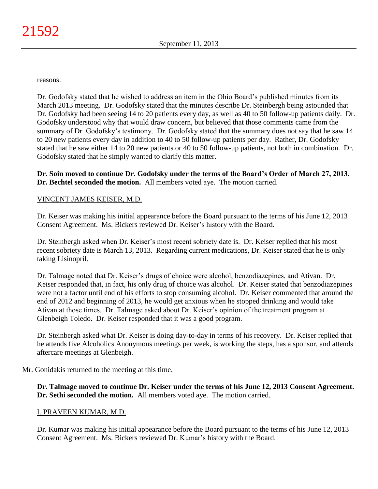reasons.

Dr. Godofsky stated that he wished to address an item in the Ohio Board's published minutes from its March 2013 meeting. Dr. Godofsky stated that the minutes describe Dr. Steinbergh being astounded that Dr. Godofsky had been seeing 14 to 20 patients every day, as well as 40 to 50 follow-up patients daily. Dr. Godofsky understood why that would draw concern, but believed that those comments came from the summary of Dr. Godofsky's testimony. Dr. Godofsky stated that the summary does not say that he saw 14 to 20 new patients every day in addition to 40 to 50 follow-up patients per day. Rather, Dr. Godofsky stated that he saw either 14 to 20 new patients or 40 to 50 follow-up patients, not both in combination. Dr. Godofsky stated that he simply wanted to clarify this matter.

**Dr. Soin moved to continue Dr. Godofsky under the terms of the Board's Order of March 27, 2013. Dr. Bechtel seconded the motion.** All members voted aye. The motion carried.

## VINCENT JAMES KEISER, M.D.

Dr. Keiser was making his initial appearance before the Board pursuant to the terms of his June 12, 2013 Consent Agreement. Ms. Bickers reviewed Dr. Keiser's history with the Board.

Dr. Steinbergh asked when Dr. Keiser's most recent sobriety date is. Dr. Keiser replied that his most recent sobriety date is March 13, 2013. Regarding current medications, Dr. Keiser stated that he is only taking Lisinopril.

Dr. Talmage noted that Dr. Keiser's drugs of choice were alcohol, benzodiazepines, and Ativan. Dr. Keiser responded that, in fact, his only drug of choice was alcohol. Dr. Keiser stated that benzodiazepines were not a factor until end of his efforts to stop consuming alcohol. Dr. Keiser commented that around the end of 2012 and beginning of 2013, he would get anxious when he stopped drinking and would take Ativan at those times. Dr. Talmage asked about Dr. Keiser's opinion of the treatment program at Glenbeigh Toledo. Dr. Keiser responded that it was a good program.

Dr. Steinbergh asked what Dr. Keiser is doing day-to-day in terms of his recovery. Dr. Keiser replied that he attends five Alcoholics Anonymous meetings per week, is working the steps, has a sponsor, and attends aftercare meetings at Glenbeigh.

Mr. Gonidakis returned to the meeting at this time.

**Dr. Talmage moved to continue Dr. Keiser under the terms of his June 12, 2013 Consent Agreement. Dr. Sethi seconded the motion.** All members voted aye. The motion carried.

# I. PRAVEEN KUMAR, M.D.

Dr. Kumar was making his initial appearance before the Board pursuant to the terms of his June 12, 2013 Consent Agreement. Ms. Bickers reviewed Dr. Kumar's history with the Board.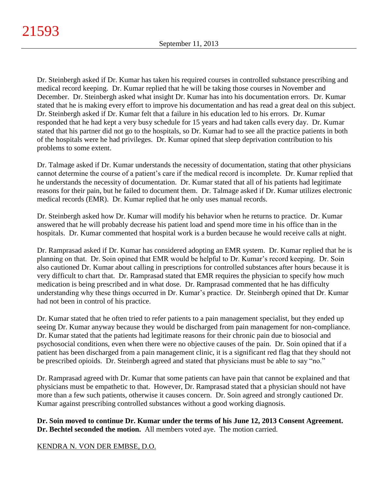Dr. Steinbergh asked if Dr. Kumar has taken his required courses in controlled substance prescribing and medical record keeping. Dr. Kumar replied that he will be taking those courses in November and December. Dr. Steinbergh asked what insight Dr. Kumar has into his documentation errors. Dr. Kumar stated that he is making every effort to improve his documentation and has read a great deal on this subject. Dr. Steinbergh asked if Dr. Kumar felt that a failure in his education led to his errors. Dr. Kumar responded that he had kept a very busy schedule for 15 years and had taken calls every day. Dr. Kumar stated that his partner did not go to the hospitals, so Dr. Kumar had to see all the practice patients in both of the hospitals were he had privileges. Dr. Kumar opined that sleep deprivation contribution to his problems to some extent.

Dr. Talmage asked if Dr. Kumar understands the necessity of documentation, stating that other physicians cannot determine the course of a patient's care if the medical record is incomplete. Dr. Kumar replied that he understands the necessity of documentation. Dr. Kumar stated that all of his patients had legitimate reasons for their pain, but he failed to document them. Dr. Talmage asked if Dr. Kumar utilizes electronic medical records (EMR). Dr. Kumar replied that he only uses manual records.

Dr. Steinbergh asked how Dr. Kumar will modify his behavior when he returns to practice. Dr. Kumar answered that he will probably decrease his patient load and spend more time in his office than in the hospitals. Dr. Kumar commented that hospital work is a burden because he would receive calls at night.

Dr. Ramprasad asked if Dr. Kumar has considered adopting an EMR system. Dr. Kumar replied that he is planning on that. Dr. Soin opined that EMR would be helpful to Dr. Kumar's record keeping. Dr. Soin also cautioned Dr. Kumar about calling in prescriptions for controlled substances after hours because it is very difficult to chart that. Dr. Ramprasad stated that EMR requires the physician to specify how much medication is being prescribed and in what dose. Dr. Ramprasad commented that he has difficulty understanding why these things occurred in Dr. Kumar's practice. Dr. Steinbergh opined that Dr. Kumar had not been in control of his practice.

Dr. Kumar stated that he often tried to refer patients to a pain management specialist, but they ended up seeing Dr. Kumar anyway because they would be discharged from pain management for non-compliance. Dr. Kumar stated that the patients had legitimate reasons for their chronic pain due to biosocial and psychosocial conditions, even when there were no objective causes of the pain. Dr. Soin opined that if a patient has been discharged from a pain management clinic, it is a significant red flag that they should not be prescribed opioids. Dr. Steinbergh agreed and stated that physicians must be able to say "no."

Dr. Ramprasad agreed with Dr. Kumar that some patients can have pain that cannot be explained and that physicians must be empathetic to that. However, Dr. Ramprasad stated that a physician should not have more than a few such patients, otherwise it causes concern. Dr. Soin agreed and strongly cautioned Dr. Kumar against prescribing controlled substances without a good working diagnosis.

**Dr. Soin moved to continue Dr. Kumar under the terms of his June 12, 2013 Consent Agreement. Dr. Bechtel seconded the motion.** All members voted aye. The motion carried.

# KENDRA N. VON DER EMBSE, D.O.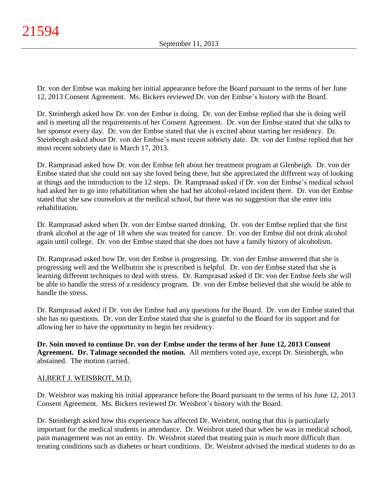Dr. von der Embse was making her initial appearance before the Board pursuant to the terms of her June 12, 2013 Consent Agreement. Ms. Bickers reviewed Dr. von der Embse's history with the Board.

Dr. Steinbergh asked how Dr. von der Embse is doing. Dr. von der Embse replied that she is doing well and is meeting all the requirements of her Consent Agreement. Dr. von der Embse stated that she talks to her sponsor every day. Dr. von der Embse stated that she is excited about starting her residency. Dr. Steinbergh asked about Dr. von der Embse's most recent sobriety date. Dr. von der Embse replied that her most recent sobriety date is March 17, 2013.

Dr. Ramprasad asked how Dr. von der Embse felt about her treatment program at Glenbeigh. Dr. von der Embse stated that she could not say she loved being there, but she appreciated the different way of looking at things and the introduction to the 12 steps. Dr. Ramprasad asked if Dr. von der Embse's medical school had asked her to go into rehabilitation when she had her alcohol-related incident there. Dr. von der Embse stated that she saw counselors at the medical school, but there was no suggestion that she enter into rehabilitation.

Dr. Ramprasad asked when Dr. von der Embse started drinking. Dr. von der Embse replied that she first drank alcohol at the age of 18 when she was treated for cancer. Dr. von der Embse did not drink alcohol again until college. Dr. von der Embse stated that she does not have a family history of alcoholism.

Dr. Ramprasad asked how Dr. von der Embse is progressing. Dr. von der Embse answered that she is progressing well and the Wellbutrin she is prescribed is helpful. Dr. von der Embse stated that she is learning different techniques to deal with stress. Dr. Ramprasad asked if Dr. von der Embse feels she will be able to handle the stress of a residency program. Dr. von der Embse believed that she would be able to handle the stress.

Dr. Ramprasad asked if Dr. von der Embse had any questions for the Board. Dr. von der Embse stated that she has no questions. Dr. von der Embse stated that she is grateful to the Board for its support and for allowing her to have the opportunity to begin her residency.

**Dr. Soin moved to continue Dr. von der Embse under the terms of her June 12, 2013 Consent Agreement. Dr. Talmage seconded the motion.** All members voted aye, except Dr. Steinbergh, who abstained. The motion carried.

# ALBERT J. WEISBROT, M.D.

Dr. Weisbrot was making his initial appearance before the Board pursuant to the terms of his June 12, 2013 Consent Agreement. Ms. Bickers reviewed Dr. Weisbrot's history with the Board.

Dr. Steinbergh asked how this experience has affected Dr. Weisbrot, noting that this is particularly important for the medical students in attendance. Dr. Weisbrot stated that when he was in medical school, pain management was not an entity. Dr. Weisbrot stated that treating pain is much more difficult than treating conditions such as diabetes or heart conditions. Dr. Weisbrot advised the medical students to do as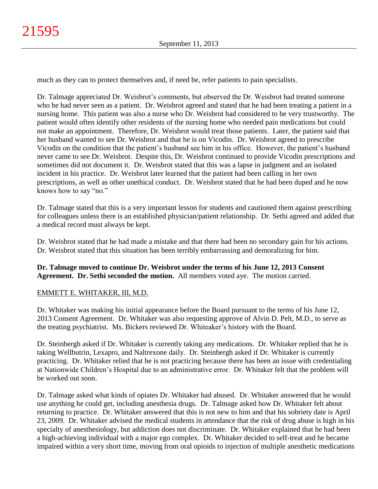much as they can to protect themselves and, if need be, refer patients to pain specialists.

Dr. Talmage appreciated Dr. Weisbrot's comments, but observed the Dr. Weisbrot had treated someone who he had never seen as a patient. Dr. Weisbrot agreed and stated that he had been treating a patient in a nursing home. This patient was also a nurse who Dr. Weisbrot had considered to be very trustworthy. The patient would often identify other residents of the nursing home who needed pain medications but could not make an appointment. Therefore, Dr. Weisbrot would treat those patients. Later, the patient said that her husband wanted to see Dr. Weisbrot and that he is on Vicodin. Dr. Weisbrot agreed to prescribe Vicodin on the condition that the patient's husband see him in his office. However, the patient's husband never came to see Dr. Weisbrot. Despite this, Dr. Weisbrot continued to provide Vicodin prescriptions and sometimes did not document it. Dr. Weisbrot stated that this was a lapse in judgment and an isolated incident in his practice. Dr. Weisbrot later learned that the patient had been calling in her own prescriptions, as well as other unethical conduct. Dr. Weisbrot stated that he had been duped and he now knows how to say "no."

Dr. Talmage stated that this is a very important lesson for students and cautioned them against prescribing for colleagues unless there is an established physician/patient relationship. Dr. Sethi agreed and added that a medical record must always be kept.

Dr. Weisbrot stated that he had made a mistake and that there had been no secondary gain for his actions. Dr. Weisbrot stated that this situation has been terribly embarrassing and demoralizing for him.

**Dr. Talmage moved to continue Dr. Weisbrot under the terms of his June 12, 2013 Consent Agreement. Dr. Sethi seconded the motion.** All members voted aye. The motion carried.

# EMMETT E. WHITAKER, III, M.D.

Dr. Whitaker was making his initial appearance before the Board pursuant to the terms of his June 12, 2013 Consent Agreement. Dr. Whitaker was also requesting approve of Alvin D. Pelt, M.D., to serve as the treating psychiatrist. Ms. Bickers reviewed Dr. Whiteaker's history with the Board.

Dr. Steinbergh asked if Dr. Whitaker is currently taking any medications. Dr. Whitaker replied that he is taking Wellbutrin, Lexapro, and Naltrexone daily. Dr. Steinbergh asked if Dr. Whitaker is currently practicing. Dr. Whitaker relied that he is not practicing because there has been an issue with credentialing at Nationwide Children's Hospital due to an administrative error. Dr. Whitaker felt that the problem will be worked out soon.

Dr. Talmage asked what kinds of opiates Dr. Whitaker had abused. Dr. Whitaker answered that he would use anything he could get, including anesthesia drugs. Dr. Talmage asked how Dr. Whitaker felt about returning to practice. Dr. Whitaker answered that this is not new to him and that his sobriety date is April 23, 2009. Dr. Whitaker advised the medical students in attendance that the risk of drug abuse is high in his specialty of anesthesiology, but addiction does not discriminate. Dr. Whitaker explained that he had been a high-achieving individual with a major ego complex. Dr. Whitaker decided to self-treat and he became impaired within a very short time, moving from oral opioids to injection of multiple anesthetic medications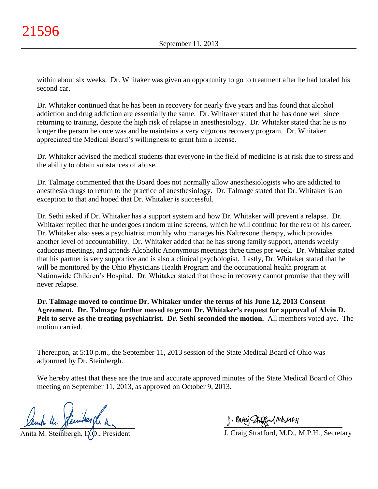within about six weeks. Dr. Whitaker was given an opportunity to go to treatment after he had totaled his second car.

Dr. Whitaker continued that he has been in recovery for nearly five years and has found that alcohol addiction and drug addiction are essentially the same. Dr. Whitaker stated that he has done well since returning to training, despite the high risk of relapse in anesthesiology. Dr. Whitaker stated that he is no longer the person he once was and he maintains a very vigorous recovery program. Dr. Whitaker appreciated the Medical Board's willingness to grant him a license.

Dr. Whitaker advised the medical students that everyone in the field of medicine is at risk due to stress and the ability to obtain substances of abuse.

Dr. Talmage commented that the Board does not normally allow anesthesiologists who are addicted to anesthesia drugs to return to the practice of anesthesiology. Dr. Talmage stated that Dr. Whitaker is an exception to that and hoped that Dr. Whitaker is successful.

Dr. Sethi asked if Dr. Whitaker has a support system and how Dr. Whitaker will prevent a relapse. Dr. Whitaker replied that he undergoes random urine screens, which he will continue for the rest of his career. Dr. Whitaker also sees a psychiatrist monthly who manages his Naltrexone therapy, which provides another level of accountability. Dr. Whitaker added that he has strong family support, attends weekly caduceus meetings, and attends Alcoholic Anonymous meetings three times per week. Dr. Whitaker stated that his partner is very supportive and is also a clinical psychologist. Lastly, Dr. Whitaker stated that he will be monitored by the Ohio Physicians Health Program and the occupational health program at Nationwide Children's Hospital. Dr. Whitaker stated that those in recovery cannot promise that they will never relapse.

**Dr. Talmage moved to continue Dr. Whitaker under the terms of his June 12, 2013 Consent Agreement. Dr. Talmage further moved to grant Dr. Whitaker's request for approval of Alvin D. Pelt to serve as the treating psychiatrist. Dr. Sethi seconded the motion.** All members voted aye. The motion carried.

Thereupon, at 5:10 p.m., the September 11, 2013 session of the State Medical Board of Ohio was adjourned by Dr. Steinbergh.

We hereby attest that these are the true and accurate approved minutes of the State Medical Board of Ohio meeting on September 11, 2013, as approved on October 9, 2013.

 $x$ empa m. pamangan

Anita M. Steinbergh, D.D., President

 $\frac{1}{2}$  and since  $\frac{1}{2}$ 

J. Craig Strafford, M.D., M.P.H., Secretary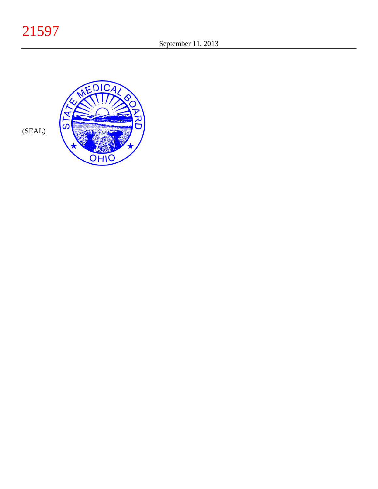21597



(SEAL)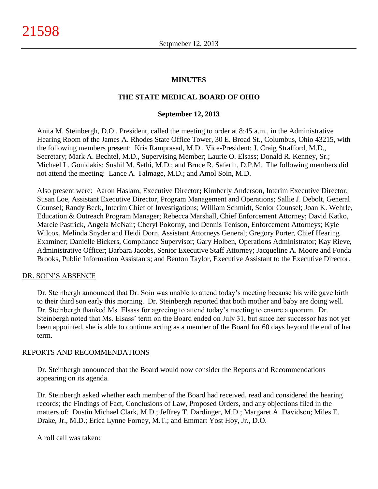### **MINUTES**

### **THE STATE MEDICAL BOARD OF OHIO**

#### **September 12, 2013**

Anita M. Steinbergh, D.O., President, called the meeting to order at 8:45 a.m., in the Administrative Hearing Room of the James A. Rhodes State Office Tower, 30 E. Broad St., Columbus, Ohio 43215, with the following members present: Kris Ramprasad, M.D., Vice-President; J. Craig Strafford, M.D., Secretary; Mark A. Bechtel, M.D., Supervising Member; Laurie O. Elsass; Donald R. Kenney, Sr.; Michael L. Gonidakis; Sushil M. Sethi, M.D.; and Bruce R. Saferin, D.P.M. The following members did not attend the meeting: Lance A. Talmage, M.D.; and Amol Soin, M.D.

Also present were: Aaron Haslam, Executive Director**;** Kimberly Anderson, Interim Executive Director; Susan Loe, Assistant Executive Director, Program Management and Operations; Sallie J. Debolt, General Counsel; Randy Beck, Interim Chief of Investigations; William Schmidt, Senior Counsel; Joan K. Wehrle, Education & Outreach Program Manager; Rebecca Marshall, Chief Enforcement Attorney; David Katko, Marcie Pastrick, Angela McNair; Cheryl Pokorny, and Dennis Tenison, Enforcement Attorneys; Kyle Wilcox, Melinda Snyder and Heidi Dorn, Assistant Attorneys General; Gregory Porter, Chief Hearing Examiner; Danielle Bickers, Compliance Supervisor; Gary Holben, Operations Administrator; Kay Rieve, Administrative Officer; Barbara Jacobs, Senior Executive Staff Attorney; Jacqueline A. Moore and Fonda Brooks, Public Information Assistants; and Benton Taylor, Executive Assistant to the Executive Director.

#### DR. SOIN'S ABSENCE

Dr. Steinbergh announced that Dr. Soin was unable to attend today's meeting because his wife gave birth to their third son early this morning. Dr. Steinbergh reported that both mother and baby are doing well. Dr. Steinbergh thanked Ms. Elsass for agreeing to attend today's meeting to ensure a quorum. Dr. Steinbergh noted that Ms. Elsass' term on the Board ended on July 31, but since her successor has not yet been appointed, she is able to continue acting as a member of the Board for 60 days beyond the end of her term.

#### REPORTS AND RECOMMENDATIONS

Dr. Steinbergh announced that the Board would now consider the Reports and Recommendations appearing on its agenda.

Dr. Steinbergh asked whether each member of the Board had received, read and considered the hearing records; the Findings of Fact, Conclusions of Law, Proposed Orders, and any objections filed in the matters of: Dustin Michael Clark, M.D.; Jeffrey T. Dardinger, M.D.; Margaret A. Davidson; Miles E. Drake, Jr., M.D.; Erica Lynne Forney, M.T.; and Emmart Yost Hoy, Jr., D.O.

A roll call was taken: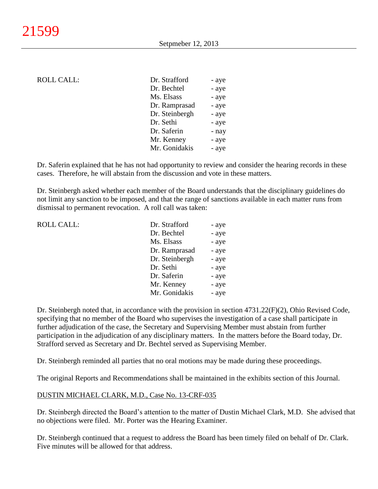### ROLL CALL:

| Dr. Strafford  | - aye |
|----------------|-------|
| Dr. Bechtel    | - aye |
| Ms. Elsass     | - aye |
| Dr. Ramprasad  | - aye |
| Dr. Steinbergh | - aye |
| Dr. Sethi      | - aye |
| Dr. Saferin    | - nay |
| Mr. Kenney     | - aye |
| Mr. Gonidakis  | - aye |
|                |       |

Dr. Saferin explained that he has not had opportunity to review and consider the hearing records in these cases. Therefore, he will abstain from the discussion and vote in these matters.

Dr. Steinbergh asked whether each member of the Board understands that the disciplinary guidelines do not limit any sanction to be imposed, and that the range of sanctions available in each matter runs from dismissal to permanent revocation. A roll call was taken:

| <b>ROLL CALL:</b> | Dr. Strafford  | - aye |
|-------------------|----------------|-------|
|                   | Dr. Bechtel    | - aye |
|                   | Ms. Elsass     | - aye |
|                   | Dr. Ramprasad  | - aye |
|                   | Dr. Steinbergh | - aye |
|                   | Dr. Sethi      | - aye |
|                   | Dr. Saferin    | - aye |
|                   | Mr. Kenney     | - aye |
|                   | Mr. Gonidakis  | - aye |
|                   |                |       |

Dr. Steinbergh noted that, in accordance with the provision in section 4731.22(F)(2), Ohio Revised Code, specifying that no member of the Board who supervises the investigation of a case shall participate in further adjudication of the case, the Secretary and Supervising Member must abstain from further participation in the adjudication of any disciplinary matters. In the matters before the Board today, Dr. Strafford served as Secretary and Dr. Bechtel served as Supervising Member.

Dr. Steinbergh reminded all parties that no oral motions may be made during these proceedings.

The original Reports and Recommendations shall be maintained in the exhibits section of this Journal.

### DUSTIN MICHAEL CLARK, M.D., Case No. 13-CRF-035

Dr. Steinbergh directed the Board's attention to the matter of Dustin Michael Clark, M.D. She advised that no objections were filed. Mr. Porter was the Hearing Examiner.

Dr. Steinbergh continued that a request to address the Board has been timely filed on behalf of Dr. Clark. Five minutes will be allowed for that address.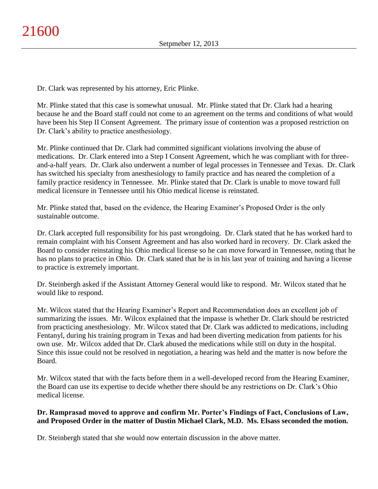Dr. Clark was represented by his attorney, Eric Plinke.

Mr. Plinke stated that this case is somewhat unusual. Mr. Plinke stated that Dr. Clark had a hearing because he and the Board staff could not come to an agreement on the terms and conditions of what would have been his Step II Consent Agreement. The primary issue of contention was a proposed restriction on Dr. Clark's ability to practice anesthesiology.

Mr. Plinke continued that Dr. Clark had committed significant violations involving the abuse of medications. Dr. Clark entered into a Step I Consent Agreement, which he was compliant with for threeand-a-half years. Dr. Clark also underwent a number of legal processes in Tennessee and Texas. Dr. Clark has switched his specialty from anesthesiology to family practice and has neared the completion of a family practice residency in Tennessee. Mr. Plinke stated that Dr. Clark is unable to move toward full medical licensure in Tennessee until his Ohio medical license is reinstated.

Mr. Plinke stated that, based on the evidence, the Hearing Examiner's Proposed Order is the only sustainable outcome.

Dr. Clark accepted full responsibility for his past wrongdoing. Dr. Clark stated that he has worked hard to remain complaint with his Consent Agreement and has also worked hard in recovery. Dr. Clark asked the Board to consider reinstating his Ohio medical license so he can move forward in Tennessee, noting that he has no plans to practice in Ohio. Dr. Clark stated that he is in his last year of training and having a license to practice is extremely important.

Dr. Steinbergh asked if the Assistant Attorney General would like to respond. Mr. Wilcox stated that he would like to respond.

Mr. Wilcox stated that the Hearing Examiner's Report and Recommendation does an excellent job of summarizing the issues. Mr. Wilcox explained that the impasse is whether Dr. Clark should be restricted from practicing anesthesiology. Mr. Wilcox stated that Dr. Clark was addicted to medications, including Fentanyl, during his training program in Texas and had been diverting medication from patients for his own use. Mr. Wilcox added that Dr. Clark abused the medications while still on duty in the hospital. Since this issue could not be resolved in negotiation, a hearing was held and the matter is now before the Board.

Mr. Wilcox stated that with the facts before them in a well-developed record from the Hearing Examiner, the Board can use its expertise to decide whether there should be any restrictions on Dr. Clark's Ohio medical license.

# **Dr. Ramprasad moved to approve and confirm Mr. Porter's Findings of Fact, Conclusions of Law, and Proposed Order in the matter of Dustin Michael Clark, M.D. Ms. Elsass seconded the motion.**

Dr. Steinbergh stated that she would now entertain discussion in the above matter.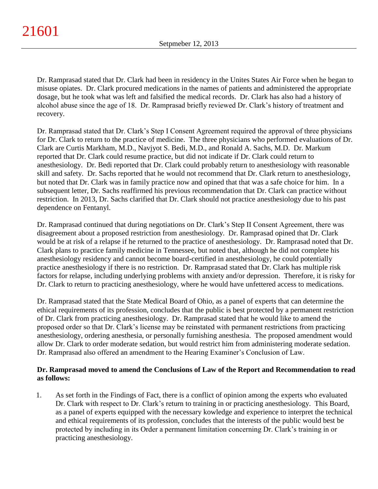Dr. Ramprasad stated that Dr. Clark had been in residency in the Unites States Air Force when he began to misuse opiates. Dr. Clark procured medications in the names of patients and administered the appropriate dosage, but he took what was left and falsified the medical records. Dr. Clark has also had a history of alcohol abuse since the age of 18. Dr. Ramprasad briefly reviewed Dr. Clark's history of treatment and recovery.

Dr. Ramprasad stated that Dr. Clark's Step I Consent Agreement required the approval of three physicians for Dr. Clark to return to the practice of medicine. The three physicians who performed evaluations of Dr. Clark are Curtis Markham, M.D., Navjyot S. Bedi, M.D., and Ronald A. Sachs, M.D. Dr. Markum reported that Dr. Clark could resume practice, but did not indicate if Dr. Clark could return to anesthesiology. Dr. Bedi reported that Dr. Clark could probably return to anesthesiology with reasonable skill and safety. Dr. Sachs reported that he would not recommend that Dr. Clark return to anesthesiology, but noted that Dr. Clark was in family practice now and opined that that was a safe choice for him. In a subsequent letter, Dr. Sachs reaffirmed his previous recommendation that Dr. Clark can practice without restriction. In 2013, Dr. Sachs clarified that Dr. Clark should not practice anesthesiology due to his past dependence on Fentanyl.

Dr. Ramprasad continued that during negotiations on Dr. Clark's Step II Consent Agreement, there was disagreement about a proposed restriction from anesthesiology. Dr. Ramprasad opined that Dr. Clark would be at risk of a relapse if he returned to the practice of anesthesiology. Dr. Ramprasad noted that Dr. Clark plans to practice family medicine in Tennessee, but noted that, although he did not complete his anesthesiology residency and cannot become board-certified in anesthesiology, he could potentially practice anesthesiology if there is no restriction. Dr. Ramprasad stated that Dr. Clark has multiple risk factors for relapse, including underlying problems with anxiety and/or depression. Therefore, it is risky for Dr. Clark to return to practicing anesthesiology, where he would have unfettered access to medications.

Dr. Ramprasad stated that the State Medical Board of Ohio, as a panel of experts that can determine the ethical requirements of its profession, concludes that the public is best protected by a permanent restriction of Dr. Clark from practicing anesthesiology. Dr. Ramprasad stated that he would like to amend the proposed order so that Dr. Clark's license may be reinstated with permanent restrictions from practicing anesthesiology, ordering anesthesia, or personally furnishing anesthesia. The proposed amendment would allow Dr. Clark to order moderate sedation, but would restrict him from administering moderate sedation. Dr. Ramprasad also offered an amendment to the Hearing Examiner's Conclusion of Law.

# **Dr. Ramprasad moved to amend the Conclusions of Law of the Report and Recommendation to read as follows:**

1. As set forth in the Findings of Fact, there is a conflict of opinion among the experts who evaluated Dr. Clark with respect to Dr. Clark's return to training in or practicing anesthesiology. This Board, as a panel of experts equipped with the necessary kowledge and experience to interpret the technical and ethical requirements of its profession, concludes that the interests of the public would best be protected by including in its Order a permanent limitation concerning Dr. Clark's training in or practicing anesthesiology.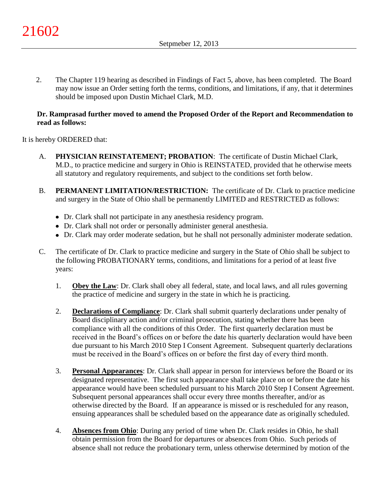2. The Chapter 119 hearing as described in Findings of Fact 5, above, has been completed. The Board may now issue an Order setting forth the terms, conditions, and limitations, if any, that it determines should be imposed upon Dustin Michael Clark, M.D.

### **Dr. Ramprasad further moved to amend the Proposed Order of the Report and Recommendation to read as follows:**

It is hereby ORDERED that:

- A. **PHYSICIAN REINSTATEMENT; PROBATION**: The certificate of Dustin Michael Clark, M.D., to practice medicine and surgery in Ohio is REINSTATED, provided that he otherwise meets all statutory and regulatory requirements, and subject to the conditions set forth below.
- B. **PERMANENT LIMITATION/RESTRICTION:** The certificate of Dr. Clark to practice medicine and surgery in the State of Ohio shall be permanently LIMITED and RESTRICTED as follows:
	- Dr. Clark shall not participate in any anesthesia residency program.
	- Dr. Clark shall not order or personally administer general anesthesia.
	- Dr. Clark may order moderate sedation, but he shall not personally administer moderate sedation.
- C. The certificate of Dr. Clark to practice medicine and surgery in the State of Ohio shall be subject to the following PROBATIONARY terms, conditions, and limitations for a period of at least five years:
	- 1. **Obey the Law**: Dr. Clark shall obey all federal, state, and local laws, and all rules governing the practice of medicine and surgery in the state in which he is practicing.
	- 2. **Declarations of Compliance**: Dr. Clark shall submit quarterly declarations under penalty of Board disciplinary action and/or criminal prosecution, stating whether there has been compliance with all the conditions of this Order. The first quarterly declaration must be received in the Board's offices on or before the date his quarterly declaration would have been due pursuant to his March 2010 Step I Consent Agreement. Subsequent quarterly declarations must be received in the Board's offices on or before the first day of every third month.
	- 3. **Personal Appearances**: Dr. Clark shall appear in person for interviews before the Board or its designated representative. The first such appearance shall take place on or before the date his appearance would have been scheduled pursuant to his March 2010 Step I Consent Agreement. Subsequent personal appearances shall occur every three months thereafter, and/or as otherwise directed by the Board. If an appearance is missed or is rescheduled for any reason, ensuing appearances shall be scheduled based on the appearance date as originally scheduled.
	- 4. **Absences from Ohio**: During any period of time when Dr. Clark resides in Ohio, he shall obtain permission from the Board for departures or absences from Ohio. Such periods of absence shall not reduce the probationary term, unless otherwise determined by motion of the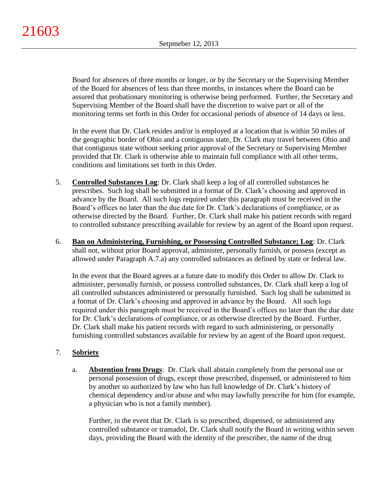Board for absences of three months or longer, or by the Secretary or the Supervising Member of the Board for absences of less than three months, in instances where the Board can be assured that probationary monitoring is otherwise being performed. Further, the Secretary and Supervising Member of the Board shall have the discretion to waive part or all of the monitoring terms set forth in this Order for occasional periods of absence of 14 days or less.

In the event that Dr. Clark resides and/or is employed at a location that is within 50 miles of the geographic border of Ohio and a contiguous state, Dr. Clark may travel between Ohio and that contiguous state without seeking prior approval of the Secretary or Supervising Member provided that Dr. Clark is otherwise able to maintain full compliance with all other terms, conditions and limitations set forth in this Order.

- 5. **Controlled Substances Log**: Dr. Clark shall keep a log of all controlled substances he prescribes. Such log shall be submitted in a format of Dr. Clark's choosing and approved in advance by the Board. All such logs required under this paragraph must be received in the Board's offices no later than the due date for Dr. Clark's declarations of compliance, or as otherwise directed by the Board. Further, Dr. Clark shall make his patient records with regard to controlled substance prescribing available for review by an agent of the Board upon request.
- 6. **Ban on Administering, Furnishing, or Possessing Controlled Substance; Log**: Dr. Clark shall not, without prior Board approval, administer, personally furnish, or possess (except as allowed under Paragraph A.7.a) any controlled substances as defined by state or federal law.

In the event that the Board agrees at a future date to modify this Order to allow Dr. Clark to administer, personally furnish, or possess controlled substances, Dr. Clark shall keep a log of all controlled substances administered or personally furnished. Such log shall be submitted in a format of Dr. Clark's choosing and approved in advance by the Board. All such logs required under this paragraph must be received in the Board's offices no later than the due date for Dr. Clark's declarations of compliance, or as otherwise directed by the Board. Further, Dr. Clark shall make his patient records with regard to such administering, or personally furnishing controlled substances available for review by an agent of the Board upon request.

# 7. **Sobriety**

a. **Abstention from Drugs**: Dr. Clark shall abstain completely from the personal use or personal possession of drugs, except those prescribed, dispensed, or administered to him by another so authorized by law who has full knowledge of Dr. Clark's history of chemical dependency and/or abuse and who may lawfully prescribe for him (for example, a physician who is not a family member).

Further, in the event that Dr. Clark is so prescribed, dispensed, or administered any controlled substance or tramadol, Dr. Clark shall notify the Board in writing within seven days, providing the Board with the identity of the prescriber, the name of the drug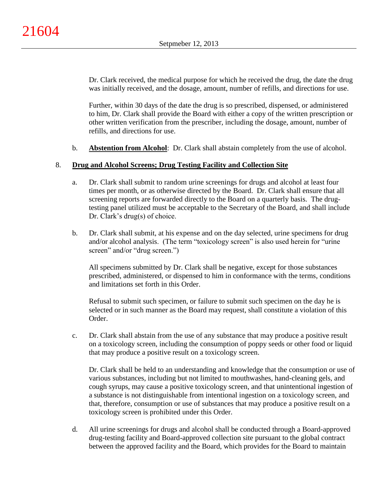Dr. Clark received, the medical purpose for which he received the drug, the date the drug was initially received, and the dosage, amount, number of refills, and directions for use.

Further, within 30 days of the date the drug is so prescribed, dispensed, or administered to him, Dr. Clark shall provide the Board with either a copy of the written prescription or other written verification from the prescriber, including the dosage, amount, number of refills, and directions for use.

b. **Abstention from Alcohol**: Dr. Clark shall abstain completely from the use of alcohol.

### 8. **Drug and Alcohol Screens; Drug Testing Facility and Collection Site**

- a. Dr. Clark shall submit to random urine screenings for drugs and alcohol at least four times per month, or as otherwise directed by the Board. Dr. Clark shall ensure that all screening reports are forwarded directly to the Board on a quarterly basis. The drugtesting panel utilized must be acceptable to the Secretary of the Board, and shall include Dr. Clark's drug(s) of choice.
- b. Dr. Clark shall submit, at his expense and on the day selected, urine specimens for drug and/or alcohol analysis. (The term "toxicology screen" is also used herein for "urine screen" and/or "drug screen.")

All specimens submitted by Dr. Clark shall be negative, except for those substances prescribed, administered, or dispensed to him in conformance with the terms, conditions and limitations set forth in this Order.

Refusal to submit such specimen, or failure to submit such specimen on the day he is selected or in such manner as the Board may request, shall constitute a violation of this Order.

c. Dr. Clark shall abstain from the use of any substance that may produce a positive result on a toxicology screen, including the consumption of poppy seeds or other food or liquid that may produce a positive result on a toxicology screen.

Dr. Clark shall be held to an understanding and knowledge that the consumption or use of various substances, including but not limited to mouthwashes, hand-cleaning gels, and cough syrups, may cause a positive toxicology screen, and that unintentional ingestion of a substance is not distinguishable from intentional ingestion on a toxicology screen, and that, therefore, consumption or use of substances that may produce a positive result on a toxicology screen is prohibited under this Order.

d. All urine screenings for drugs and alcohol shall be conducted through a Board-approved drug-testing facility and Board-approved collection site pursuant to the global contract between the approved facility and the Board, which provides for the Board to maintain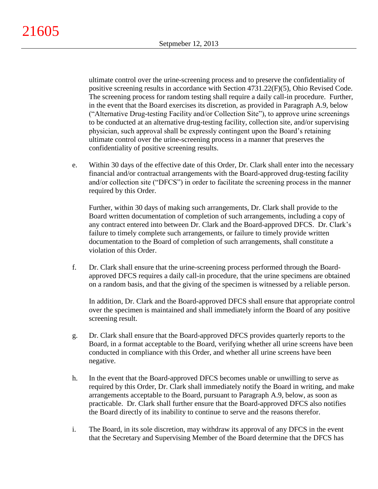ultimate control over the urine-screening process and to preserve the confidentiality of positive screening results in accordance with Section 4731.22(F)(5), Ohio Revised Code. The screening process for random testing shall require a daily call-in procedure. Further, in the event that the Board exercises its discretion, as provided in Paragraph A.9, below ("Alternative Drug-testing Facility and/or Collection Site"), to approve urine screenings to be conducted at an alternative drug-testing facility, collection site, and/or supervising physician, such approval shall be expressly contingent upon the Board's retaining ultimate control over the urine-screening process in a manner that preserves the confidentiality of positive screening results.

e. Within 30 days of the effective date of this Order, Dr. Clark shall enter into the necessary financial and/or contractual arrangements with the Board-approved drug-testing facility and/or collection site ("DFCS") in order to facilitate the screening process in the manner required by this Order.

Further, within 30 days of making such arrangements, Dr. Clark shall provide to the Board written documentation of completion of such arrangements, including a copy of any contract entered into between Dr. Clark and the Board-approved DFCS. Dr. Clark's failure to timely complete such arrangements, or failure to timely provide written documentation to the Board of completion of such arrangements, shall constitute a violation of this Order.

f. Dr. Clark shall ensure that the urine-screening process performed through the Boardapproved DFCS requires a daily call-in procedure, that the urine specimens are obtained on a random basis, and that the giving of the specimen is witnessed by a reliable person.

In addition, Dr. Clark and the Board-approved DFCS shall ensure that appropriate control over the specimen is maintained and shall immediately inform the Board of any positive screening result.

- g. Dr. Clark shall ensure that the Board-approved DFCS provides quarterly reports to the Board, in a format acceptable to the Board, verifying whether all urine screens have been conducted in compliance with this Order, and whether all urine screens have been negative.
- h. In the event that the Board-approved DFCS becomes unable or unwilling to serve as required by this Order, Dr. Clark shall immediately notify the Board in writing, and make arrangements acceptable to the Board, pursuant to Paragraph A.9, below, as soon as practicable. Dr. Clark shall further ensure that the Board-approved DFCS also notifies the Board directly of its inability to continue to serve and the reasons therefor.
- i. The Board, in its sole discretion, may withdraw its approval of any DFCS in the event that the Secretary and Supervising Member of the Board determine that the DFCS has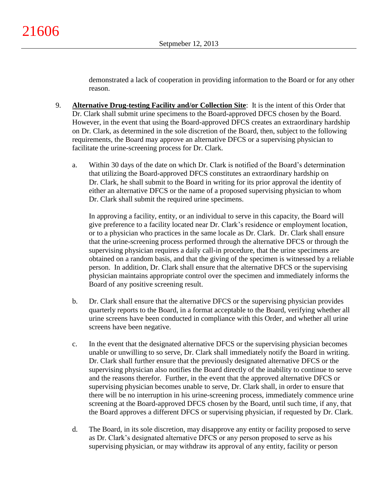demonstrated a lack of cooperation in providing information to the Board or for any other reason.

- 9. **Alternative Drug-testing Facility and/or Collection Site**:It is the intent of this Order that Dr. Clark shall submit urine specimens to the Board-approved DFCS chosen by the Board. However, in the event that using the Board-approved DFCS creates an extraordinary hardship on Dr. Clark, as determined in the sole discretion of the Board, then, subject to the following requirements, the Board may approve an alternative DFCS or a supervising physician to facilitate the urine-screening process for Dr. Clark.
	- a. Within 30 days of the date on which Dr. Clark is notified of the Board's determination that utilizing the Board-approved DFCS constitutes an extraordinary hardship on Dr. Clark, he shall submit to the Board in writing for its prior approval the identity of either an alternative DFCS or the name of a proposed supervising physician to whom Dr. Clark shall submit the required urine specimens.

In approving a facility, entity, or an individual to serve in this capacity, the Board will give preference to a facility located near Dr. Clark's residence or employment location, or to a physician who practices in the same locale as Dr. Clark. Dr. Clark shall ensure that the urine-screening process performed through the alternative DFCS or through the supervising physician requires a daily call-in procedure, that the urine specimens are obtained on a random basis, and that the giving of the specimen is witnessed by a reliable person. In addition, Dr. Clark shall ensure that the alternative DFCS or the supervising physician maintains appropriate control over the specimen and immediately informs the Board of any positive screening result.

- b. Dr. Clark shall ensure that the alternative DFCS or the supervising physician provides quarterly reports to the Board, in a format acceptable to the Board, verifying whether all urine screens have been conducted in compliance with this Order, and whether all urine screens have been negative.
- c. In the event that the designated alternative DFCS or the supervising physician becomes unable or unwilling to so serve, Dr. Clark shall immediately notify the Board in writing. Dr. Clark shall further ensure that the previously designated alternative DFCS or the supervising physician also notifies the Board directly of the inability to continue to serve and the reasons therefor. Further, in the event that the approved alternative DFCS or supervising physician becomes unable to serve, Dr. Clark shall, in order to ensure that there will be no interruption in his urine-screening process, immediately commence urine screening at the Board-approved DFCS chosen by the Board, until such time, if any, that the Board approves a different DFCS or supervising physician, if requested by Dr. Clark.
- d. The Board, in its sole discretion, may disapprove any entity or facility proposed to serve as Dr. Clark's designated alternative DFCS or any person proposed to serve as his supervising physician, or may withdraw its approval of any entity, facility or person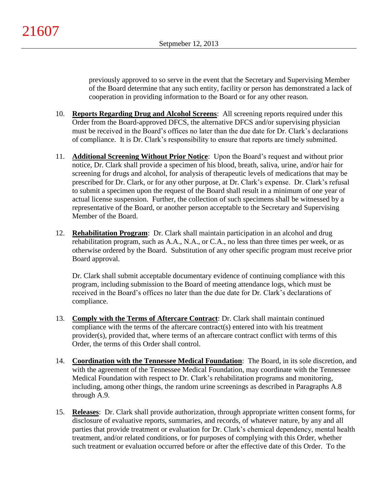previously approved to so serve in the event that the Secretary and Supervising Member of the Board determine that any such entity, facility or person has demonstrated a lack of cooperation in providing information to the Board or for any other reason.

- 10. **Reports Regarding Drug and Alcohol Screens**: All screening reports required under this Order from the Board-approved DFCS, the alternative DFCS and/or supervising physician must be received in the Board's offices no later than the due date for Dr. Clark's declarations of compliance. It is Dr. Clark's responsibility to ensure that reports are timely submitted.
- 11. **Additional Screening Without Prior Notice**: Upon the Board's request and without prior notice, Dr. Clark shall provide a specimen of his blood, breath, saliva, urine, and/or hair for screening for drugs and alcohol, for analysis of therapeutic levels of medications that may be prescribed for Dr. Clark, or for any other purpose, at Dr. Clark's expense. Dr. Clark's refusal to submit a specimen upon the request of the Board shall result in a minimum of one year of actual license suspension. Further, the collection of such specimens shall be witnessed by a representative of the Board, or another person acceptable to the Secretary and Supervising Member of the Board.
- 12. **Rehabilitation Program**: Dr. Clark shall maintain participation in an alcohol and drug rehabilitation program, such as A.A., N.A., or C.A., no less than three times per week, or as otherwise ordered by the Board. Substitution of any other specific program must receive prior Board approval.

Dr. Clark shall submit acceptable documentary evidence of continuing compliance with this program, including submission to the Board of meeting attendance logs, which must be received in the Board's offices no later than the due date for Dr. Clark's declarations of compliance.

- 13. **Comply with the Terms of Aftercare Contract**: Dr. Clark shall maintain continued compliance with the terms of the aftercare contract(s) entered into with his treatment provider(s), provided that, where terms of an aftercare contract conflict with terms of this Order, the terms of this Order shall control.
- 14. **Coordination with the Tennessee Medical Foundation**: The Board, in its sole discretion, and with the agreement of the Tennessee Medical Foundation, may coordinate with the Tennessee Medical Foundation with respect to Dr. Clark's rehabilitation programs and monitoring, including, among other things, the random urine screenings as described in Paragraphs A.8 through A.9.
- 15. **Releases**: Dr. Clark shall provide authorization, through appropriate written consent forms, for disclosure of evaluative reports, summaries, and records, of whatever nature, by any and all parties that provide treatment or evaluation for Dr. Clark's chemical dependency, mental health treatment, and/or related conditions, or for purposes of complying with this Order, whether such treatment or evaluation occurred before or after the effective date of this Order. To the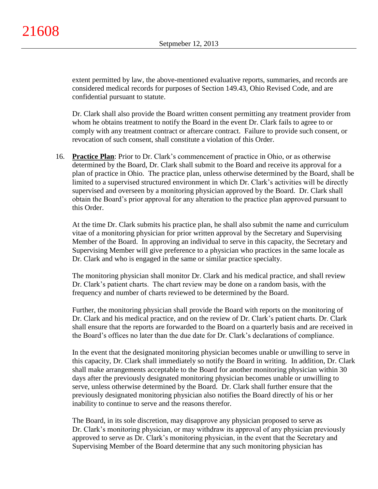extent permitted by law, the above-mentioned evaluative reports, summaries, and records are considered medical records for purposes of Section 149.43, Ohio Revised Code, and are confidential pursuant to statute.

Dr. Clark shall also provide the Board written consent permitting any treatment provider from whom he obtains treatment to notify the Board in the event Dr. Clark fails to agree to or comply with any treatment contract or aftercare contract. Failure to provide such consent, or revocation of such consent, shall constitute a violation of this Order.

16. **Practice Plan**: Prior to Dr. Clark's commencement of practice in Ohio, or as otherwise determined by the Board, Dr. Clark shall submit to the Board and receive its approval for a plan of practice in Ohio. The practice plan, unless otherwise determined by the Board, shall be limited to a supervised structured environment in which Dr. Clark's activities will be directly supervised and overseen by a monitoring physician approved by the Board. Dr. Clark shall obtain the Board's prior approval for any alteration to the practice plan approved pursuant to this Order.

At the time Dr. Clark submits his practice plan, he shall also submit the name and curriculum vitae of a monitoring physician for prior written approval by the Secretary and Supervising Member of the Board. In approving an individual to serve in this capacity, the Secretary and Supervising Member will give preference to a physician who practices in the same locale as Dr. Clark and who is engaged in the same or similar practice specialty.

The monitoring physician shall monitor Dr. Clark and his medical practice, and shall review Dr. Clark's patient charts. The chart review may be done on a random basis, with the frequency and number of charts reviewed to be determined by the Board.

Further, the monitoring physician shall provide the Board with reports on the monitoring of Dr. Clark and his medical practice, and on the review of Dr. Clark's patient charts. Dr. Clark shall ensure that the reports are forwarded to the Board on a quarterly basis and are received in the Board's offices no later than the due date for Dr. Clark's declarations of compliance.

In the event that the designated monitoring physician becomes unable or unwilling to serve in this capacity, Dr. Clark shall immediately so notify the Board in writing. In addition, Dr. Clark shall make arrangements acceptable to the Board for another monitoring physician within 30 days after the previously designated monitoring physician becomes unable or unwilling to serve, unless otherwise determined by the Board. Dr. Clark shall further ensure that the previously designated monitoring physician also notifies the Board directly of his or her inability to continue to serve and the reasons therefor.

The Board, in its sole discretion, may disapprove any physician proposed to serve as Dr. Clark's monitoring physician, or may withdraw its approval of any physician previously approved to serve as Dr. Clark's monitoring physician, in the event that the Secretary and Supervising Member of the Board determine that any such monitoring physician has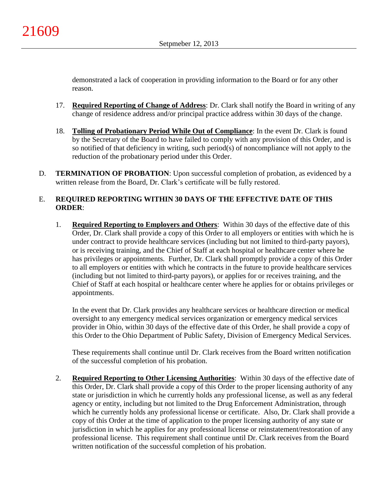demonstrated a lack of cooperation in providing information to the Board or for any other reason.

- 17. **Required Reporting of Change of Address**: Dr. Clark shall notify the Board in writing of any change of residence address and/or principal practice address within 30 days of the change.
- 18. **Tolling of Probationary Period While Out of Compliance**: In the event Dr. Clark is found by the Secretary of the Board to have failed to comply with any provision of this Order, and is so notified of that deficiency in writing, such period(s) of noncompliance will not apply to the reduction of the probationary period under this Order.
- D. **TERMINATION OF PROBATION**: Upon successful completion of probation, as evidenced by a written release from the Board, Dr. Clark's certificate will be fully restored.

# E. **REQUIRED REPORTING WITHIN 30 DAYS OF THE EFFECTIVE DATE OF THIS ORDER**:

1. **Required Reporting to Employers and Others**: Within 30 days of the effective date of this Order, Dr. Clark shall provide a copy of this Order to all employers or entities with which he is under contract to provide healthcare services (including but not limited to third-party payors), or is receiving training, and the Chief of Staff at each hospital or healthcare center where he has privileges or appointments. Further, Dr. Clark shall promptly provide a copy of this Order to all employers or entities with which he contracts in the future to provide healthcare services (including but not limited to third-party payors), or applies for or receives training, and the Chief of Staff at each hospital or healthcare center where he applies for or obtains privileges or appointments.

In the event that Dr. Clark provides any healthcare services or healthcare direction or medical oversight to any emergency medical services organization or emergency medical services provider in Ohio, within 30 days of the effective date of this Order, he shall provide a copy of this Order to the Ohio Department of Public Safety, Division of Emergency Medical Services.

These requirements shall continue until Dr. Clark receives from the Board written notification of the successful completion of his probation.

2. **Required Reporting to Other Licensing Authorities**: Within 30 days of the effective date of this Order, Dr. Clark shall provide a copy of this Order to the proper licensing authority of any state or jurisdiction in which he currently holds any professional license, as well as any federal agency or entity, including but not limited to the Drug Enforcement Administration, through which he currently holds any professional license or certificate. Also, Dr. Clark shall provide a copy of this Order at the time of application to the proper licensing authority of any state or jurisdiction in which he applies for any professional license or reinstatement/restoration of any professional license. This requirement shall continue until Dr. Clark receives from the Board written notification of the successful completion of his probation.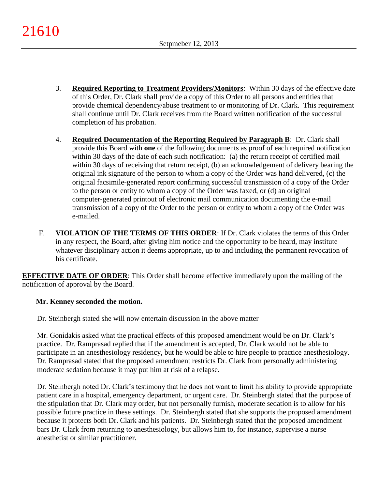- 3. **Required Reporting to Treatment Providers/Monitors**: Within 30 days of the effective date of this Order, Dr. Clark shall provide a copy of this Order to all persons and entities that provide chemical dependency/abuse treatment to or monitoring of Dr. Clark. This requirement shall continue until Dr. Clark receives from the Board written notification of the successful completion of his probation.
- 4. **Required Documentation of the Reporting Required by Paragraph B**: Dr. Clark shall provide this Board with **one** of the following documents as proof of each required notification within 30 days of the date of each such notification: (a) the return receipt of certified mail within 30 days of receiving that return receipt, (b) an acknowledgement of delivery bearing the original ink signature of the person to whom a copy of the Order was hand delivered, (c) the original facsimile-generated report confirming successful transmission of a copy of the Order to the person or entity to whom a copy of the Order was faxed, or (d) an original computer-generated printout of electronic mail communication documenting the e-mail transmission of a copy of the Order to the person or entity to whom a copy of the Order was e-mailed.
- F. **VIOLATION OF THE TERMS OF THIS ORDER**: If Dr. Clark violates the terms of this Order in any respect, the Board, after giving him notice and the opportunity to be heard, may institute whatever disciplinary action it deems appropriate, up to and including the permanent revocation of his certificate.

**EFFECTIVE DATE OF ORDER**: This Order shall become effective immediately upon the mailing of the notification of approval by the Board.

# **Mr. Kenney seconded the motion.**

Dr. Steinbergh stated she will now entertain discussion in the above matter

Mr. Gonidakis asked what the practical effects of this proposed amendment would be on Dr. Clark's practice. Dr. Ramprasad replied that if the amendment is accepted, Dr. Clark would not be able to participate in an anesthesiology residency, but he would be able to hire people to practice anesthesiology. Dr. Ramprasad stated that the proposed amendment restricts Dr. Clark from personally administering moderate sedation because it may put him at risk of a relapse.

Dr. Steinbergh noted Dr. Clark's testimony that he does not want to limit his ability to provide appropriate patient care in a hospital, emergency department, or urgent care. Dr. Steinbergh stated that the purpose of the stipulation that Dr. Clark may order, but not personally furnish, moderate sedation is to allow for his possible future practice in these settings. Dr. Steinbergh stated that she supports the proposed amendment because it protects both Dr. Clark and his patients. Dr. Steinbergh stated that the proposed amendment bars Dr. Clark from returning to anesthesiology, but allows him to, for instance, supervise a nurse anesthetist or similar practitioner.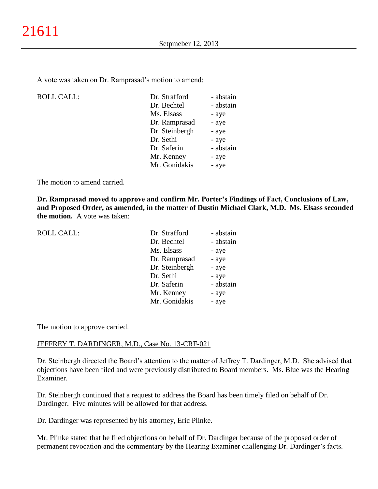A vote was taken on Dr. Ramprasad's motion to amend:

| <b>ROLL CALL:</b> | Dr. Strafford  | - abstain |
|-------------------|----------------|-----------|
|                   | Dr. Bechtel    | - abstain |
|                   | Ms. Elsass     | - aye     |
|                   | Dr. Ramprasad  | - aye     |
|                   | Dr. Steinbergh | - aye     |
|                   | Dr. Sethi      | - aye     |
|                   | Dr. Saferin    | - abstain |
|                   | Mr. Kenney     | - aye     |
|                   | Mr. Gonidakis  | - aye     |
|                   |                |           |

The motion to amend carried.

**Dr. Ramprasad moved to approve and confirm Mr. Porter's Findings of Fact, Conclusions of Law, and Proposed Order, as amended, in the matter of Dustin Michael Clark, M.D. Ms. Elsass seconded the motion.** A vote was taken:

| <b>ROLL CALL:</b> | Dr. Strafford  | - abstain |
|-------------------|----------------|-----------|
|                   | Dr. Bechtel    | - abstain |
|                   | Ms. Elsass     | - aye     |
|                   | Dr. Ramprasad  | - aye     |
|                   | Dr. Steinbergh | - aye     |
|                   | Dr. Sethi      | - aye     |
|                   | Dr. Saferin    | - abstain |
|                   | Mr. Kenney     | - aye     |
|                   | Mr. Gonidakis  | - aye     |
|                   |                |           |

The motion to approve carried.

### JEFFREY T. DARDINGER, M.D., Case No. 13-CRF-021

Dr. Steinbergh directed the Board's attention to the matter of Jeffrey T. Dardinger, M.D. She advised that objections have been filed and were previously distributed to Board members. Ms. Blue was the Hearing Examiner.

Dr. Steinbergh continued that a request to address the Board has been timely filed on behalf of Dr. Dardinger. Five minutes will be allowed for that address.

Dr. Dardinger was represented by his attorney, Eric Plinke.

Mr. Plinke stated that he filed objections on behalf of Dr. Dardinger because of the proposed order of permanent revocation and the commentary by the Hearing Examiner challenging Dr. Dardinger's facts.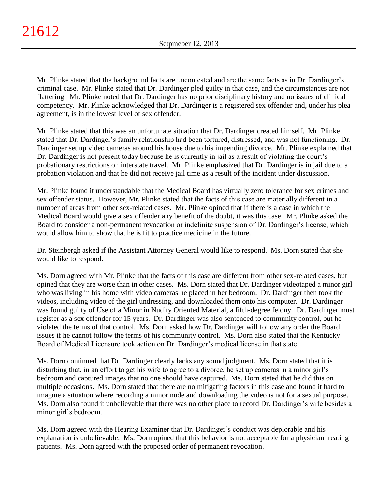Mr. Plinke stated that the background facts are uncontested and are the same facts as in Dr. Dardinger's criminal case. Mr. Plinke stated that Dr. Dardinger pled guilty in that case, and the circumstances are not flattering. Mr. Plinke noted that Dr. Dardinger has no prior disciplinary history and no issues of clinical competency. Mr. Plinke acknowledged that Dr. Dardinger is a registered sex offender and, under his plea agreement, is in the lowest level of sex offender.

Mr. Plinke stated that this was an unfortunate situation that Dr. Dardinger created himself. Mr. Plinke stated that Dr. Dardinger's family relationship had been tortured, distressed, and was not functioning. Dr. Dardinger set up video cameras around his house due to his impending divorce. Mr. Plinke explained that Dr. Dardinger is not present today because he is currently in jail as a result of violating the court's probationary restrictions on interstate travel. Mr. Plinke emphasized that Dr. Dardinger is in jail due to a probation violation and that he did not receive jail time as a result of the incident under discussion.

Mr. Plinke found it understandable that the Medical Board has virtually zero tolerance for sex crimes and sex offender status. However, Mr. Plinke stated that the facts of this case are materially different in a number of areas from other sex-related cases. Mr. Plinke opined that if there is a case in which the Medical Board would give a sex offender any benefit of the doubt, it was this case. Mr. Plinke asked the Board to consider a non-permanent revocation or indefinite suspension of Dr. Dardinger's license, which would allow him to show that he is fit to practice medicine in the future.

Dr. Steinbergh asked if the Assistant Attorney General would like to respond. Ms. Dorn stated that she would like to respond.

Ms. Dorn agreed with Mr. Plinke that the facts of this case are different from other sex-related cases, but opined that they are worse than in other cases. Ms. Dorn stated that Dr. Dardinger videotaped a minor girl who was living in his home with video cameras he placed in her bedroom. Dr. Dardinger then took the videos, including video of the girl undressing, and downloaded them onto his computer. Dr. Dardinger was found guilty of Use of a Minor in Nudity Oriented Material, a fifth-degree felony. Dr. Dardinger must register as a sex offender for 15 years. Dr. Dardinger was also sentenced to community control, but he violated the terms of that control. Ms. Dorn asked how Dr. Dardinger will follow any order the Board issues if he cannot follow the terms of his community control. Ms. Dorn also stated that the Kentucky Board of Medical Licensure took action on Dr. Dardinger's medical license in that state.

Ms. Dorn continued that Dr. Dardinger clearly lacks any sound judgment. Ms. Dorn stated that it is disturbing that, in an effort to get his wife to agree to a divorce, he set up cameras in a minor girl's bedroom and captured images that no one should have captured. Ms. Dorn stated that he did this on multiple occasions. Ms. Dorn stated that there are no mitigating factors in this case and found it hard to imagine a situation where recording a minor nude and downloading the video is not for a sexual purpose. Ms. Dorn also found it unbelievable that there was no other place to record Dr. Dardinger's wife besides a minor girl's bedroom.

Ms. Dorn agreed with the Hearing Examiner that Dr. Dardinger's conduct was deplorable and his explanation is unbelievable. Ms. Dorn opined that this behavior is not acceptable for a physician treating patients. Ms. Dorn agreed with the proposed order of permanent revocation.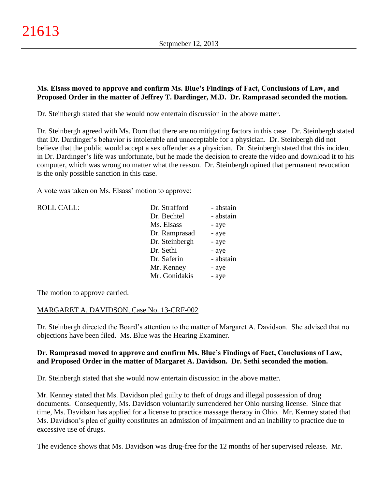# **Ms. Elsass moved to approve and confirm Ms. Blue's Findings of Fact, Conclusions of Law, and Proposed Order in the matter of Jeffrey T. Dardinger, M.D. Dr. Ramprasad seconded the motion.**

Dr. Steinbergh stated that she would now entertain discussion in the above matter.

Dr. Steinbergh agreed with Ms. Dorn that there are no mitigating factors in this case. Dr. Steinbergh stated that Dr. Dardinger's behavior is intolerable and unacceptable for a physician. Dr. Steinbergh did not believe that the public would accept a sex offender as a physician. Dr. Steinbergh stated that this incident in Dr. Dardinger's life was unfortunate, but he made the decision to create the video and download it to his computer, which was wrong no matter what the reason. Dr. Steinbergh opined that permanent revocation is the only possible sanction in this case.

A vote was taken on Ms. Elsass' motion to approve:

| <b>ROLL CALL:</b> | Dr. Strafford  | - abstain |
|-------------------|----------------|-----------|
|                   | Dr. Bechtel    | - abstain |
|                   | Ms. Elsass     | - aye     |
|                   | Dr. Ramprasad  | - aye     |
|                   | Dr. Steinbergh | - aye     |
|                   | Dr. Sethi      | - aye     |
|                   | Dr. Saferin    | - abstain |
|                   | Mr. Kenney     | - aye     |
|                   | Mr. Gonidakis  | - aye     |
|                   |                |           |

The motion to approve carried.

### MARGARET A. DAVIDSON, Case No. 13-CRF-002

Dr. Steinbergh directed the Board's attention to the matter of Margaret A. Davidson. She advised that no objections have been filed. Ms. Blue was the Hearing Examiner.

### **Dr. Ramprasad moved to approve and confirm Ms. Blue's Findings of Fact, Conclusions of Law, and Proposed Order in the matter of Margaret A. Davidson. Dr. Sethi seconded the motion.**

Dr. Steinbergh stated that she would now entertain discussion in the above matter.

Mr. Kenney stated that Ms. Davidson pled guilty to theft of drugs and illegal possession of drug documents. Consequently, Ms. Davidson voluntarily surrendered her Ohio nursing license. Since that time, Ms. Davidson has applied for a license to practice massage therapy in Ohio. Mr. Kenney stated that Ms. Davidson's plea of guilty constitutes an admission of impairment and an inability to practice due to excessive use of drugs.

The evidence shows that Ms. Davidson was drug-free for the 12 months of her supervised release. Mr.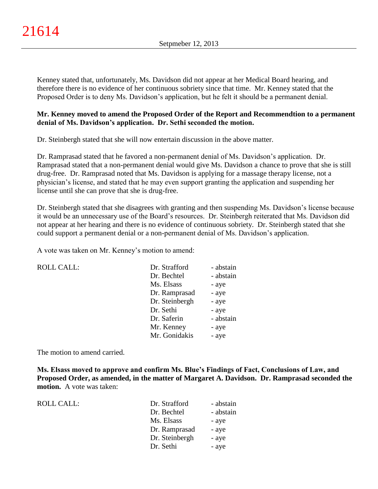Kenney stated that, unfortunately, Ms. Davidson did not appear at her Medical Board hearing, and therefore there is no evidence of her continuous sobriety since that time. Mr. Kenney stated that the Proposed Order is to deny Ms. Davidson's application, but he felt it should be a permanent denial.

### **Mr. Kenney moved to amend the Proposed Order of the Report and Recommendtion to a permanent denial of Ms. Davidson's application. Dr. Sethi seconded the motion.**

Dr. Steinbergh stated that she will now entertain discussion in the above matter.

Dr. Ramprasad stated that he favored a non-permanent denial of Ms. Davidson's application. Dr. Ramprasad stated that a non-permanent denial would give Ms. Davidson a chance to prove that she is still drug-free. Dr. Ramprasad noted that Ms. Davidson is applying for a massage therapy license, not a physician's license, and stated that he may even support granting the application and suspending her license until she can prove that she is drug-free.

Dr. Steinbergh stated that she disagrees with granting and then suspending Ms. Davidson's license because it would be an unnecessary use of the Board's resources. Dr. Steinbergh reiterated that Ms. Davidson did not appear at her hearing and there is no evidence of continuous sobriety. Dr. Steinbergh stated that she could support a permanent denial or a non-permanent denial of Ms. Davidson's application.

A vote was taken on Mr. Kenney's motion to amend:

ROLL CALL:

| Dr. Strafford  | - abstain |
|----------------|-----------|
| Dr. Bechtel    | - abstain |
| Ms. Elsass     | - aye     |
| Dr. Ramprasad  | - aye     |
| Dr. Steinbergh | - aye     |
| Dr. Sethi      | - aye     |
| Dr. Saferin    | - abstain |
| Mr. Kenney     | - aye     |
| Mr. Gonidakis  | - aye     |

The motion to amend carried.

**Ms. Elsass moved to approve and confirm Ms. Blue's Findings of Fact, Conclusions of Law, and Proposed Order, as amended, in the matter of Margaret A. Davidson. Dr. Ramprasad seconded the motion.** A vote was taken:

| ROLL CALL: | Dr. Strafford  | - abstain |
|------------|----------------|-----------|
|            | Dr. Bechtel    | - abstain |
|            | Ms. Elsass     | - aye     |
|            | Dr. Ramprasad  | - aye     |
|            | Dr. Steinbergh | - aye     |
|            | Dr. Sethi      | - aye     |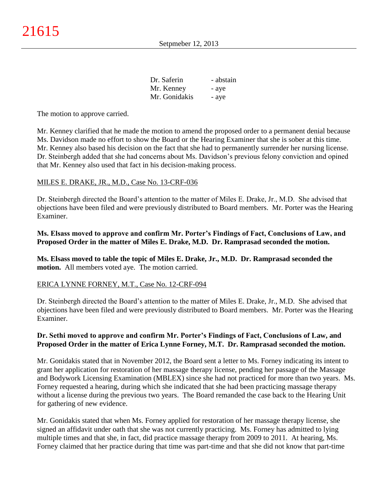| Dr. Saferin   | - abstain |
|---------------|-----------|
| Mr. Kenney    | - aye     |
| Mr. Gonidakis | - aye     |

The motion to approve carried.

Mr. Kenney clarified that he made the motion to amend the proposed order to a permanent denial because Ms. Davidson made no effort to show the Board or the Hearing Examiner that she is sober at this time. Mr. Kenney also based his decision on the fact that she had to permanently surrender her nursing license. Dr. Steinbergh added that she had concerns about Ms. Davidson's previous felony conviction and opined that Mr. Kenney also used that fact in his decision-making process.

#### MILES E. DRAKE, JR., M.D., Case No. 13-CRF-036

Dr. Steinbergh directed the Board's attention to the matter of Miles E. Drake, Jr., M.D. She advised that objections have been filed and were previously distributed to Board members. Mr. Porter was the Hearing Examiner.

### **Ms. Elsass moved to approve and confirm Mr. Porter's Findings of Fact, Conclusions of Law, and Proposed Order in the matter of Miles E. Drake, M.D. Dr. Ramprasad seconded the motion.**

**Ms. Elsass moved to table the topic of Miles E. Drake, Jr., M.D. Dr. Ramprasad seconded the motion.** All members voted aye. The motion carried.

#### ERICA LYNNE FORNEY, M.T., Case No. 12-CRF-094

Dr. Steinbergh directed the Board's attention to the matter of Miles E. Drake, Jr., M.D. She advised that objections have been filed and were previously distributed to Board members. Mr. Porter was the Hearing Examiner.

### **Dr. Sethi moved to approve and confirm Mr. Porter's Findings of Fact, Conclusions of Law, and Proposed Order in the matter of Erica Lynne Forney, M.T. Dr. Ramprasad seconded the motion.**

Mr. Gonidakis stated that in November 2012, the Board sent a letter to Ms. Forney indicating its intent to grant her application for restoration of her massage therapy license, pending her passage of the Massage and Bodywork Licensing Examination (MBLEX) since she had not practiced for more than two years. Ms. Forney requested a hearing, during which she indicated that she had been practicing massage therapy without a license during the previous two years. The Board remanded the case back to the Hearing Unit for gathering of new evidence.

Mr. Gonidakis stated that when Ms. Forney applied for restoration of her massage therapy license, she signed an affidavit under oath that she was not currently practicing. Ms. Forney has admitted to lying multiple times and that she, in fact, did practice massage therapy from 2009 to 2011. At hearing, Ms. Forney claimed that her practice during that time was part-time and that she did not know that part-time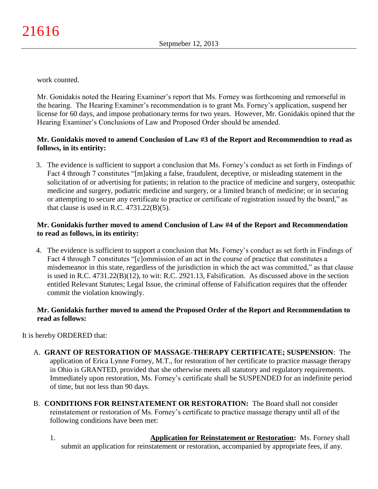work counted.

Mr. Gonidakis noted the Hearing Examiner's report that Ms. Forney was forthcoming and remorseful in the hearing. The Hearing Examiner's recommendation is to grant Ms. Forney's application, suspend her license for 60 days, and impose probationary terms for two years. However, Mr. Gonidakis opined that the Hearing Examiner's Conclusions of Law and Proposed Order should be amended.

# **Mr. Gonidakis moved to amend Conclusion of Law #3 of the Report and Recommendtion to read as follows, in its entirity:**

3. The evidence is sufficient to support a conclusion that Ms. Forney's conduct as set forth in Findings of Fact 4 through 7 constitutes "[m]aking a false, fraudulent, deceptive, or misleading statement in the solicitation of or advertising for patients; in relation to the practice of medicine and surgery, osteopathic medicine and surgery, podiatric medicine and surgery, or a limited branch of medicine; or in securing or attempting to secure any certificate to practice or certificate of registration issued by the board," as that clause is used in R.C.  $4731.22(B)(5)$ .

# **Mr. Gonidakis further moved to amend Conclusion of Law #4 of the Report and Recommendation to read as follows, in its entirity:**

4. The evidence is sufficient to support a conclusion that Ms. Forney's conduct as set forth in Findings of Fact 4 through 7 constitutes "[c]ommission of an act in the course of practice that constitutes a misdemeanor in this state, regardless of the jurisdiction in which the act was committed," as that clause is used in R.C. 4731.22(B)(12), to wit: R.C. 2921.13, Falsification. As discussed above in the section entitled Relevant Statutes; Legal Issue, the criminal offense of Falsification requires that the offender commit the violation knowingly.

# **Mr. Gonidakis further moved to amend the Proposed Order of the Report and Recommendation to read as follows:**

It is hereby ORDERED that:

- A. **GRANT OF RESTORATION OF MASSAGE-THERAPY CERTIFICATE; SUSPENSION**: The application of Erica Lynne Forney, M.T., for restoration of her certificate to practice massage therapy in Ohio is GRANTED, provided that she otherwise meets all statutory and regulatory requirements. Immediately upon restoration, Ms. Forney's certificate shall be SUSPENDED for an indefinite period of time, but not less than 90 days.
- B. **CONDITIONS FOR REINSTATEMENT OR RESTORATION:** The Board shall not consider reinstatement or restoration of Ms. Forney's certificate to practice massage therapy until all of the following conditions have been met:
	- 1. **Application for Reinstatement or Restoration:** Ms. Forney shall submit an application for reinstatement or restoration, accompanied by appropriate fees, if any.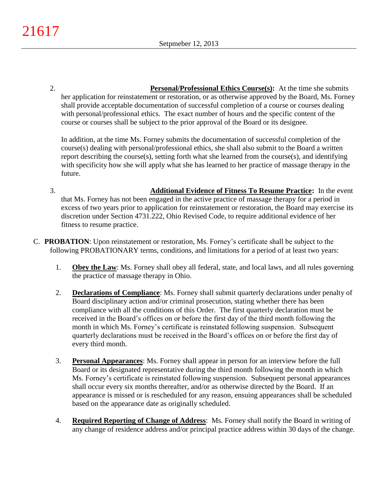2. **Personal/Professional Ethics Course(s):** At the time she submits her application for reinstatement or restoration, or as otherwise approved by the Board, Ms. Forney shall provide acceptable documentation of successful completion of a course or courses dealing with personal/professional ethics. The exact number of hours and the specific content of the course or courses shall be subject to the prior approval of the Board or its designee.

In addition, at the time Ms. Forney submits the documentation of successful completion of the course(s) dealing with personal/professional ethics, she shall also submit to the Board a written report describing the course(s), setting forth what she learned from the course(s), and identifying with specificity how she will apply what she has learned to her practice of massage therapy in the future.

- 3. **Additional Evidence of Fitness To Resume Practice:** In the event that Ms. Forney has not been engaged in the active practice of massage therapy for a period in excess of two years prior to application for reinstatement or restoration, the Board may exercise its discretion under Section 4731.222, Ohio Revised Code, to require additional evidence of her fitness to resume practice.
- C. **PROBATION**: Upon reinstatement or restoration, Ms. Forney's certificate shall be subject to the following PROBATIONARY terms, conditions, and limitations for a period of at least two years:
	- 1. **Obey the Law**: Ms. Forney shall obey all federal, state, and local laws, and all rules governing the practice of massage therapy in Ohio.
	- 2. **Declarations of Compliance**: Ms. Forney shall submit quarterly declarations under penalty of Board disciplinary action and/or criminal prosecution, stating whether there has been compliance with all the conditions of this Order. The first quarterly declaration must be received in the Board's offices on or before the first day of the third month following the month in which Ms. Forney's certificate is reinstated following suspension. Subsequent quarterly declarations must be received in the Board's offices on or before the first day of every third month.
	- 3. **Personal Appearances**: Ms. Forney shall appear in person for an interview before the full Board or its designated representative during the third month following the month in which Ms. Forney's certificate is reinstated following suspension. Subsequent personal appearances shall occur every six months thereafter, and/or as otherwise directed by the Board. If an appearance is missed or is rescheduled for any reason, ensuing appearances shall be scheduled based on the appearance date as originally scheduled.
	- 4. **Required Reporting of Change of Address**: Ms. Forney shall notify the Board in writing of any change of residence address and/or principal practice address within 30 days of the change.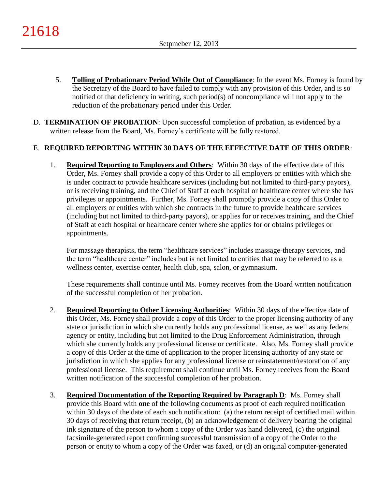- 5. **Tolling of Probationary Period While Out of Compliance**: In the event Ms. Forney is found by the Secretary of the Board to have failed to comply with any provision of this Order, and is so notified of that deficiency in writing, such period(s) of noncompliance will not apply to the reduction of the probationary period under this Order.
- D. **TERMINATION OF PROBATION**: Upon successful completion of probation, as evidenced by a written release from the Board, Ms. Forney's certificate will be fully restored.

# E. **REQUIRED REPORTING WITHIN 30 DAYS OF THE EFFECTIVE DATE OF THIS ORDER**:

1. **Required Reporting to Employers and Others**: Within 30 days of the effective date of this Order, Ms. Forney shall provide a copy of this Order to all employers or entities with which she is under contract to provide healthcare services (including but not limited to third-party payors), or is receiving training, and the Chief of Staff at each hospital or healthcare center where she has privileges or appointments. Further, Ms. Forney shall promptly provide a copy of this Order to all employers or entities with which she contracts in the future to provide healthcare services (including but not limited to third-party payors), or applies for or receives training, and the Chief of Staff at each hospital or healthcare center where she applies for or obtains privileges or appointments.

For massage therapists, the term "healthcare services" includes massage-therapy services, and the term "healthcare center" includes but is not limited to entities that may be referred to as a wellness center, exercise center, health club, spa, salon, or gymnasium.

These requirements shall continue until Ms. Forney receives from the Board written notification of the successful completion of her probation.

- 2. **Required Reporting to Other Licensing Authorities**: Within 30 days of the effective date of this Order, Ms. Forney shall provide a copy of this Order to the proper licensing authority of any state or jurisdiction in which she currently holds any professional license, as well as any federal agency or entity, including but not limited to the Drug Enforcement Administration, through which she currently holds any professional license or certificate. Also, Ms. Forney shall provide a copy of this Order at the time of application to the proper licensing authority of any state or jurisdiction in which she applies for any professional license or reinstatement/restoration of any professional license. This requirement shall continue until Ms. Forney receives from the Board written notification of the successful completion of her probation.
- 3. **Required Documentation of the Reporting Required by Paragraph D**: Ms. Forney shall provide this Board with **one** of the following documents as proof of each required notification within 30 days of the date of each such notification: (a) the return receipt of certified mail within 30 days of receiving that return receipt, (b) an acknowledgement of delivery bearing the original ink signature of the person to whom a copy of the Order was hand delivered, (c) the original facsimile-generated report confirming successful transmission of a copy of the Order to the person or entity to whom a copy of the Order was faxed, or (d) an original computer-generated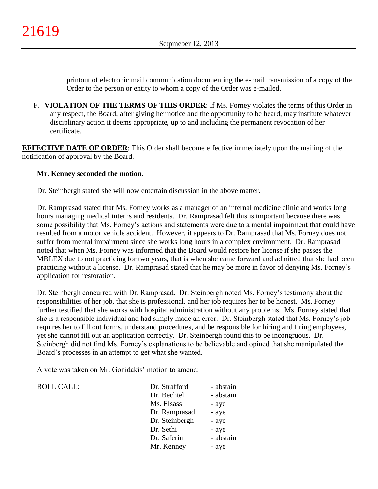printout of electronic mail communication documenting the e-mail transmission of a copy of the Order to the person or entity to whom a copy of the Order was e-mailed.

F. **VIOLATION OF THE TERMS OF THIS ORDER**: If Ms. Forney violates the terms of this Order in any respect, the Board, after giving her notice and the opportunity to be heard, may institute whatever disciplinary action it deems appropriate, up to and including the permanent revocation of her certificate.

**EFFECTIVE DATE OF ORDER:** This Order shall become effective immediately upon the mailing of the notification of approval by the Board.

### **Mr. Kenney seconded the motion.**

Dr. Steinbergh stated she will now entertain discussion in the above matter.

Dr. Ramprasad stated that Ms. Forney works as a manager of an internal medicine clinic and works long hours managing medical interns and residents. Dr. Ramprasad felt this is important because there was some possibility that Ms. Forney's actions and statements were due to a mental impairment that could have resulted from a motor vehicle accident. However, it appears to Dr. Ramprasad that Ms. Forney does not suffer from mental impairment since she works long hours in a complex environment. Dr. Ramprasad noted that when Ms. Forney was informed that the Board would restore her license if she passes the MBLEX due to not practicing for two years, that is when she came forward and admitted that she had been practicing without a license. Dr. Ramprasad stated that he may be more in favor of denying Ms. Forney's application for restoration.

Dr. Steinbergh concurred with Dr. Ramprasad. Dr. Steinbergh noted Ms. Forney's testimony about the responsibilities of her job, that she is professional, and her job requires her to be honest. Ms. Forney further testified that she works with hospital administration without any problems. Ms. Forney stated that she is a responsible individual and had simply made an error. Dr. Steinbergh stated that Ms. Forney's job requires her to fill out forms, understand procedures, and be responsible for hiring and firing employees, yet she cannot fill out an application correctly. Dr. Steinbergh found this to be incongruous. Dr. Steinbergh did not find Ms. Forney's explanations to be believable and opined that she manipulated the Board's processes in an attempt to get what she wanted.

A vote was taken on Mr. Gonidakis' motion to amend:

ROLL CALL: T

| Dr. Strafford  | - abstain |
|----------------|-----------|
| Dr. Bechtel    | - abstain |
| Ms. Elsass     | - aye     |
| Dr. Ramprasad  | - aye     |
| Dr. Steinbergh | - aye     |
| Dr. Sethi      | - aye     |
| Dr. Saferin    | - abstain |
| Mr. Kenney     | - aye     |
|                |           |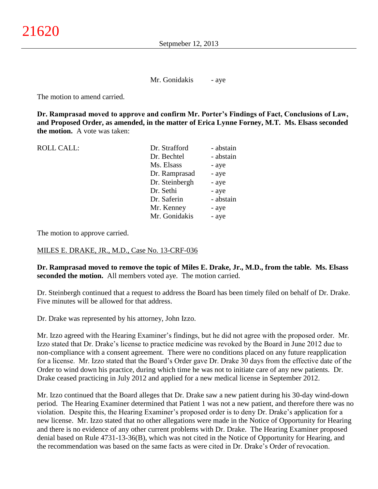Mr. Gonidakis - aye

The motion to amend carried.

**Dr. Ramprasad moved to approve and confirm Mr. Porter's Findings of Fact, Conclusions of Law, and Proposed Order, as amended, in the matter of Erica Lynne Forney, M.T. Ms. Elsass seconded the motion.** A vote was taken:

ROLL CALL:

| Dr. Strafford  | - abstain |
|----------------|-----------|
| Dr. Bechtel    | - abstain |
| Ms. Elsass     | - aye     |
| Dr. Ramprasad  | - aye     |
| Dr. Steinbergh | - aye     |
| Dr. Sethi      | - aye     |
| Dr. Saferin    | - abstain |
| Mr. Kenney     | - aye     |
| Mr. Gonidakis  | - aye     |
|                |           |

The motion to approve carried.

#### MILES E. DRAKE, JR., M.D., Case No. 13-CRF-036

**Dr. Ramprasad moved to remove the topic of Miles E. Drake, Jr., M.D., from the table. Ms. Elsass seconded the motion.** All members voted aye. The motion carried.

Dr. Steinbergh continued that a request to address the Board has been timely filed on behalf of Dr. Drake. Five minutes will be allowed for that address.

Dr. Drake was represented by his attorney, John Izzo.

Mr. Izzo agreed with the Hearing Examiner's findings, but he did not agree with the proposed order. Mr. Izzo stated that Dr. Drake's license to practice medicine was revoked by the Board in June 2012 due to non-compliance with a consent agreement. There were no conditions placed on any future reapplication for a license. Mr. Izzo stated that the Board's Order gave Dr. Drake 30 days from the effective date of the Order to wind down his practice, during which time he was not to initiate care of any new patients. Dr. Drake ceased practicing in July 2012 and applied for a new medical license in September 2012.

Mr. Izzo continued that the Board alleges that Dr. Drake saw a new patient during his 30-day wind-down period. The Hearing Examiner determined that Patient 1 was not a new patient, and therefore there was no violation. Despite this, the Hearing Examiner's proposed order is to deny Dr. Drake's application for a new license. Mr. Izzo stated that no other allegations were made in the Notice of Opportunity for Hearing and there is no evidence of any other current problems with Dr. Drake. The Hearing Examiner proposed denial based on Rule 4731-13-36(B), which was not cited in the Notice of Opportunity for Hearing, and the recommendation was based on the same facts as were cited in Dr. Drake's Order of revocation.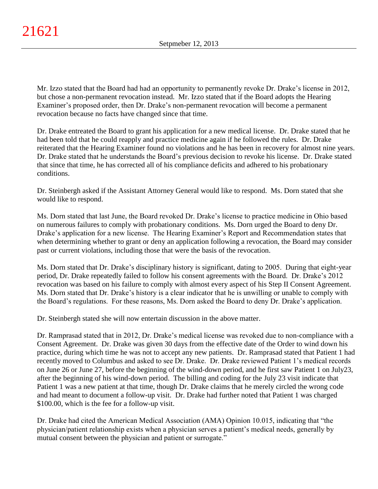Mr. Izzo stated that the Board had had an opportunity to permanently revoke Dr. Drake's license in 2012, but chose a non-permanent revocation instead. Mr. Izzo stated that if the Board adopts the Hearing Examiner's proposed order, then Dr. Drake's non-permanent revocation will become a permanent revocation because no facts have changed since that time.

Dr. Drake entreated the Board to grant his application for a new medical license. Dr. Drake stated that he had been told that he could reapply and practice medicine again if he followed the rules. Dr. Drake reiterated that the Hearing Examiner found no violations and he has been in recovery for almost nine years. Dr. Drake stated that he understands the Board's previous decision to revoke his license. Dr. Drake stated that since that time, he has corrected all of his compliance deficits and adhered to his probationary conditions.

Dr. Steinbergh asked if the Assistant Attorney General would like to respond. Ms. Dorn stated that she would like to respond.

Ms. Dorn stated that last June, the Board revoked Dr. Drake's license to practice medicine in Ohio based on numerous failures to comply with probationary conditions. Ms. Dorn urged the Board to deny Dr. Drake's application for a new license. The Hearing Examiner's Report and Recommendation states that when determining whether to grant or deny an application following a revocation, the Board may consider past or current violations, including those that were the basis of the revocation.

Ms. Dorn stated that Dr. Drake's disciplinary history is significant, dating to 2005. During that eight-year period, Dr. Drake repeatedly failed to follow his consent agreements with the Board. Dr. Drake's 2012 revocation was based on his failure to comply with almost every aspect of his Step II Consent Agreement. Ms. Dorn stated that Dr. Drake's history is a clear indicator that he is unwilling or unable to comply with the Board's regulations. For these reasons, Ms. Dorn asked the Board to deny Dr. Drake's application.

Dr. Steinbergh stated she will now entertain discussion in the above matter.

Dr. Ramprasad stated that in 2012, Dr. Drake's medical license was revoked due to non-compliance with a Consent Agreement. Dr. Drake was given 30 days from the effective date of the Order to wind down his practice, during which time he was not to accept any new patients. Dr. Ramprasad stated that Patient 1 had recently moved to Columbus and asked to see Dr. Drake. Dr. Drake reviewed Patient 1's medical records on June 26 or June 27, before the beginning of the wind-down period, and he first saw Patient 1 on July23, after the beginning of his wind-down period. The billing and coding for the July 23 visit indicate that Patient 1 was a new patient at that time, though Dr. Drake claims that he merely circled the wrong code and had meant to document a follow-up visit. Dr. Drake had further noted that Patient 1 was charged \$100.00, which is the fee for a follow-up visit.

Dr. Drake had cited the American Medical Association (AMA) Opinion 10.015, indicating that "the physician/patient relationship exists when a physician serves a patient's medical needs, generally by mutual consent between the physician and patient or surrogate."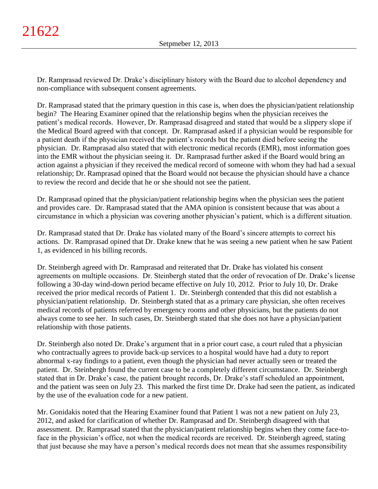Dr. Ramprasad reviewed Dr. Drake's disciplinary history with the Board due to alcohol dependency and non-compliance with subsequent consent agreements.

Dr. Ramprasad stated that the primary question in this case is, when does the physician/patient relationship begin? The Hearing Examiner opined that the relationship begins when the physician receives the patient's medical records. However, Dr. Ramprasad disagreed and stated that would be a slippery slope if the Medical Board agreed with that concept. Dr. Ramprasad asked if a physician would be responsible for a patient death if the physician received the patient's records but the patient died before seeing the physician. Dr. Ramprasad also stated that with electronic medical records (EMR), most information goes into the EMR without the physician seeing it. Dr. Ramprasad further asked if the Board would bring an action against a physician if they received the medical record of someone with whom they had had a sexual relationship; Dr. Ramprasad opined that the Board would not because the physician should have a chance to review the record and decide that he or she should not see the patient.

Dr. Ramprasad opined that the physician/patient relationship begins when the physician sees the patient and provides care. Dr. Ramprasad stated that the AMA opinion is consistent because that was about a circumstance in which a physician was covering another physician's patient, which is a different situation.

Dr. Ramprasad stated that Dr. Drake has violated many of the Board's sincere attempts to correct his actions. Dr. Ramprasad opined that Dr. Drake knew that he was seeing a new patient when he saw Patient 1, as evidenced in his billing records.

Dr. Steinbergh agreed with Dr. Ramprasad and reiterated that Dr. Drake has violated his consent agreements on multiple occasions. Dr. Steinbergh stated that the order of revocation of Dr. Drake's license following a 30-day wind-down period became effective on July 10, 2012. Prior to July 10, Dr. Drake received the prior medical records of Patient 1. Dr. Steinbergh contended that this did not establish a physician/patient relationship. Dr. Steinbergh stated that as a primary care physician, she often receives medical records of patients referred by emergency rooms and other physicians, but the patients do not always come to see her. In such cases, Dr. Steinbergh stated that she does not have a physician/patient relationship with those patients.

Dr. Steinbergh also noted Dr. Drake's argument that in a prior court case, a court ruled that a physician who contractually agrees to provide back-up services to a hospital would have had a duty to report abnormal x-ray findings to a patient, even though the physician had never actually seen or treated the patient. Dr. Steinbergh found the current case to be a completely different circumstance. Dr. Steinbergh stated that in Dr. Drake's case, the patient brought records, Dr. Drake's staff scheduled an appointment, and the patient was seen on July 23. This marked the first time Dr. Drake had seen the patient, as indicated by the use of the evaluation code for a new patient.

Mr. Gonidakis noted that the Hearing Examiner found that Patient 1 was not a new patient on July 23, 2012, and asked for clarification of whether Dr. Ramprasad and Dr. Steinbergh disagreed with that assessment. Dr. Ramprasad stated that the physician/patient relationship begins when they come face-toface in the physician's office, not when the medical records are received. Dr. Steinbergh agreed, stating that just because she may have a person's medical records does not mean that she assumes responsibility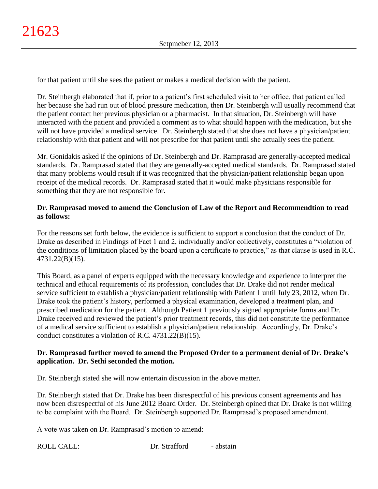for that patient until she sees the patient or makes a medical decision with the patient.

Dr. Steinbergh elaborated that if, prior to a patient's first scheduled visit to her office, that patient called her because she had run out of blood pressure medication, then Dr. Steinbergh will usually recommend that the patient contact her previous physician or a pharmacist. In that situation, Dr. Steinbergh will have interacted with the patient and provided a comment as to what should happen with the medication, but she will not have provided a medical service. Dr. Steinbergh stated that she does not have a physician/patient relationship with that patient and will not prescribe for that patient until she actually sees the patient.

Mr. Gonidakis asked if the opinions of Dr. Steinbergh and Dr. Ramprasad are generally-accepted medical standards. Dr. Ramprasad stated that they are generally-accepted medical standards. Dr. Ramprasad stated that many problems would result if it was recognized that the physician/patient relationship began upon receipt of the medical records. Dr. Ramprasad stated that it would make physicians responsible for something that they are not responsible for.

## **Dr. Ramprasad moved to amend the Conclusion of Law of the Report and Recommendtion to read as follows:**

For the reasons set forth below, the evidence is sufficient to support a conclusion that the conduct of Dr. Drake as described in Findings of Fact 1 and 2, individually and/or collectively, constitutes a "violation of the conditions of limitation placed by the board upon a certificate to practice," as that clause is used in R.C. 4731.22(B)(15).

This Board, as a panel of experts equipped with the necessary knowledge and experience to interpret the technical and ethical requirements of its profession, concludes that Dr. Drake did not render medical service sufficient to establish a physician/patient relationship with Patient 1 until July 23, 2012, when Dr. Drake took the patient's history, performed a physical examination, developed a treatment plan, and prescribed medication for the patient. Although Patient 1 previously signed appropriate forms and Dr. Drake received and reviewed the patient's prior treatment records, this did not constitute the performance of a medical service sufficient to establish a physician/patient relationship. Accordingly, Dr. Drake's conduct constitutes a violation of R.C. 4731.22(B)(15).

# **Dr. Ramprasad further moved to amend the Proposed Order to a permanent denial of Dr. Drake's application. Dr. Sethi seconded the motion.**

Dr. Steinbergh stated she will now entertain discussion in the above matter.

Dr. Steinbergh stated that Dr. Drake has been disrespectful of his previous consent agreements and has now been disrespectful of his June 2012 Board Order. Dr. Steinbergh opined that Dr. Drake is not willing to be complaint with the Board. Dr. Steinbergh supported Dr. Ramprasad's proposed amendment.

A vote was taken on Dr. Ramprasad's motion to amend: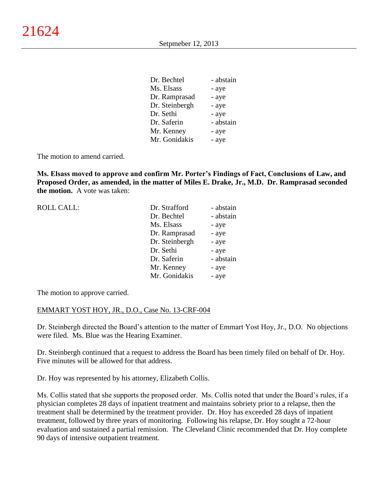| Dr. Bechtel    | - abstain |
|----------------|-----------|
| Ms. Elsass     | - aye     |
| Dr. Ramprasad  | - aye     |
| Dr. Steinbergh | - aye     |
| Dr. Sethi      | - aye     |
| Dr. Saferin    | - abstain |
| Mr. Kenney     | - aye     |
| Mr. Gonidakis  | - aye     |

The motion to amend carried.

**Ms. Elsass moved to approve and confirm Mr. Porter's Findings of Fact, Conclusions of Law, and Proposed Order, as amended, in the matter of Miles E. Drake, Jr., M.D. Dr. Ramprasad seconded the motion.** A vote was taken:

| <b>ROLL CALL:</b> | Dr. Strafford<br>Dr. Bechtel | - abstain<br>- abstain |
|-------------------|------------------------------|------------------------|
|                   |                              |                        |
|                   | Ms. Elsass                   | - aye                  |
|                   | Dr. Ramprasad                | - aye                  |
|                   | Dr. Steinbergh               | - aye                  |
|                   | Dr. Sethi                    | - aye                  |
|                   | Dr. Saferin                  | - abstain              |
|                   | Mr. Kenney                   | - aye                  |
|                   | Mr. Gonidakis                | - aye                  |
|                   |                              |                        |

The motion to approve carried.

### EMMART YOST HOY, JR., D.O., Case No. 13-CRF-004

Dr. Steinbergh directed the Board's attention to the matter of Emmart Yost Hoy, Jr., D.O. No objections were filed. Ms. Blue was the Hearing Examiner.

Dr. Steinbergh continued that a request to address the Board has been timely filed on behalf of Dr. Hoy. Five minutes will be allowed for that address.

Dr. Hoy was represented by his attorney, Elizabeth Collis.

Ms. Collis stated that she supports the proposed order. Ms. Collis noted that under the Board's rules, if a physician completes 28 days of inpatient treatment and maintains sobriety prior to a relapse, then the treatment shall be determined by the treatment provider. Dr. Hoy has exceeded 28 days of inpatient treatment, followed by three years of monitoring. Following his relapse, Dr. Hoy sought a 72-hour evaluation and sustained a partial remission. The Cleveland Clinic recommended that Dr. Hoy complete 90 days of intensive outpatient treatment.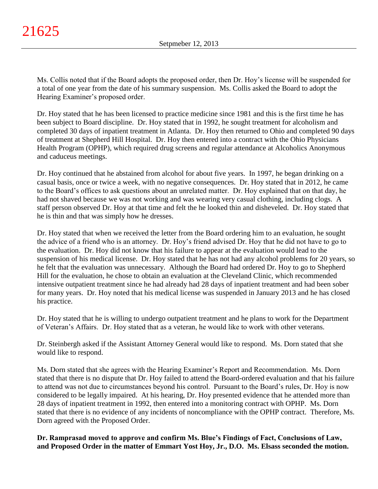Ms. Collis noted that if the Board adopts the proposed order, then Dr. Hoy's license will be suspended for a total of one year from the date of his summary suspension. Ms. Collis asked the Board to adopt the Hearing Examiner's proposed order.

Dr. Hoy stated that he has been licensed to practice medicine since 1981 and this is the first time he has been subject to Board discipline. Dr. Hoy stated that in 1992, he sought treatment for alcoholism and completed 30 days of inpatient treatment in Atlanta. Dr. Hoy then returned to Ohio and completed 90 days of treatment at Shepherd Hill Hospital. Dr. Hoy then entered into a contract with the Ohio Physicians Health Program (OPHP), which required drug screens and regular attendance at Alcoholics Anonymous and caduceus meetings.

Dr. Hoy continued that he abstained from alcohol for about five years. In 1997, he began drinking on a casual basis, once or twice a week, with no negative consequences. Dr. Hoy stated that in 2012, he came to the Board's offices to ask questions about an unrelated matter. Dr. Hoy explained that on that day, he had not shaved because we was not working and was wearing very casual clothing, including clogs. A staff person observed Dr. Hoy at that time and felt the he looked thin and disheveled. Dr. Hoy stated that he is thin and that was simply how he dresses.

Dr. Hoy stated that when we received the letter from the Board ordering him to an evaluation, he sought the advice of a friend who is an attorney. Dr. Hoy's friend advised Dr. Hoy that he did not have to go to the evaluation. Dr. Hoy did not know that his failure to appear at the evaluation would lead to the suspension of his medical license. Dr. Hoy stated that he has not had any alcohol problems for 20 years, so he felt that the evaluation was unnecessary. Although the Board had ordered Dr. Hoy to go to Shepherd Hill for the evaluation, he chose to obtain an evaluation at the Cleveland Clinic, which recommended intensive outpatient treatment since he had already had 28 days of inpatient treatment and had been sober for many years. Dr. Hoy noted that his medical license was suspended in January 2013 and he has closed his practice.

Dr. Hoy stated that he is willing to undergo outpatient treatment and he plans to work for the Department of Veteran's Affairs. Dr. Hoy stated that as a veteran, he would like to work with other veterans.

Dr. Steinbergh asked if the Assistant Attorney General would like to respond. Ms. Dorn stated that she would like to respond.

Ms. Dorn stated that she agrees with the Hearing Examiner's Report and Recommendation. Ms. Dorn stated that there is no dispute that Dr. Hoy failed to attend the Board-ordered evaluation and that his failure to attend was not due to circumstances beyond his control. Pursuant to the Board's rules, Dr. Hoy is now considered to be legally impaired. At his hearing, Dr. Hoy presented evidence that he attended more than 28 days of inpatient treatment in 1992, then entered into a monitoring contract with OPHP. Ms. Dorn stated that there is no evidence of any incidents of noncompliance with the OPHP contract. Therefore, Ms. Dorn agreed with the Proposed Order.

**Dr. Ramprasad moved to approve and confirm Ms. Blue's Findings of Fact, Conclusions of Law, and Proposed Order in the matter of Emmart Yost Hoy, Jr., D.O. Ms. Elsass seconded the motion.**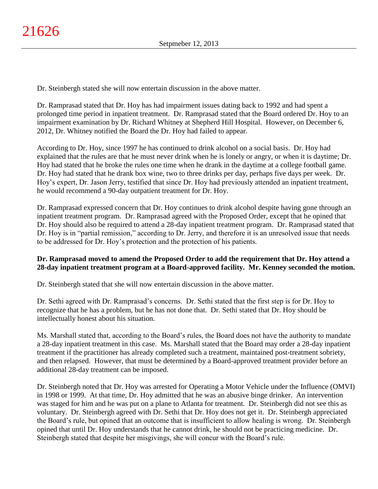Dr. Steinbergh stated she will now entertain discussion in the above matter.

Dr. Ramprasad stated that Dr. Hoy has had impairment issues dating back to 1992 and had spent a prolonged time period in inpatient treatment. Dr. Ramprasad stated that the Board ordered Dr. Hoy to an impairment examination by Dr. Richard Whitney at Shepherd Hill Hospital. However, on December 6, 2012, Dr. Whitney notified the Board the Dr. Hoy had failed to appear.

According to Dr. Hoy, since 1997 he has continued to drink alcohol on a social basis. Dr. Hoy had explained that the rules are that he must never drink when he is lonely or angry, or when it is daytime; Dr. Hoy had stated that he broke the rules one time when he drank in the daytime at a college football game. Dr. Hoy had stated that he drank box wine, two to three drinks per day, perhaps five days per week. Dr. Hoy's expert, Dr. Jason Jerry, testified that since Dr. Hoy had previously attended an inpatient treatment, he would recommend a 90-day outpatient treatment for Dr. Hoy.

Dr. Ramprasad expressed concern that Dr. Hoy continues to drink alcohol despite having gone through an inpatient treatment program. Dr. Ramprasad agreed with the Proposed Order, except that he opined that Dr. Hoy should also be required to attend a 28-day inpatient treatment program. Dr. Ramprasad stated that Dr. Hoy is in "partial remission," according to Dr. Jerry, and therefore it is an unresolved issue that needs to be addressed for Dr. Hoy's protection and the protection of his patients.

# **Dr. Ramprasad moved to amend the Proposed Order to add the requirement that Dr. Hoy attend a 28-day inpatient treatment program at a Board-approved facility. Mr. Kenney seconded the motion.**

Dr. Steinbergh stated that she will now entertain discussion in the above matter.

Dr. Sethi agreed with Dr. Ramprasad's concerns. Dr. Sethi stated that the first step is for Dr. Hoy to recognize that he has a problem, but he has not done that. Dr. Sethi stated that Dr. Hoy should be intellectually honest about his situation.

Ms. Marshall stated that, according to the Board's rules, the Board does not have the authority to mandate a 28-day inpatient treatment in this case. Ms. Marshall stated that the Board may order a 28-day inpatient treatment if the practitioner has already completed such a treatment, maintained post-treatment sobriety, and then relapsed. However, that must be determined by a Board-approved treatment provider before an additional 28-day treatment can be imposed.

Dr. Steinbergh noted that Dr. Hoy was arrested for Operating a Motor Vehicle under the Influence (OMVI) in 1998 or 1999. At that time, Dr. Hoy admitted that he was an abusive binge drinker. An intervention was staged for him and he was put on a plane to Atlanta for treatment. Dr. Steinbergh did not see this as voluntary. Dr. Steinbergh agreed with Dr. Sethi that Dr. Hoy does not get it. Dr. Steinbergh appreciated the Board's rule, but opined that an outcome that is insufficient to allow healing is wrong. Dr. Steinbergh opined that until Dr. Hoy understands that he cannot drink, he should not be practicing medicine. Dr. Steinbergh stated that despite her misgivings, she will concur with the Board's rule.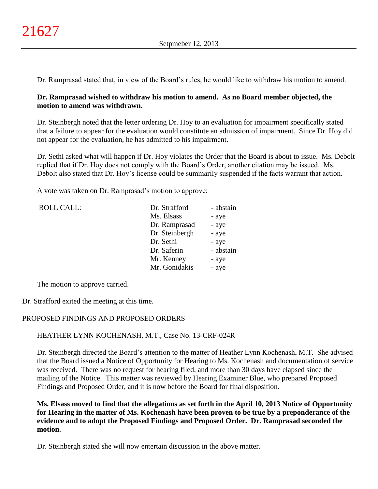Dr. Ramprasad stated that, in view of the Board's rules, he would like to withdraw his motion to amend.

## **Dr. Ramprasad wished to withdraw his motion to amend. As no Board member objected, the motion to amend was withdrawn.**

Dr. Steinbergh noted that the letter ordering Dr. Hoy to an evaluation for impairment specifically stated that a failure to appear for the evaluation would constitute an admission of impairment. Since Dr. Hoy did not appear for the evaluation, he has admitted to his impairment.

Dr. Sethi asked what will happen if Dr. Hoy violates the Order that the Board is about to issue. Ms. Debolt replied that if Dr. Hoy does not comply with the Board's Order, another citation may be issued. Ms. Debolt also stated that Dr. Hoy's license could be summarily suspended if the facts warrant that action.

A vote was taken on Dr. Ramprasad's motion to approve:

| <b>ROLL CALL:</b> | Dr. Strafford  | - abstain |
|-------------------|----------------|-----------|
|                   | Ms. Elsass     | - aye     |
|                   | Dr. Ramprasad  | - aye     |
|                   | Dr. Steinbergh | - aye     |
|                   | Dr. Sethi      | - aye     |
|                   | Dr. Saferin    | - abstain |
|                   | Mr. Kenney     | - aye     |
|                   | Mr. Gonidakis  | - aye     |
|                   |                |           |

The motion to approve carried.

Dr. Strafford exited the meeting at this time.

# PROPOSED FINDINGS AND PROPOSED ORDERS

# HEATHER LYNN KOCHENASH, M.T., Case No. 13-CRF-024R

Dr. Steinbergh directed the Board's attention to the matter of Heather Lynn Kochenash, M.T. She advised that the Board issued a Notice of Opportunity for Hearing to Ms. Kochenash and documentation of service was received. There was no request for hearing filed, and more than 30 days have elapsed since the mailing of the Notice. This matter was reviewed by Hearing Examiner Blue, who prepared Proposed Findings and Proposed Order, and it is now before the Board for final disposition.

**Ms. Elsass moved to find that the allegations as set forth in the April 10, 2013 Notice of Opportunity for Hearing in the matter of Ms. Kochenash have been proven to be true by a preponderance of the evidence and to adopt the Proposed Findings and Proposed Order. Dr. Ramprasad seconded the motion.**

Dr. Steinbergh stated she will now entertain discussion in the above matter.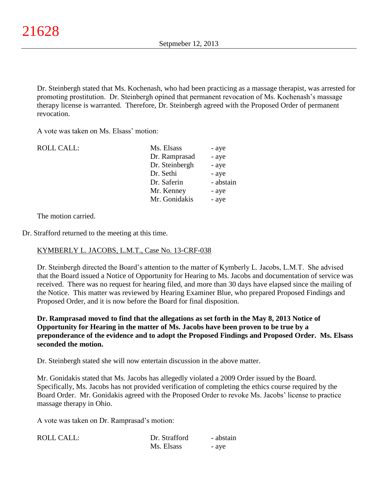Dr. Steinbergh stated that Ms. Kochenash, who had been practicing as a massage therapist, was arrested for promoting prostitution. Dr. Steinbergh opined that permanent revocation of Ms. Kochenash's massage therapy license is warranted. Therefore, Dr. Steinbergh agreed with the Proposed Order of permanent revocation.

A vote was taken on Ms. Elsass' motion:

| <b>ROLL CALL:</b> | Ms. Elsass     | - aye     |
|-------------------|----------------|-----------|
|                   | Dr. Ramprasad  | - aye     |
|                   | Dr. Steinbergh | - aye     |
|                   | Dr. Sethi      | - aye     |
|                   | Dr. Saferin    | - abstain |
|                   | Mr. Kenney     | - aye     |
|                   | Mr. Gonidakis  | - aye     |
|                   |                |           |

The motion carried.

Dr. Strafford returned to the meeting at this time.

# KYMBERLY L. JACOBS, L.M.T., Case No. 13-CRF-038

Dr. Steinbergh directed the Board's attention to the matter of Kymberly L. Jacobs, L.M.T. She advised that the Board issued a Notice of Opportunity for Hearing to Ms. Jacobs and documentation of service was received. There was no request for hearing filed, and more than 30 days have elapsed since the mailing of the Notice. This matter was reviewed by Hearing Examiner Blue, who prepared Proposed Findings and Proposed Order, and it is now before the Board for final disposition.

**Dr. Ramprasad moved to find that the allegations as set forth in the May 8, 2013 Notice of Opportunity for Hearing in the matter of Ms. Jacobs have been proven to be true by a preponderance of the evidence and to adopt the Proposed Findings and Proposed Order. Ms. Elsass seconded the motion.**

Dr. Steinbergh stated she will now entertain discussion in the above matter.

Mr. Gonidakis stated that Ms. Jacobs has allegedly violated a 2009 Order issued by the Board. Specifically, Ms. Jacobs has not provided verification of completing the ethics course required by the Board Order. Mr. Gonidakis agreed with the Proposed Order to revoke Ms. Jacobs' license to practice massage therapy in Ohio.

A vote was taken on Dr. Ramprasad's motion:

| <b>ROLL CALL:</b> | Dr. Strafford | - abstain |
|-------------------|---------------|-----------|
|                   | Ms. Elsass    | - aye     |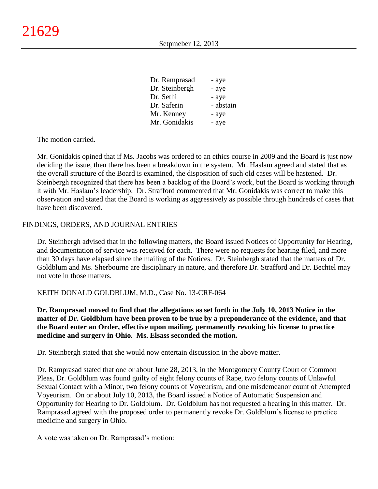| Dr. Ramprasad  | - aye     |
|----------------|-----------|
| Dr. Steinbergh | - aye     |
| Dr. Sethi      | - aye     |
| Dr. Saferin    | - abstain |
| Mr. Kenney     | - aye     |
| Mr. Gonidakis  | - aye     |

The motion carried.

Mr. Gonidakis opined that if Ms. Jacobs was ordered to an ethics course in 2009 and the Board is just now deciding the issue, then there has been a breakdown in the system. Mr. Haslam agreed and stated that as the overall structure of the Board is examined, the disposition of such old cases will be hastened. Dr. Steinbergh recognized that there has been a backlog of the Board's work, but the Board is working through it with Mr. Haslam's leadership. Dr. Strafford commented that Mr. Gonidakis was correct to make this observation and stated that the Board is working as aggressively as possible through hundreds of cases that have been discovered.

### FINDINGS, ORDERS, AND JOURNAL ENTRIES

Dr. Steinbergh advised that in the following matters, the Board issued Notices of Opportunity for Hearing, and documentation of service was received for each. There were no requests for hearing filed, and more than 30 days have elapsed since the mailing of the Notices. Dr. Steinbergh stated that the matters of Dr. Goldblum and Ms. Sherbourne are disciplinary in nature, and therefore Dr. Strafford and Dr. Bechtel may not vote in those matters.

### KEITH DONALD GOLDBLUM, M.D., Case No. 13-CRF-064

**Dr. Ramprasad moved to find that the allegations as set forth in the July 10, 2013 Notice in the matter of Dr. Goldblum have been proven to be true by a preponderance of the evidence, and that the Board enter an Order, effective upon mailing, permanently revoking his license to practice medicine and surgery in Ohio. Ms. Elsass seconded the motion.**

Dr. Steinbergh stated that she would now entertain discussion in the above matter.

Dr. Ramprasad stated that one or about June 28, 2013, in the Montgomery County Court of Common Pleas, Dr. Goldblum was found guilty of eight felony counts of Rape, two felony counts of Unlawful Sexual Contact with a Minor, two felony counts of Voyeurism, and one misdemeanor count of Attempted Voyeurism. On or about July 10, 2013, the Board issued a Notice of Automatic Suspension and Opportunity for Hearing to Dr. Goldblum. Dr. Goldblum has not requested a hearing in this matter. Dr. Ramprasad agreed with the proposed order to permanently revoke Dr. Goldblum's license to practice medicine and surgery in Ohio.

A vote was taken on Dr. Ramprasad's motion: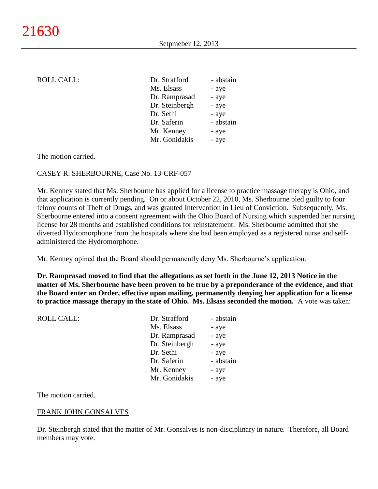### ROLL CALL:

| Dr. Strafford  | - abstain |
|----------------|-----------|
| Ms. Elsass     | - aye     |
| Dr. Ramprasad  | - aye     |
| Dr. Steinbergh | - aye     |
| Dr. Sethi      | - aye     |
| Dr. Saferin    | - abstain |
| Mr. Kenney     | - aye     |
| Mr. Gonidakis  | - aye     |

#### The motion carried.

#### CASEY R. SHERBOURNE, Case No. 13-CRF-057

Mr. Kenney stated that Ms. Sherbourne has applied for a license to practice massage therapy is Ohio, and that application is currently pending. On or about October 22, 2010, Ms. Sherbourne pled guilty to four felony counts of Theft of Drugs, and was granted Intervention in Lieu of Conviction. Subsequently, Ms. Sherbourne entered into a consent agreement with the Ohio Board of Nursing which suspended her nursing license for 28 months and established conditions for reinstatement. Ms. Sherbourne admitted that she diverted Hydromorphone from the hospitals where she had been employed as a registered nurse and selfadministered the Hydromorphone.

Mr. Kenney opined that the Board should permanently deny Ms. Sherbourne's application.

**Dr. Ramprasad moved to find that the allegations as set forth in the June 12, 2013 Notice in the matter of Ms. Sherbourne have been proven to be true by a preponderance of the evidence, and that the Board enter an Order, effective upon mailing, permanently denying her application for a license to practice massage therapy in the state of Ohio. Ms. Elsass seconded the motion.** A vote was taken:

| Dr. Strafford  | - abstain |
|----------------|-----------|
| Ms. Elsass     | - aye     |
| Dr. Ramprasad  | - aye     |
| Dr. Steinbergh | - aye     |
| Dr. Sethi      | - aye     |
| Dr. Saferin    | - abstain |
| Mr. Kenney     | - aye     |
| Mr. Gonidakis  | - aye     |
|                |           |

The motion carried.

### FRANK JOHN GONSALVES

Dr. Steinbergh stated that the matter of Mr. Gonsalves is non-disciplinary in nature. Therefore, all Board members may vote.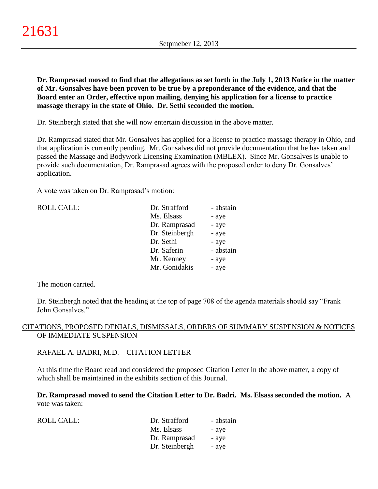**Dr. Ramprasad moved to find that the allegations as set forth in the July 1, 2013 Notice in the matter of Mr. Gonsalves have been proven to be true by a preponderance of the evidence, and that the Board enter an Order, effective upon mailing, denying his application for a license to practice massage therapy in the state of Ohio. Dr. Sethi seconded the motion.**

Dr. Steinbergh stated that she will now entertain discussion in the above matter.

Dr. Ramprasad stated that Mr. Gonsalves has applied for a license to practice massage therapy in Ohio, and that application is currently pending. Mr. Gonsalves did not provide documentation that he has taken and passed the Massage and Bodywork Licensing Examination (MBLEX). Since Mr. Gonsalves is unable to provide such documentation, Dr. Ramprasad agrees with the proposed order to deny Dr. Gonsalves' application.

A vote was taken on Dr. Ramprasad's motion:

| <b>ROLL CALL:</b> | Dr. Strafford  | - abstain |
|-------------------|----------------|-----------|
|                   | Ms. Elsass     | - aye     |
|                   | Dr. Ramprasad  | - aye     |
|                   | Dr. Steinbergh | - aye     |
|                   | Dr. Sethi      | - aye     |
|                   | Dr. Saferin    | - abstain |
|                   | Mr. Kenney     | - aye     |
|                   | Mr. Gonidakis  | - aye     |
|                   |                |           |

The motion carried.

Dr. Steinbergh noted that the heading at the top of page 708 of the agenda materials should say "Frank John Gonsalves."

## CITATIONS, PROPOSED DENIALS, DISMISSALS, ORDERS OF SUMMARY SUSPENSION & NOTICES OF IMMEDIATE SUSPENSION

### RAFAEL A. BADRI, M.D. – CITATION LETTER

At this time the Board read and considered the proposed Citation Letter in the above matter, a copy of which shall be maintained in the exhibits section of this Journal.

**Dr. Ramprasad moved to send the Citation Letter to Dr. Badri. Ms. Elsass seconded the motion.** A vote was taken:

| ROLL CALL: | Dr. Strafford  | - abstain |
|------------|----------------|-----------|
|            | Ms. Elsass     | - ave     |
|            | Dr. Ramprasad  | - ave     |
|            | Dr. Steinbergh | - aye     |
|            |                |           |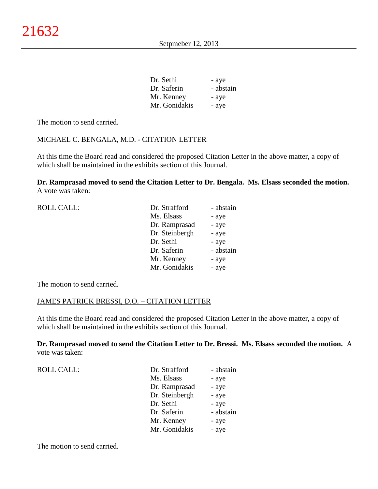| Dr. Sethi     | - aye     |
|---------------|-----------|
| Dr. Saferin   | - abstain |
| Mr. Kenney    | - aye     |
| Mr. Gonidakis | - aye     |

The motion to send carried.

### MICHAEL C. BENGALA, M.D. - CITATION LETTER

At this time the Board read and considered the proposed Citation Letter in the above matter, a copy of which shall be maintained in the exhibits section of this Journal.

**Dr. Ramprasad moved to send the Citation Letter to Dr. Bengala. Ms. Elsass seconded the motion.** A vote was taken:

| <b>ROLL CALL:</b> | Dr. Strafford  | - abstain |
|-------------------|----------------|-----------|
|                   | Ms. Elsass     | - aye     |
|                   | Dr. Ramprasad  | - aye     |
|                   | Dr. Steinbergh | - aye     |
|                   | Dr. Sethi      | - aye     |
|                   | Dr. Saferin    | - abstain |
|                   | Mr. Kenney     | - aye     |
|                   | Mr. Gonidakis  | - aye     |
|                   |                |           |

The motion to send carried.

## JAMES PATRICK BRESSI, D.O. – CITATION LETTER

At this time the Board read and considered the proposed Citation Letter in the above matter, a copy of which shall be maintained in the exhibits section of this Journal.

**Dr. Ramprasad moved to send the Citation Letter to Dr. Bressi. Ms. Elsass seconded the motion.** A vote was taken:

| <b>ROLL CALL:</b> | Dr. Strafford  | - abstain |
|-------------------|----------------|-----------|
|                   | Ms. Elsass     | - aye     |
|                   | Dr. Ramprasad  | - aye     |
|                   | Dr. Steinbergh | - aye     |
|                   | Dr. Sethi      | - aye     |
|                   | Dr. Saferin    | - abstain |
|                   | Mr. Kenney     | - aye     |
|                   | Mr. Gonidakis  | - aye     |
|                   |                |           |

The motion to send carried.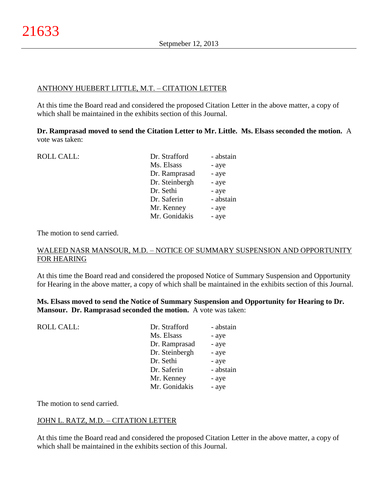## ANTHONY HUEBERT LITTLE, M.T. – CITATION LETTER

At this time the Board read and considered the proposed Citation Letter in the above matter, a copy of which shall be maintained in the exhibits section of this Journal.

**Dr. Ramprasad moved to send the Citation Letter to Mr. Little. Ms. Elsass seconded the motion.** A vote was taken:

| <b>ROLL CALL:</b> | Dr. Strafford  | - abstain |
|-------------------|----------------|-----------|
|                   | Ms. Elsass     | - aye     |
|                   | Dr. Ramprasad  | - aye     |
|                   | Dr. Steinbergh | - aye     |
|                   | Dr. Sethi      | - aye     |
|                   | Dr. Saferin    | - abstain |
|                   | Mr. Kenney     | - aye     |
|                   | Mr. Gonidakis  | - aye     |

The motion to send carried.

### WALEED NASR MANSOUR, M.D. – NOTICE OF SUMMARY SUSPENSION AND OPPORTUNITY FOR HEARING

At this time the Board read and considered the proposed Notice of Summary Suspension and Opportunity for Hearing in the above matter, a copy of which shall be maintained in the exhibits section of this Journal.

**Ms. Elsass moved to send the Notice of Summary Suspension and Opportunity for Hearing to Dr. Mansour. Dr. Ramprasad seconded the motion.** A vote was taken:

| <b>ROLL CALL:</b> | Dr. Strafford  | - abstain |
|-------------------|----------------|-----------|
|                   | Ms. Elsass     | - aye     |
|                   | Dr. Ramprasad  | - aye     |
|                   | Dr. Steinbergh | - aye     |
|                   | Dr. Sethi      | - aye     |
|                   | Dr. Saferin    | - abstain |
|                   | Mr. Kenney     | - aye     |
|                   | Mr. Gonidakis  | - aye     |
|                   |                |           |

The motion to send carried.

# JOHN L. RATZ, M.D. – CITATION LETTER

At this time the Board read and considered the proposed Citation Letter in the above matter, a copy of which shall be maintained in the exhibits section of this Journal.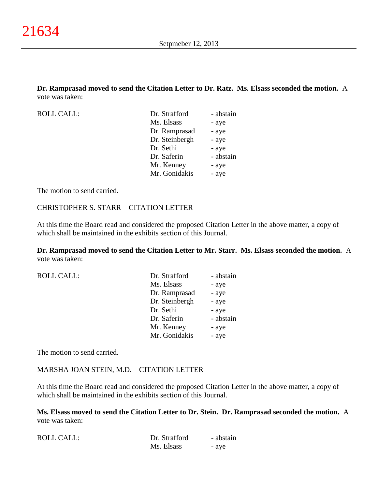**Dr. Ramprasad moved to send the Citation Letter to Dr. Ratz. Ms. Elsass seconded the motion.** A vote was taken:

| ROLL CALL: | Dr. Strafford  | - abstain |
|------------|----------------|-----------|
|            | Ms. Elsass     | - aye     |
|            | Dr. Ramprasad  | - aye     |
|            | Dr. Steinbergh | - aye     |
|            | Dr. Sethi      | - aye     |
|            | Dr. Saferin    | - abstain |
|            | Mr. Kenney     | - aye     |
|            | Mr. Gonidakis  | - aye     |
|            |                |           |

The motion to send carried.

#### CHRISTOPHER S. STARR – CITATION LETTER

At this time the Board read and considered the proposed Citation Letter in the above matter, a copy of which shall be maintained in the exhibits section of this Journal.

**Dr. Ramprasad moved to send the Citation Letter to Mr. Starr. Ms. Elsass seconded the motion.** A vote was taken:

| <b>ROLL CALL:</b> | Dr. Strafford  | - abstain |
|-------------------|----------------|-----------|
|                   | Ms. Elsass     | - aye     |
|                   | Dr. Ramprasad  | - aye     |
|                   | Dr. Steinbergh | - aye     |
|                   | Dr. Sethi      | - aye     |
|                   | Dr. Saferin    | - abstain |
|                   | Mr. Kenney     | - aye     |
|                   | Mr. Gonidakis  | - aye     |
|                   |                |           |

The motion to send carried.

### MARSHA JOAN STEIN, M.D. – CITATION LETTER

At this time the Board read and considered the proposed Citation Letter in the above matter, a copy of which shall be maintained in the exhibits section of this Journal.

**Ms. Elsass moved to send the Citation Letter to Dr. Stein. Dr. Ramprasad seconded the motion.** A vote was taken:

| <b>ROLL CALL:</b> | Dr. Strafford | - abstain |
|-------------------|---------------|-----------|
|                   | Ms. Elsass    | - aye     |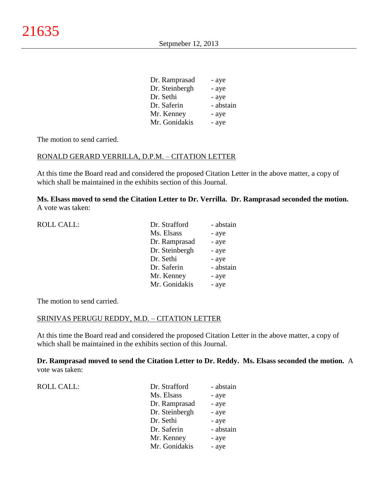| Dr. Ramprasad  | - aye     |
|----------------|-----------|
| Dr. Steinbergh | - aye     |
| Dr. Sethi      | - aye     |
| Dr. Saferin    | - abstain |
| Mr. Kenney     | - aye     |
| Mr. Gonidakis  | - aye     |

The motion to send carried.

### RONALD GERARD VERRILLA, D.P.M. – CITATION LETTER

At this time the Board read and considered the proposed Citation Letter in the above matter, a copy of which shall be maintained in the exhibits section of this Journal.

**Ms. Elsass moved to send the Citation Letter to Dr. Verrilla. Dr. Ramprasad seconded the motion.** A vote was taken:

| <b>ROLL CALL:</b> | Dr. Strafford  | - abstain |
|-------------------|----------------|-----------|
|                   | Ms. Elsass     | - aye     |
|                   | Dr. Ramprasad  | - aye     |
|                   | Dr. Steinbergh | - aye     |
|                   | Dr. Sethi      | - aye     |
|                   | Dr. Saferin    | - abstain |
|                   | Mr. Kenney     | - aye     |
|                   | Mr. Gonidakis  | - aye     |
|                   |                |           |

The motion to send carried.

#### SRINIVAS PERUGU REDDY, M.D. – CITATION LETTER

At this time the Board read and considered the proposed Citation Letter in the above matter, a copy of which shall be maintained in the exhibits section of this Journal.

**Dr. Ramprasad moved to send the Citation Letter to Dr. Reddy. Ms. Elsass seconded the motion.** A vote was taken:

| Ms. Elsass<br>- aye      |
|--------------------------|
|                          |
| Dr. Ramprasad<br>- aye   |
| Dr. Steinbergh<br>- aye  |
| Dr. Sethi<br>- aye       |
| - abstain<br>Dr. Saferin |
| Mr. Kenney<br>- aye      |
| Mr. Gonidakis<br>- aye   |
|                          |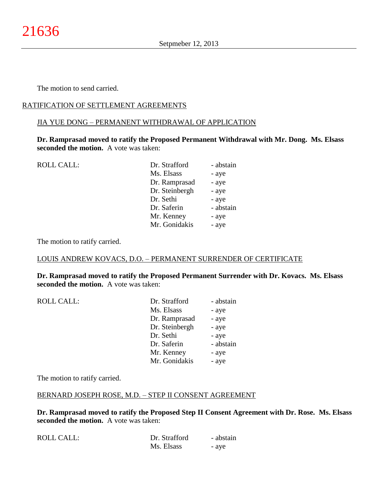The motion to send carried.

### RATIFICATION OF SETTLEMENT AGREEMENTS

### JIA YUE DONG – PERMANENT WITHDRAWAL OF APPLICATION

**Dr. Ramprasad moved to ratify the Proposed Permanent Withdrawal with Mr. Dong. Ms. Elsass seconded the motion.** A vote was taken:

| <b>ROLL CALL:</b> | Dr. Strafford  | - abstain |
|-------------------|----------------|-----------|
|                   | Ms. Elsass     | - aye     |
|                   | Dr. Ramprasad  | - aye     |
|                   | Dr. Steinbergh | - aye     |
|                   | Dr. Sethi      | - aye     |
|                   | Dr. Saferin    | - abstain |
|                   | Mr. Kenney     | - aye     |
|                   | Mr. Gonidakis  | - aye     |
|                   |                |           |

The motion to ratify carried.

### LOUIS ANDREW KOVACS, D.O. – PERMANENT SURRENDER OF CERTIFICATE

**Dr. Ramprasad moved to ratify the Proposed Permanent Surrender with Dr. Kovacs. Ms. Elsass seconded the motion.** A vote was taken:

| <b>ROLL CALL:</b> | Dr. Strafford  | - abstain |
|-------------------|----------------|-----------|
|                   | Ms. Elsass     | - aye     |
|                   | Dr. Ramprasad  | - aye     |
|                   | Dr. Steinbergh | - aye     |
|                   | Dr. Sethi      | - aye     |
|                   | Dr. Saferin    | - abstain |
|                   | Mr. Kenney     | - aye     |
|                   | Mr. Gonidakis  | - aye     |
|                   |                |           |

The motion to ratify carried.

### BERNARD JOSEPH ROSE, M.D. – STEP II CONSENT AGREEMENT

**Dr. Ramprasad moved to ratify the Proposed Step II Consent Agreement with Dr. Rose. Ms. Elsass seconded the motion.** A vote was taken:

| ROLL CALL: | Dr. Strafford | - abstain |
|------------|---------------|-----------|
|            | Ms. Elsass    | - aye     |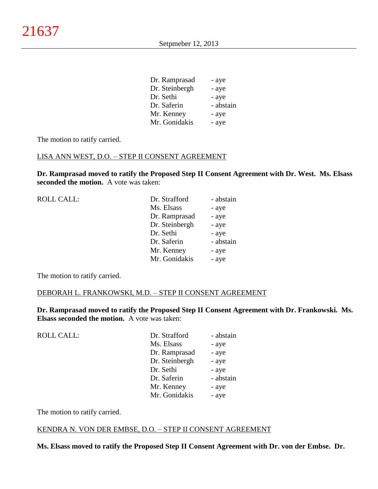| Dr. Ramprasad  | - aye     |
|----------------|-----------|
| Dr. Steinbergh | - aye     |
| Dr. Sethi      | - aye     |
| Dr. Saferin    | - abstain |
| Mr. Kenney     | - aye     |
| Mr. Gonidakis  | - aye     |
|                |           |

The motion to ratify carried.

#### LISA ANN WEST, D.O. – STEP II CONSENT AGREEMENT

**Dr. Ramprasad moved to ratify the Proposed Step II Consent Agreement with Dr. West. Ms. Elsass seconded the motion.** A vote was taken:

| <b>ROLL CALL:</b> | Dr. Strafford  | - abstain |
|-------------------|----------------|-----------|
|                   | Ms. Elsass     | - aye     |
|                   | Dr. Ramprasad  | - aye     |
|                   | Dr. Steinbergh | - aye     |
|                   | Dr. Sethi      | - aye     |
|                   | Dr. Saferin    | - abstain |
|                   | Mr. Kenney     | - aye     |
|                   | Mr. Gonidakis  | - aye     |
|                   |                |           |

The motion to ratify carried.

#### DEBORAH L. FRANKOWSKI, M.D. – STEP II CONSENT AGREEMENT

**Dr. Ramprasad moved to ratify the Proposed Step II Consent Agreement with Dr. Frankowski. Ms. Elsass seconded the motion.** A vote was taken:

| <b>ROLL CALL:</b> | Dr. Strafford  | - abstain |
|-------------------|----------------|-----------|
|                   | Ms. Elsass     | - aye     |
|                   | Dr. Ramprasad  | - aye     |
|                   | Dr. Steinbergh | - aye     |
|                   | Dr. Sethi      | - aye     |
|                   | Dr. Saferin    | - abstain |
|                   | Mr. Kenney     | - aye     |
|                   | Mr. Gonidakis  | - aye     |
|                   |                |           |

The motion to ratify carried.

#### KENDRA N. VON DER EMBSE, D.O. – STEP II CONSENT AGREEMENT

**Ms. Elsass moved to ratify the Proposed Step II Consent Agreement with Dr. von der Embse. Dr.**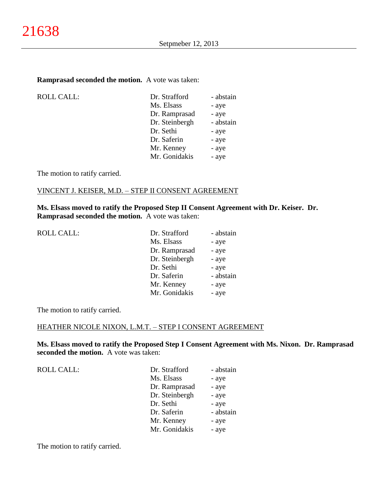#### **Ramprasad seconded the motion.** A vote was taken:

ROLL CALL:

| Dr. Strafford  | - abstain |
|----------------|-----------|
| Ms. Elsass     | - aye     |
| Dr. Ramprasad  | - aye     |
| Dr. Steinbergh | - abstain |
| Dr. Sethi      | - aye     |
| Dr. Saferin    | - aye     |
| Mr. Kenney     | - aye     |
| Mr. Gonidakis  | - aye     |
|                |           |

The motion to ratify carried.

### VINCENT J. KEISER, M.D. – STEP II CONSENT AGREEMENT

**Ms. Elsass moved to ratify the Proposed Step II Consent Agreement with Dr. Keiser. Dr. Ramprasad seconded the motion.** A vote was taken:

| <b>ROLL CALL:</b> |  |
|-------------------|--|
|-------------------|--|

| ROLL CALL: | Dr. Strafford  | - abstain |
|------------|----------------|-----------|
|            | Ms. Elsass     | - aye     |
|            | Dr. Ramprasad  | - aye     |
|            | Dr. Steinbergh | - aye     |
|            | Dr. Sethi      | - aye     |
|            | Dr. Saferin    | - abstain |
|            | Mr. Kenney     | - aye     |
|            | Mr. Gonidakis  | - aye     |
|            |                |           |

The motion to ratify carried.

### HEATHER NICOLE NIXON, L.M.T. – STEP I CONSENT AGREEMENT

**Ms. Elsass moved to ratify the Proposed Step I Consent Agreement with Ms. Nixon. Dr. Ramprasad seconded the motion.** A vote was taken:

ROLL CALL:

| Dr. Strafford  | - abstain |
|----------------|-----------|
| Ms. Elsass     | - aye     |
| Dr. Ramprasad  | - aye     |
| Dr. Steinbergh | - aye     |
| Dr. Sethi      | - aye     |
| Dr. Saferin    | - abstain |
| Mr. Kenney     | - aye     |
| Mr. Gonidakis  | - aye     |
|                |           |

The motion to ratify carried.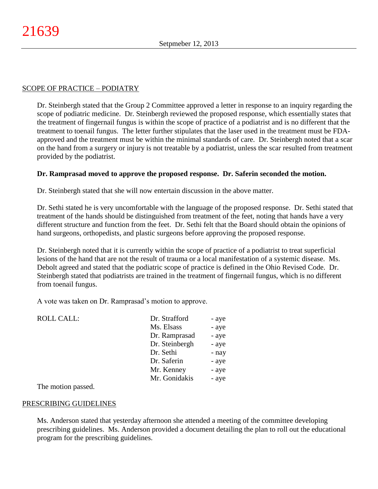### SCOPE OF PRACTICE – PODIATRY

Dr. Steinbergh stated that the Group 2 Committee approved a letter in response to an inquiry regarding the scope of podiatric medicine. Dr. Steinbergh reviewed the proposed response, which essentially states that the treatment of fingernail fungus is within the scope of practice of a podiatrist and is no different that the treatment to toenail fungus. The letter further stipulates that the laser used in the treatment must be FDAapproved and the treatment must be within the minimal standards of care. Dr. Steinbergh noted that a scar on the hand from a surgery or injury is not treatable by a podiatrist, unless the scar resulted from treatment provided by the podiatrist.

### **Dr. Ramprasad moved to approve the proposed response. Dr. Saferin seconded the motion.**

Dr. Steinbergh stated that she will now entertain discussion in the above matter.

Dr. Sethi stated he is very uncomfortable with the language of the proposed response. Dr. Sethi stated that treatment of the hands should be distinguished from treatment of the feet, noting that hands have a very different structure and function from the feet. Dr. Sethi felt that the Board should obtain the opinions of hand surgeons, orthopedists, and plastic surgeons before approving the proposed response.

Dr. Steinbergh noted that it is currently within the scope of practice of a podiatrist to treat superficial lesions of the hand that are not the result of trauma or a local manifestation of a systemic disease. Ms. Debolt agreed and stated that the podiatric scope of practice is defined in the Ohio Revised Code. Dr. Steinbergh stated that podiatrists are trained in the treatment of fingernail fungus, which is no different from toenail fungus.

A vote was taken on Dr. Ramprasad's motion to approve.

| <b>ROLL CALL:</b> | Dr. Strafford  | - aye |
|-------------------|----------------|-------|
|                   | Ms. Elsass     | - aye |
|                   | Dr. Ramprasad  | - aye |
|                   | Dr. Steinbergh | - aye |
|                   | Dr. Sethi      | - nay |
|                   | Dr. Saferin    | - aye |
|                   | Mr. Kenney     | - aye |
|                   | Mr. Gonidakis  | - aye |

The motion passed.

#### PRESCRIBING GUIDELINES

Ms. Anderson stated that yesterday afternoon she attended a meeting of the committee developing prescribing guidelines. Ms. Anderson provided a document detailing the plan to roll out the educational program for the prescribing guidelines.